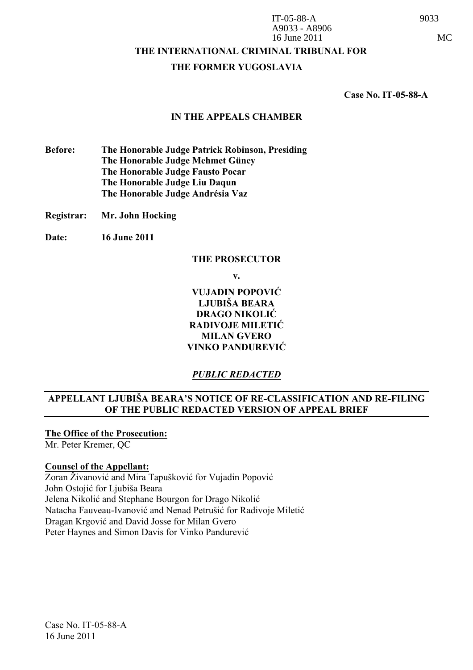IT-05-88-A 9033 A9033 - A8906 16 June 2011 MC

## **THE INTERNATIONAL CRIMINAL TRIBUNAL FOR**

#### **THE FORMER YUGOSLAVIA**

 **Case No. IT-05-88-A** 

#### **IN THE APPEALS CHAMBER**

**Before: The Honorable Judge Patrick Robinson, Presiding The Honorable Judge Mehmet Güney The Honorable Judge Fausto Pocar The Honorable Judge Liu Daqun The Honorable Judge Andrésia Vaz** 

- **Registrar: Mr. John Hocking**
- **Date: 16 June 2011**

#### **THE PROSECUTOR**

**v.** 

**VUJADIN POPOVI LJUBIŠA BEARA DRAGO NIKOLI RADIVOJE MILETI MILAN GVERO VINKO PANDUREVI** 

## *PUBLIC REDACTED*

# **APPELLANT LJUBIŠA BEARA'S NOTICE OF RE-CLASSIFICATION AND RE-FILING OF THE PUBLIC REDACTED VERSION OF APPEAL BRIEF**

**The Office of the Prosecution:**

Mr. Peter Kremer, QC

#### **Counsel of the Appellant:**

Zoran Živanović and Mira Tapušković for Vujadin Popović John Ostojić for Ljubiša Beara Jelena Nikolić and Stephane Bourgon for Drago Nikolić Natacha Fauveau-Ivanović and Nenad Petrušić for Radivoje Miletić Dragan Krgović and David Josse for Milan Gvero Peter Haynes and Simon Davis for Vinko Pandurevi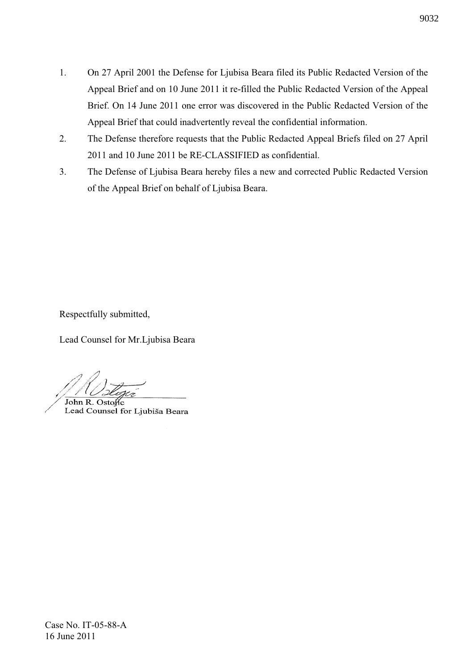- 1. On 27 April 2001 the Defense for Ljubisa Beara filed its Public Redacted Version of the Appeal Brief and on 10 June 2011 it re-filled the Public Redacted Version of the Appeal Brief. On 14 June 2011 one error was discovered in the Public Redacted Version of the Appeal Brief that could inadvertently reveal the confidential information.
- 2. The Defense therefore requests that the Public Redacted Appeal Briefs filed on 27 April 2011 and 10 June 2011 be RE-CLASSIFIED as confidential.
- 3. The Defense of Ljubisa Beara hereby files a new and corrected Public Redacted Version of the Appeal Brief on behalf of Ljubisa Beara.

Respectfully submitted,

Lead Counsel for Mr.Ljubisa Beara

John R. Ostonc Lead Counsel for Ljubiša Beara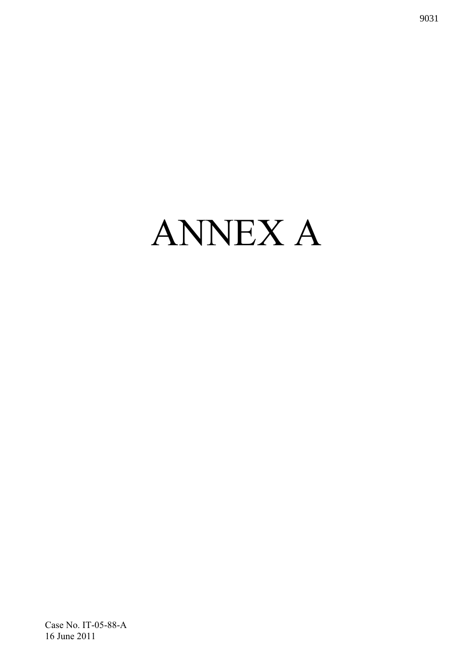# ANNEX A

Case No. IT-05-88-A 16 June 2011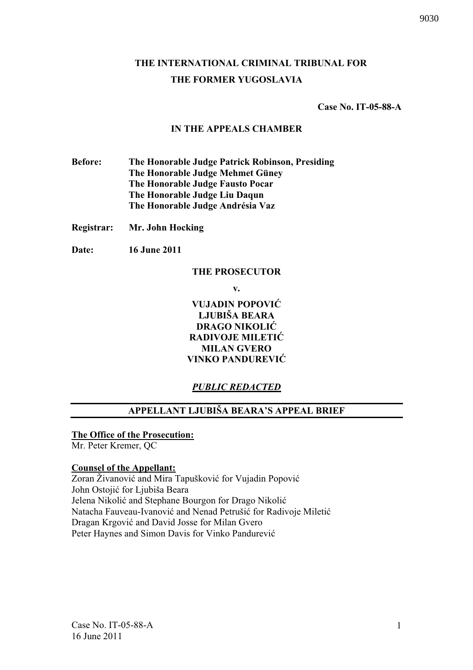# **THE INTERNATIONAL CRIMINAL TRIBUNAL FOR THE FORMER YUGOSLAVIA**

 **Case No. IT-05-88-A** 

## **IN THE APPEALS CHAMBER**

**Before: The Honorable Judge Patrick Robinson, Presiding The Honorable Judge Mehmet Güney The Honorable Judge Fausto Pocar The Honorable Judge Liu Daqun The Honorable Judge Andrésia Vaz** 

**Registrar: Mr. John Hocking** 

**Date: 16 June 2011** 

## **THE PROSECUTOR**

**v.** 

**VUJADIN POPOVI LJUBIŠA BEARA DRAGO NIKOLI RADIVOJE MILETI MILAN GVERO VINKO PANDUREVI** 

# *PUBLIC REDACTED*

# **APPELLANT LJUBIŠA BEARA'S APPEAL BRIEF**

# **The Office of the Prosecution:**

Mr. Peter Kremer, QC

# **Counsel of the Appellant:**

Zoran Živanović and Mira Tapušković for Vujadin Popović John Ostojić for Ljubiša Beara Jelena Nikolić and Stephane Bourgon for Drago Nikolić Natacha Fauveau-Ivanović and Nenad Petrušić for Radivoje Miletić Dragan Krgović and David Josse for Milan Gvero Peter Haynes and Simon Davis for Vinko Pandurevi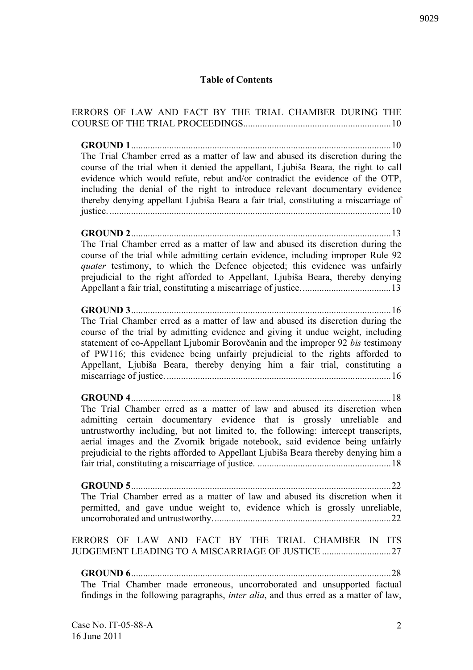# **Table of Contents**

| ERRORS OF LAW AND FACT BY THE TRIAL CHAMBER DURING THE                                                                                                                                                                                                                                                                                                                                                                                           |
|--------------------------------------------------------------------------------------------------------------------------------------------------------------------------------------------------------------------------------------------------------------------------------------------------------------------------------------------------------------------------------------------------------------------------------------------------|
| <b>GROUND 1</b><br>The Trial Chamber erred as a matter of law and abused its discretion during the<br>course of the trial when it denied the appellant, Ljubiša Beara, the right to call<br>evidence which would refute, rebut and/or contradict the evidence of the OTP,<br>including the denial of the right to introduce relevant documentary evidence<br>thereby denying appellant Ljubiša Beara a fair trial, constituting a miscarriage of |
| The Trial Chamber erred as a matter of law and abused its discretion during the<br>course of the trial while admitting certain evidence, including improper Rule 92<br>quater testimony, to which the Defence objected; this evidence was unfairly<br>prejudicial to the right afforded to Appellant, Ljubiša Beara, thereby denying                                                                                                             |
| The Trial Chamber erred as a matter of law and abused its discretion during the<br>course of the trial by admitting evidence and giving it undue weight, including<br>statement of co-Appellant Ljubomir Borovčanin and the improper 92 bis testimony<br>of PW116; this evidence being unfairly prejudicial to the rights afforded to<br>Appellant, Ljubiša Beara, thereby denying him a fair trial, constituting a                              |
| The Trial Chamber erred as a matter of law and abused its discretion when<br>admitting certain documentary evidence that is grossly unreliable and<br>untrustworthy including, but not limited to, the following: intercept transcripts,<br>aerial images and the Zvornik brigade notebook, said evidence being unfairly<br>prejudicial to the rights afforded to Appellant Ljubiša Beara thereby denying him a                                  |
| The Trial Chamber erred as a matter of law and abused its discretion when it<br>permitted, and gave undue weight to, evidence which is grossly unreliable,                                                                                                                                                                                                                                                                                       |
| ERRORS OF LAW AND FACT BY THE TRIAL CHAMBER IN ITS<br>JUDGEMENT LEADING TO A MISCARRIAGE OF JUSTICE                                                                                                                                                                                                                                                                                                                                              |
| The Trial Chamber made erroneous, uncorroborated and unsupported factual<br>findings in the following paragraphs, inter alia, and thus erred as a matter of law,                                                                                                                                                                                                                                                                                 |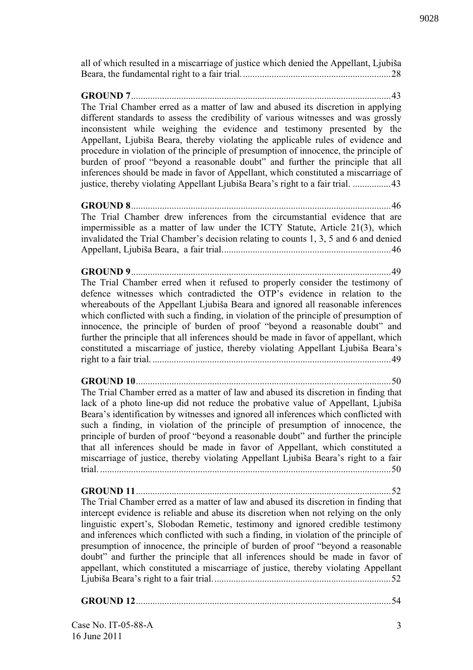all of which resulted in a miscarriage of justice which denied the Appellant, Ljubiša Beara, the fundamental right to a fair trial...............................................................28

**GROUND 7**.............................................................................................................43 The Trial Chamber erred as a matter of law and abused its discretion in applying different standards to assess the credibility of various witnesses and was grossly inconsistent while weighing the evidence and testimony presented by the Appellant, Ljubiša Beara, thereby violating the applicable rules of evidence and procedure in violation of the principle of presumption of innocence, the principle of burden of proof "beyond a reasonable doubt" and further the principle that all inferences should be made in favor of Appellant, which constituted a miscarriage of justice, thereby violating Appellant Ljubiša Beara's right to a fair trial. ................43

**GROUND 8**.............................................................................................................46 The Trial Chamber drew inferences from the circumstantial evidence that are impermissible as a matter of law under the ICTY Statute, Article 21(3), which invalidated the Trial Chamber's decision relating to counts 1, 3, 5 and 6 and denied Appellant, Ljubiša Beara, a fair trial.......................................................................46

**GROUND 9**.............................................................................................................49

The Trial Chamber erred when it refused to properly consider the testimony of defence witnesses which contradicted the OTP's evidence in relation to the whereabouts of the Appellant Ljubiša Beara and ignored all reasonable inferences which conflicted with such a finding, in violation of the principle of presumption of innocence, the principle of burden of proof "beyond a reasonable doubt" and further the principle that all inferences should be made in favor of appellant, which constituted a miscarriage of justice, thereby violating Appellant Ljubiša Beara's right to a fair trial. ....................................................................................................49

**GROUND 10**...........................................................................................................50

The Trial Chamber erred as a matter of law and abused its discretion in finding that lack of a photo line-up did not reduce the probative value of Appellant, Ljubiša Beara's identification by witnesses and ignored all inferences which conflicted with such a finding, in violation of the principle of presumption of innocence, the principle of burden of proof "beyond a reasonable doubt" and further the principle that all inferences should be made in favor of Appellant, which constituted a miscarriage of justice, thereby violating Appellant Ljubiša Beara's right to a fair trial. ..........................................................................................................................50

**GROUND 11**...........................................................................................................52 The Trial Chamber erred as a matter of law and abused its discretion in finding that intercept evidence is reliable and abuse its discretion when not relying on the only linguistic expert's, Slobodan Remetic, testimony and ignored credible testimony and inferences which conflicted with such a finding, in violation of the principle of presumption of innocence, the principle of burden of proof "beyond a reasonable doubt" and further the principle that all inferences should be made in favor of appellant, which constituted a miscarriage of justice, thereby violating Appellant Ljubiša Beara's right to a fair trial...........................................................................52

**GROUND 12**...........................................................................................................54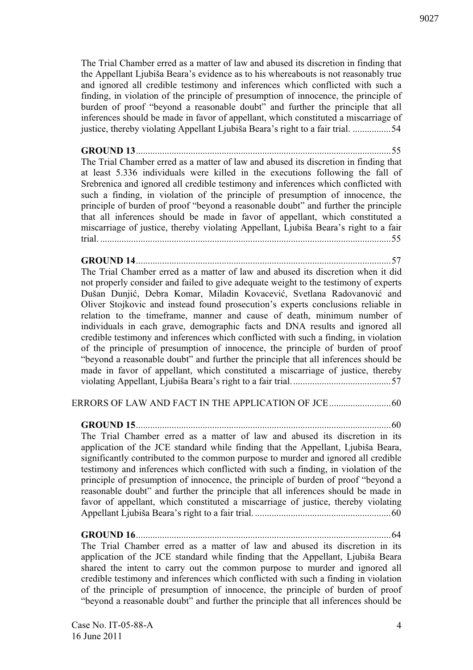The Trial Chamber erred as a matter of law and abused its discretion in finding that the Appellant Ljubiša Beara's evidence as to his whereabouts is not reasonably true and ignored all credible testimony and inferences which conflicted with such a finding, in violation of the principle of presumption of innocence, the principle of burden of proof "beyond a reasonable doubt" and further the principle that all inferences should be made in favor of appellant, which constituted a miscarriage of justice, thereby violating Appellant Ljubiša Beara's right to a fair trial. ....................54

**GROUND 13**...........................................................................................................55 The Trial Chamber erred as a matter of law and abused its discretion in finding that at least 5.336 individuals were killed in the executions following the fall of Srebrenica and ignored all credible testimony and inferences which conflicted with such a finding, in violation of the principle of presumption of innocence, the principle of burden of proof "beyond a reasonable doubt" and further the principle that all inferences should be made in favor of appellant, which constituted a miscarriage of justice, thereby violating Appellant, Ljubiša Beara's right to a fair trial. ..........................................................................................................................55

# **GROUND 14**...........................................................................................................57

The Trial Chamber erred as a matter of law and abused its discretion when it did not properly consider and failed to give adequate weight to the testimony of experts Dušan Dunjić, Debra Komar, Miladin Kovacević, Svetlana Radovanović and Oliver Stojkovic and instead found prosecution's experts conclusions reliable in relation to the timeframe, manner and cause of death, minimum number of individuals in each grave, demographic facts and DNA results and ignored all credible testimony and inferences which conflicted with such a finding, in violation of the principle of presumption of innocence, the principle of burden of proof "beyond a reasonable doubt" and further the principle that all inferences should be made in favor of appellant, which constituted a miscarriage of justice, thereby violating Appellant, Ljubiša Beara's right to a fair trial..........................................57

# ERRORS OF LAW AND FACT IN THE APPLICATION OF JCE..........................60

**GROUND 15**...........................................................................................................60 The Trial Chamber erred as a matter of law and abused its discretion in its application of the JCE standard while finding that the Appellant, Ljubiša Beara, significantly contributed to the common purpose to murder and ignored all credible testimony and inferences which conflicted with such a finding, in violation of the principle of presumption of innocence, the principle of burden of proof "beyond a reasonable doubt" and further the principle that all inferences should be made in favor of appellant, which constituted a miscarriage of justice, thereby violating Appellant Ljubiša Beara's right to a fair trial. .........................................................60

**GROUND 16**...........................................................................................................64 The Trial Chamber erred as a matter of law and abused its discretion in its application of the JCE standard while finding that the Appellant, Ljubiša Beara shared the intent to carry out the common purpose to murder and ignored all credible testimony and inferences which conflicted with such a finding in violation of the principle of presumption of innocence, the principle of burden of proof "beyond a reasonable doubt" and further the principle that all inferences should be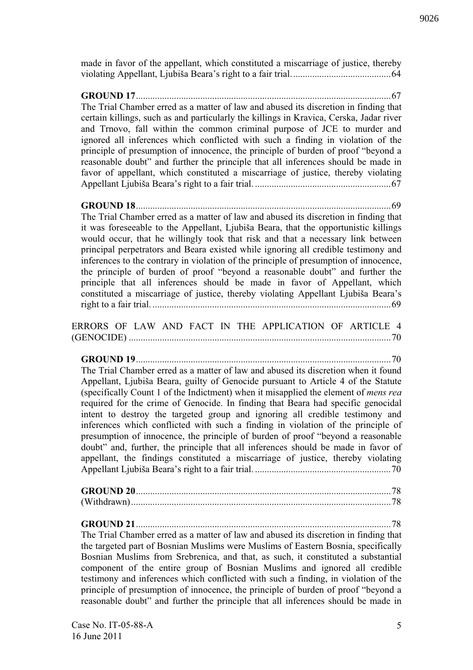made in favor of the appellant, which constituted a miscarriage of justice, thereby violating Appellant, Ljubiša Beara's right to a fair trial..........................................64

**GROUND 17**...........................................................................................................67 The Trial Chamber erred as a matter of law and abused its discretion in finding that certain killings, such as and particularly the killings in Kravica, Cerska, Jadar river and Trnovo, fall within the common criminal purpose of JCE to murder and ignored all inferences which conflicted with such a finding in violation of the principle of presumption of innocence, the principle of burden of proof "beyond a reasonable doubt" and further the principle that all inferences should be made in favor of appellant, which constituted a miscarriage of justice, thereby violating Appellant Ljubiša Beara's right to a fair trial. .........................................................67

**GROUND 18**...........................................................................................................69 The Trial Chamber erred as a matter of law and abused its discretion in finding that it was foreseeable to the Appellant, Ljubiša Beara, that the opportunistic killings would occur, that he willingly took that risk and that a necessary link between principal perpetrators and Beara existed while ignoring all credible testimony and inferences to the contrary in violation of the principle of presumption of innocence, the principle of burden of proof "beyond a reasonable doubt" and further the principle that all inferences should be made in favor of Appellant, which constituted a miscarriage of justice, thereby violating Appellant Ljubiša Beara's right to a fair trial. ....................................................................................................69

ERRORS OF LAW AND FACT IN THE APPLICATION OF ARTICLE 4 (GENOCIDE) ..............................................................................................................70

**GROUND 19**...........................................................................................................70 The Trial Chamber erred as a matter of law and abused its discretion when it found Appellant, Ljubiša Beara, guilty of Genocide pursuant to Article 4 of the Statute (specifically Count 1 of the Indictment) when it misapplied the element of *mens rea* required for the crime of Genocide. In finding that Beara had specific genocidal intent to destroy the targeted group and ignoring all credible testimony and inferences which conflicted with such a finding in violation of the principle of presumption of innocence, the principle of burden of proof "beyond a reasonable doubt" and, further, the principle that all inferences should be made in favor of appellant, the findings constituted a miscarriage of justice, thereby violating Appellant Ljubiša Beara's right to a fair trial. .........................................................70

**GROUND 21**...........................................................................................................78 The Trial Chamber erred as a matter of law and abused its discretion in finding that the targeted part of Bosnian Muslims were Muslims of Eastern Bosnia, specifically Bosnian Muslims from Srebrenica, and that, as such, it constituted a substantial component of the entire group of Bosnian Muslims and ignored all credible testimony and inferences which conflicted with such a finding, in violation of the principle of presumption of innocence, the principle of burden of proof "beyond a reasonable doubt" and further the principle that all inferences should be made in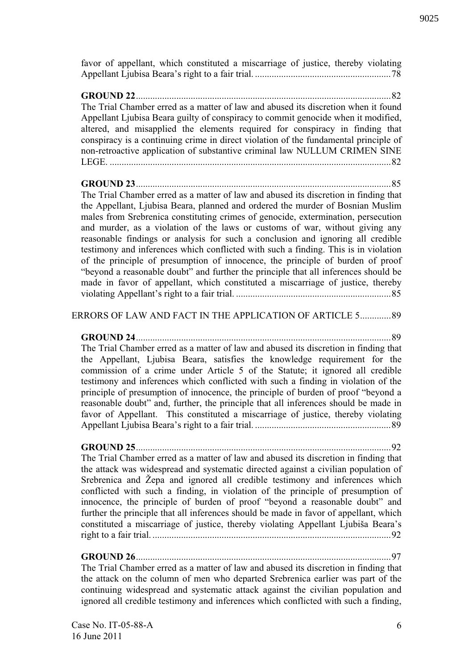favor of appellant, which constituted a miscarriage of justice, thereby violating Appellant Ljubisa Beara's right to a fair trial. .........................................................78

**GROUND 22**...........................................................................................................82 The Trial Chamber erred as a matter of law and abused its discretion when it found Appellant Ljubisa Beara guilty of conspiracy to commit genocide when it modified, altered, and misapplied the elements required for conspiracy in finding that conspiracy is a continuing crime in direct violation of the fundamental principle of non-retroactive application of substantive criminal law NULLUM CRIMEN SINE LEGE. ......................................................................................................................82

**GROUND 23**...........................................................................................................85 The Trial Chamber erred as a matter of law and abused its discretion in finding that the Appellant, Ljubisa Beara, planned and ordered the murder of Bosnian Muslim males from Srebrenica constituting crimes of genocide, extermination, persecution and murder, as a violation of the laws or customs of war, without giving any reasonable findings or analysis for such a conclusion and ignoring all credible testimony and inferences which conflicted with such a finding. This is in violation of the principle of presumption of innocence, the principle of burden of proof "beyond a reasonable doubt" and further the principle that all inferences should be made in favor of appellant, which constituted a miscarriage of justice, thereby violating Appellant's right to a fair trial. .................................................................85

#### ERRORS OF LAW AND FACT IN THE APPLICATION OF ARTICLE 5.............89

**GROUND 24**...........................................................................................................89 The Trial Chamber erred as a matter of law and abused its discretion in finding that the Appellant, Ljubisa Beara, satisfies the knowledge requirement for the commission of a crime under Article 5 of the Statute; it ignored all credible testimony and inferences which conflicted with such a finding in violation of the principle of presumption of innocence, the principle of burden of proof "beyond a reasonable doubt" and, further, the principle that all inferences should be made in favor of Appellant. This constituted a miscarriage of justice, thereby violating Appellant Ljubisa Beara's right to a fair trial. .........................................................89

**GROUND 25**...........................................................................................................92 The Trial Chamber erred as a matter of law and abused its discretion in finding that the attack was widespread and systematic directed against a civilian population of Srebrenica and Žepa and ignored all credible testimony and inferences which conflicted with such a finding, in violation of the principle of presumption of innocence, the principle of burden of proof "beyond a reasonable doubt" and further the principle that all inferences should be made in favor of appellant, which constituted a miscarriage of justice, thereby violating Appellant Ljubiša Beara's right to a fair trial. ....................................................................................................92

**GROUND 26**...........................................................................................................97 The Trial Chamber erred as a matter of law and abused its discretion in finding that

the attack on the column of men who departed Srebrenica earlier was part of the continuing widespread and systematic attack against the civilian population and ignored all credible testimony and inferences which conflicted with such a finding,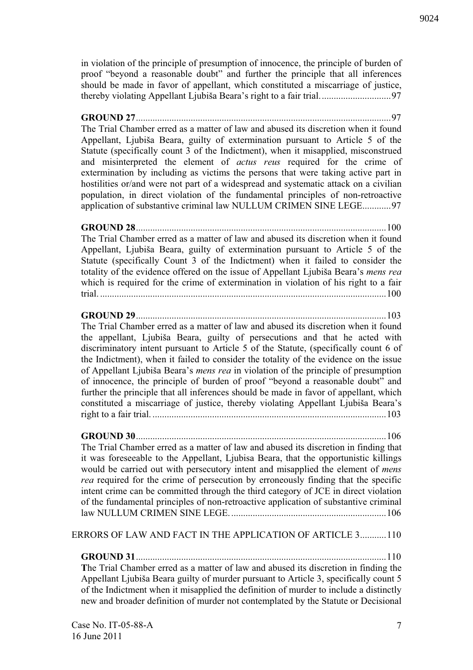in violation of the principle of presumption of innocence, the principle of burden of proof "beyond a reasonable doubt" and further the principle that all inferences should be made in favor of appellant, which constituted a miscarriage of justice, thereby violating Appellant Ljubiša Beara's right to a fair trial..............................97

# **GROUND 27**...........................................................................................................97 The Trial Chamber erred as a matter of law and abused its discretion when it found Appellant, Ljubiša Beara, guilty of extermination pursuant to Article 5 of the Statute (specifically count 3 of the Indictment), when it misapplied, misconstrued and misinterpreted the element of *actus reus* required for the crime of extermination by including as victims the persons that were taking active part in hostilities or/and were not part of a widespread and systematic attack on a civilian population, in direct violation of the fundamental principles of non-retroactive application of substantive criminal law NULLUM CRIMEN SINE LEGE............97

# **GROUND 28**.........................................................................................................100 The Trial Chamber erred as a matter of law and abused its discretion when it found Appellant, Ljubiša Beara, guilty of extermination pursuant to Article 5 of the Statute (specifically Count 3 of the Indictment) when it failed to consider the totality of the evidence offered on the issue of Appellant Ljubiša Beara's *mens rea* which is required for the crime of extermination in violation of his right to a fair trial. ........................................................................................................................100

# **GROUND 29**.........................................................................................................103

The Trial Chamber erred as a matter of law and abused its discretion when it found the appellant, Ljubiša Beara, guilty of persecutions and that he acted with discriminatory intent pursuant to Article 5 of the Statute, (specifically count 6 of the Indictment), when it failed to consider the totality of the evidence on the issue of Appellant Ljubiša Beara's *mens rea* in violation of the principle of presumption of innocence, the principle of burden of proof "beyond a reasonable doubt" and further the principle that all inferences should be made in favor of appellant, which constituted a miscarriage of justice, thereby violating Appellant Ljubiša Beara's right to a fair trial. ..................................................................................................103

# **GROUND 30**.........................................................................................................106

The Trial Chamber erred as a matter of law and abused its discretion in finding that it was foreseeable to the Appellant, Ljubisa Beara, that the opportunistic killings would be carried out with persecutory intent and misapplied the element of *mens rea* required for the crime of persecution by erroneously finding that the specific intent crime can be committed through the third category of JCE in direct violation of the fundamental principles of non-retroactive application of substantive criminal law NULLUM CRIMEN SINE LEGE..................................................................106

# ERRORS OF LAW AND FACT IN THE APPLICATION OF ARTICLE 3...........110

**GROUND 31**.........................................................................................................110 **T**he Trial Chamber erred as a matter of law and abused its discretion in finding the Appellant Ljubiša Beara guilty of murder pursuant to Article 3, specifically count 5 of the Indictment when it misapplied the definition of murder to include a distinctly new and broader definition of murder not contemplated by the Statute or Decisional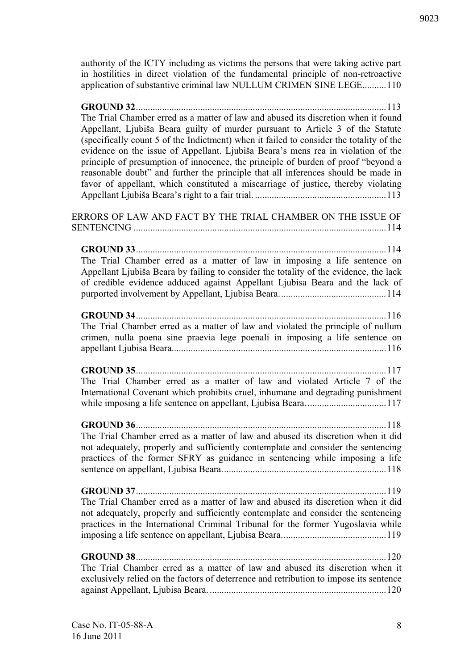authority of the ICTY including as victims the persons that were taking active part in hostilities in direct violation of the fundamental principle of non-retroactive application of substantive criminal law NULLUM CRIMEN SINE LEGE..........110

| The Trial Chamber erred as a matter of law and abused its discretion when it found<br>Appellant, Ljubiša Beara guilty of murder pursuant to Article 3 of the Statute<br>(specifically count 5 of the Indictment) when it failed to consider the totality of the<br>evidence on the issue of Appellant. Ljubiša Beara's mens rea in violation of the<br>principle of presumption of innocence, the principle of burden of proof "beyond a<br>reasonable doubt" and further the principle that all inferences should be made in<br>favor of appellant, which constituted a miscarriage of justice, thereby violating |
|--------------------------------------------------------------------------------------------------------------------------------------------------------------------------------------------------------------------------------------------------------------------------------------------------------------------------------------------------------------------------------------------------------------------------------------------------------------------------------------------------------------------------------------------------------------------------------------------------------------------|
| ERRORS OF LAW AND FACT BY THE TRIAL CHAMBER ON THE ISSUE OF                                                                                                                                                                                                                                                                                                                                                                                                                                                                                                                                                        |
| The Trial Chamber erred as a matter of law in imposing a life sentence on<br>Appellant Ljubiša Beara by failing to consider the totality of the evidence, the lack<br>of credible evidence adduced against Appellant Ljubisa Beara and the lack of                                                                                                                                                                                                                                                                                                                                                                 |
| The Trial Chamber erred as a matter of law and violated the principle of nullum<br>crimen, nulla poena sine praevia lege poenali in imposing a life sentence on                                                                                                                                                                                                                                                                                                                                                                                                                                                    |
| 117<br>The Trial Chamber erred as a matter of law and violated Article 7 of the<br>International Covenant which prohibits cruel, inhumane and degrading punishment                                                                                                                                                                                                                                                                                                                                                                                                                                                 |
| The Trial Chamber erred as a matter of law and abused its discretion when it did<br>not adequately, properly and sufficiently contemplate and consider the sentencing<br>practices of the former SFRY as guidance in sentencing while imposing a life                                                                                                                                                                                                                                                                                                                                                              |
| The Trial Chamber erred as a matter of law and abused its discretion when it did<br>not adequately, properly and sufficiently contemplate and consider the sentencing<br>practices in the International Criminal Tribunal for the former Yugoslavia while                                                                                                                                                                                                                                                                                                                                                          |
| The Trial Chamber erred as a matter of law and abused its discretion when it<br>exclusively relied on the factors of deterrence and retribution to impose its sentence                                                                                                                                                                                                                                                                                                                                                                                                                                             |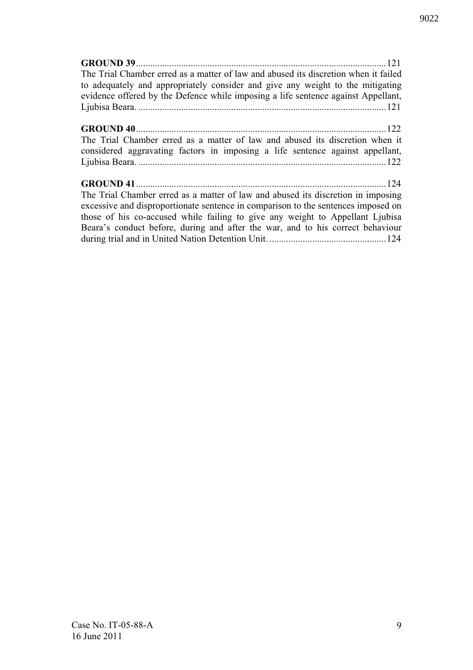| The Trial Chamber erred as a matter of law and abused its discretion when it failed |  |
|-------------------------------------------------------------------------------------|--|
| to adequately and appropriately consider and give any weight to the mitigating      |  |
| evidence offered by the Defence while imposing a life sentence against Appellant,   |  |
|                                                                                     |  |
|                                                                                     |  |
|                                                                                     |  |
| The Trial Chamber erred as a matter of law and abused its discretion when it        |  |
| considered aggravating factors in imposing a life sentence against appellant,       |  |
|                                                                                     |  |
|                                                                                     |  |
|                                                                                     |  |
| The Trial Chamber erred as a matter of law and abused its discretion in imposing    |  |
| excessive and disproportionate sentence in comparison to the sentences imposed on   |  |
| those of his co-accused while failing to give any weight to Appellant Ljubisa       |  |
| Beara's conduct before, during and after the war, and to his correct behaviour      |  |
|                                                                                     |  |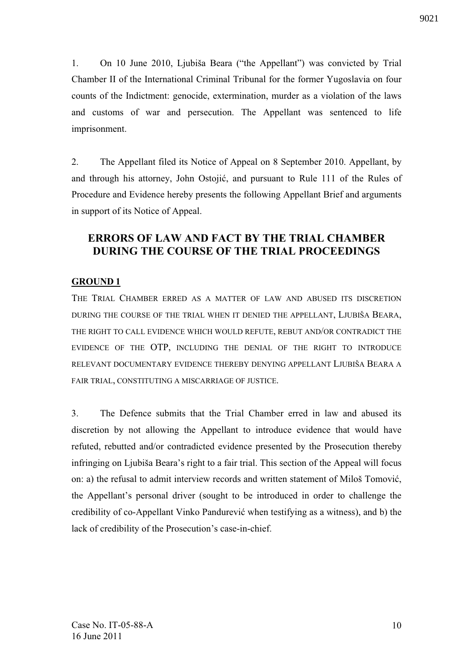1. On 10 June 2010, Ljubiša Beara ("the Appellant") was convicted by Trial Chamber II of the International Criminal Tribunal for the former Yugoslavia on four counts of the Indictment: genocide, extermination, murder as a violation of the laws and customs of war and persecution. The Appellant was sentenced to life imprisonment.

2. The Appellant filed its Notice of Appeal on 8 September 2010. Appellant, by and through his attorney, John Ostojić, and pursuant to Rule 111 of the Rules of Procedure and Evidence hereby presents the following Appellant Brief and arguments in support of its Notice of Appeal.

# **ERRORS OF LAW AND FACT BY THE TRIAL CHAMBER DURING THE COURSE OF THE TRIAL PROCEEDINGS**

# **GROUND 1**

THE TRIAL CHAMBER ERRED AS A MATTER OF LAW AND ABUSED ITS DISCRETION DURING THE COURSE OF THE TRIAL WHEN IT DENIED THE APPELLANT, LJUBIŠA BEARA, THE RIGHT TO CALL EVIDENCE WHICH WOULD REFUTE, REBUT AND/OR CONTRADICT THE EVIDENCE OF THE OTP, INCLUDING THE DENIAL OF THE RIGHT TO INTRODUCE RELEVANT DOCUMENTARY EVIDENCE THEREBY DENYING APPELLANT LJUBIŠA BEARA A FAIR TRIAL, CONSTITUTING A MISCARRIAGE OF JUSTICE.

3. The Defence submits that the Trial Chamber erred in law and abused its discretion by not allowing the Appellant to introduce evidence that would have refuted, rebutted and/or contradicted evidence presented by the Prosecution thereby infringing on Ljubiša Beara's right to a fair trial. This section of the Appeal will focus on: a) the refusal to admit interview records and written statement of Miloš Tomović, the Appellant's personal driver (sought to be introduced in order to challenge the credibility of co-Appellant Vinko Pandurević when testifying as a witness), and b) the lack of credibility of the Prosecution's case-in-chief.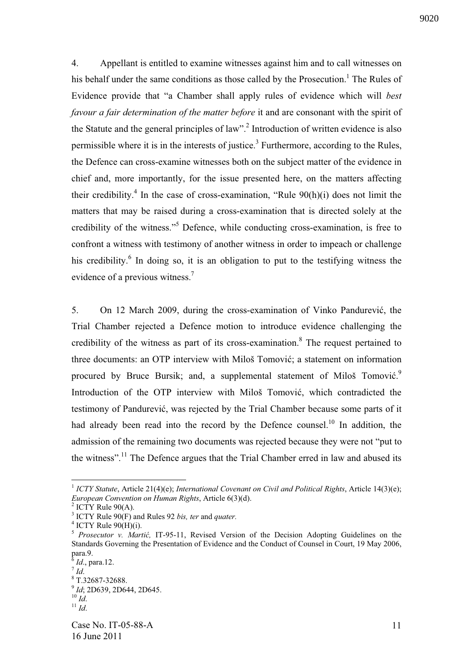4. Appellant is entitled to examine witnesses against him and to call witnesses on his behalf under the same conditions as those called by the Prosecution.<sup>1</sup> The Rules of Evidence provide that "a Chamber shall apply rules of evidence which will *best favour a fair determination of the matter before* it and are consonant with the spirit of the Statute and the general principles of law".<sup>2</sup> Introduction of written evidence is also permissible where it is in the interests of justice.<sup>3</sup> Furthermore, according to the Rules, the Defence can cross-examine witnesses both on the subject matter of the evidence in chief and, more importantly, for the issue presented here, on the matters affecting their credibility.<sup>4</sup> In the case of cross-examination, "Rule  $90(h)(i)$  does not limit the matters that may be raised during a cross-examination that is directed solely at the credibility of the witness."<sup>5</sup> Defence, while conducting cross-examination, is free to confront a witness with testimony of another witness in order to impeach or challenge his credibility.<sup>6</sup> In doing so, it is an obligation to put to the testifying witness the evidence of a previous witness.<sup>7</sup>

5. On 12 March 2009, during the cross-examination of Vinko Pandurević, the Trial Chamber rejected a Defence motion to introduce evidence challenging the credibility of the witness as part of its cross-examination.<sup>8</sup> The request pertained to three documents: an OTP interview with Miloš Tomović; a statement on information procured by Bruce Bursik; and, a supplemental statement of Miloš Tomović.<sup>9</sup> Introduction of the OTP interview with Miloš Tomović, which contradicted the testimony of Pandurević, was rejected by the Trial Chamber because some parts of it had already been read into the record by the Defence counsel.<sup>10</sup> In addition, the admission of the remaining two documents was rejected because they were not "put to the witness".<sup>11</sup> The Defence argues that the Trial Chamber erred in law and abused its

<sup>&</sup>lt;sup>1</sup> ICTY Statute, Article 21(4)(e); *International Covenant on Civil and Political Rights*, Article 14(3)(e); *European Convention on Human Rights*, Article 6(3)(d).

 $2$  ICTY Rule 90(A).

<sup>3</sup> ICTY Rule 90(F) and Rules 92 *bis, ter* and *quater.*

 $4$  ICTY Rule 90(H)(i).

<sup>&</sup>lt;sup>5</sup> *Prosecutor v. Martić*, IT-95-11, Revised Version of the Decision Adopting Guidelines on the Standards Governing the Presentation of Evidence and the Conduct of Counsel in Court, 19 May 2006, para.9.

<sup>6</sup> *Id*., para.12. 7 *Id*.

<sup>8</sup> T.32687-32688.

<sup>9</sup> *Id*; 2D639, 2D644, 2D645. <sup>10</sup> *Id*.

 $\overline{11}$  *Id.*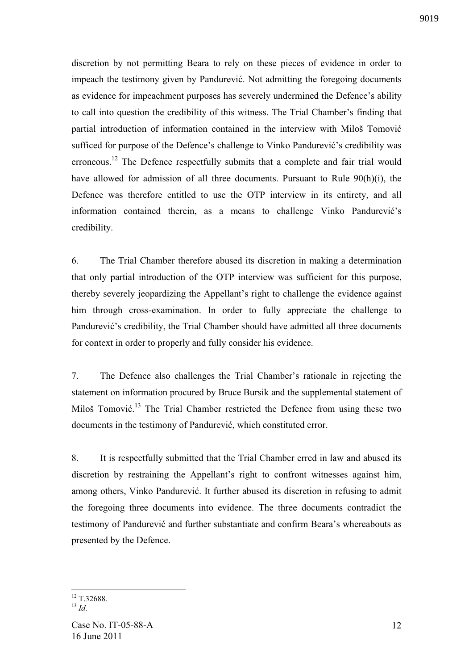discretion by not permitting Beara to rely on these pieces of evidence in order to impeach the testimony given by Pandurević. Not admitting the foregoing documents as evidence for impeachment purposes has severely undermined the Defence's ability to call into question the credibility of this witness. The Trial Chamber's finding that partial introduction of information contained in the interview with Miloš Tomovi sufficed for purpose of the Defence's challenge to Vinko Pandurević's credibility was erroneous.<sup>12</sup> The Defence respectfully submits that a complete and fair trial would have allowed for admission of all three documents. Pursuant to Rule 90(h)(i), the Defence was therefore entitled to use the OTP interview in its entirety, and all information contained therein, as a means to challenge Vinko Pandurević's credibility.

6. The Trial Chamber therefore abused its discretion in making a determination that only partial introduction of the OTP interview was sufficient for this purpose, thereby severely jeopardizing the Appellant's right to challenge the evidence against him through cross-examination. In order to fully appreciate the challenge to Pandurević's credibility, the Trial Chamber should have admitted all three documents for context in order to properly and fully consider his evidence.

7. The Defence also challenges the Trial Chamber's rationale in rejecting the statement on information procured by Bruce Bursik and the supplemental statement of Miloš Tomović.<sup>13</sup> The Trial Chamber restricted the Defence from using these two documents in the testimony of Pandurević, which constituted error.

8. It is respectfully submitted that the Trial Chamber erred in law and abused its discretion by restraining the Appellant's right to confront witnesses against him, among others, Vinko Pandurević. It further abused its discretion in refusing to admit the foregoing three documents into evidence. The three documents contradict the testimony of Pandurević and further substantiate and confirm Beara's whereabouts as presented by the Defence.

 $12$  T.32688.

 $13 \overline{Id}$ .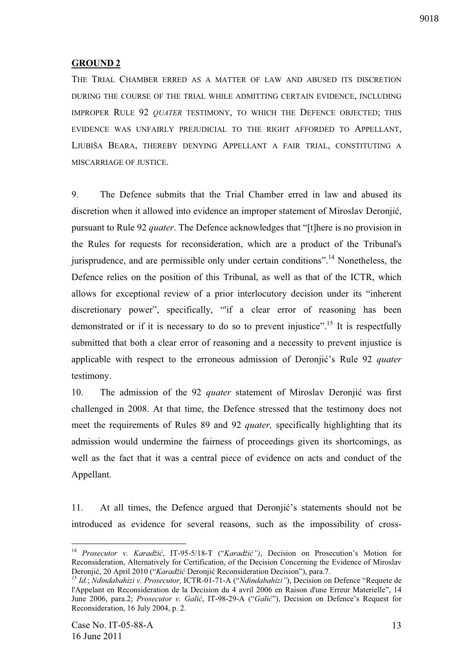# **GROUND 2**

THE TRIAL CHAMBER ERRED AS A MATTER OF LAW AND ABUSED ITS DISCRETION DURING THE COURSE OF THE TRIAL WHILE ADMITTING CERTAIN EVIDENCE, INCLUDING IMPROPER RULE 92 *QUATER* TESTIMONY, TO WHICH THE DEFENCE OBJECTED; THIS EVIDENCE WAS UNFAIRLY PREJUDICIAL TO THE RIGHT AFFORDED TO APPELLANT, LJUBIŠA BEARA, THEREBY DENYING APPELLANT A FAIR TRIAL, CONSTITUTING A MISCARRIAGE OF JUSTICE.

9. The Defence submits that the Trial Chamber erred in law and abused its discretion when it allowed into evidence an improper statement of Miroslav Deronjić, pursuant to Rule 92 *quater*. The Defence acknowledges that "[t]here is no provision in the Rules for requests for reconsideration, which are a product of the Tribunal's jurisprudence, and are permissible only under certain conditions".<sup>14</sup> Nonetheless, the Defence relies on the position of this Tribunal, as well as that of the ICTR, which allows for exceptional review of a prior interlocutory decision under its "inherent discretionary power", specifically, "'if a clear error of reasoning has been demonstrated or if it is necessary to do so to prevent injustice".<sup>15</sup> It is respectfully submitted that both a clear error of reasoning and a necessity to prevent injustice is applicable with respect to the erroneous admission of Deronjić's Rule 92 *quater* testimony.

10. The admission of the 92 *quater* statement of Miroslav Deronjić was first challenged in 2008. At that time, the Defence stressed that the testimony does not meet the requirements of Rules 89 and 92 *quater,* specifically highlighting that its admission would undermine the fairness of proceedings given its shortcomings, as well as the fact that it was a central piece of evidence on acts and conduct of the Appellant.

11. At all times, the Defence argued that Deronjic's statements should not be introduced as evidence for several reasons, such as the impossibility of cross-

<sup>&</sup>lt;sup>14</sup> Prosecutor v. Karadžić, IT-95-5/18-T ("Karadžić"), Decision on Prosecution's Motion for Reconsideration, Alternatively for Certification, of the Decision Concerning the Evidence of Miroslav Deronjić, 20 April 2010 ("*Karadžić* Deronjić Reconsideration Decision"), para.7.

*<sup>15</sup> Id.*; *Ndindabahizi v. Prosecutor,* ICTR-01-71-A ("*Ndindabahizi"*), Decision on Defence "Requete de l'Appelant en Reconsideration de la Decision du 4 avril 2006 en Raison d'une Erreur Materielle", 14 June 2006, para.2; *Prosecutor v. Galić*, IT-98-29-A ("*Galić*"), Decision on Defence's Request for Reconsideration, 16 July 2004, p. 2.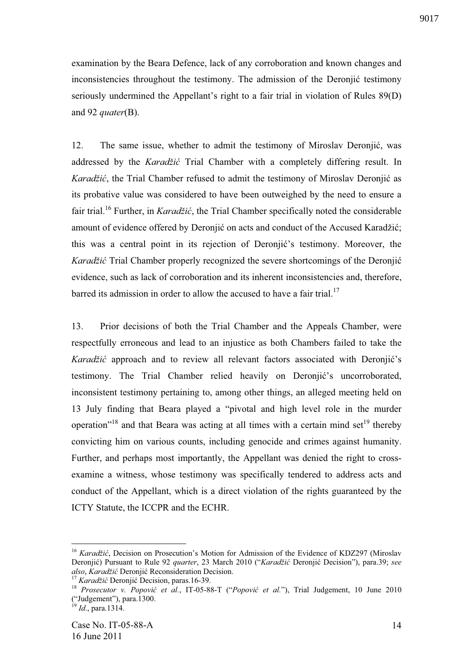examination by the Beara Defence, lack of any corroboration and known changes and inconsistencies throughout the testimony. The admission of the Deronjić testimony seriously undermined the Appellant's right to a fair trial in violation of Rules 89(D)

12. The same issue, whether to admit the testimony of Miroslav Deronjić, was addressed by the *Karadžić* Trial Chamber with a completely differing result. In *Karadžić*, the Trial Chamber refused to admit the testimony of Miroslav Deronjić as its probative value was considered to have been outweighed by the need to ensure a fair trial.<sup>16</sup> Further, in *Karadžić*, the Trial Chamber specifically noted the considerable amount of evidence offered by Deronjić on acts and conduct of the Accused Karadžić; this was a central point in its rejection of Deronjić's testimony. Moreover, the *Karadžić* Trial Chamber properly recognized the severe shortcomings of the Deronjić evidence, such as lack of corroboration and its inherent inconsistencies and, therefore, barred its admission in order to allow the accused to have a fair trial.<sup>17</sup>

13. Prior decisions of both the Trial Chamber and the Appeals Chamber, were respectfully erroneous and lead to an injustice as both Chambers failed to take the *Karadžić* approach and to review all relevant factors associated with Deronjić's testimony. The Trial Chamber relied heavily on Deronjić's uncorroborated, inconsistent testimony pertaining to, among other things, an alleged meeting held on 13 July finding that Beara played a "pivotal and high level role in the murder operation"<sup>18</sup> and that Beara was acting at all times with a certain mind set<sup>19</sup> thereby convicting him on various counts, including genocide and crimes against humanity. Further, and perhaps most importantly, the Appellant was denied the right to crossexamine a witness, whose testimony was specifically tendered to address acts and conduct of the Appellant, which is a direct violation of the rights guaranteed by the ICTY Statute, the ICCPR and the ECHR.

1

and 92 *quater*(B).

<sup>&</sup>lt;sup>16</sup> *Karadžić*, Decision on Prosecution's Motion for Admission of the Evidence of KDZ297 (Miroslav Deroniić) Pursuant to Rule 92 *quarter*, 23 March 2010 ("Karadžić Deronjić Decision"), para.39; see *also*, *Karadžić* Deronjić Reconsideration Decision.

<sup>&</sup>lt;sup>17</sup> *Karadžić* Deronjić Decision, paras.16-39.

<sup>&</sup>lt;sup>18</sup> *Prosecutor v. Popović et al.*, IT-05-88-T ("*Popović et al.*"), Trial Judgement, 10 June 2010 ("Judgement"), para.1300.

<sup>19</sup> *Id*., para.1314.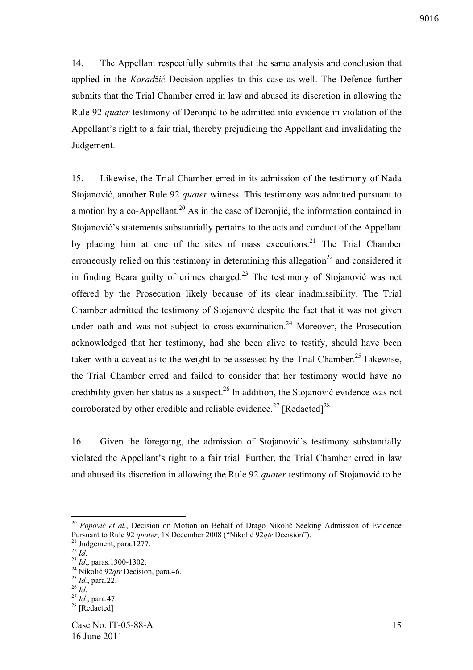14. The Appellant respectfully submits that the same analysis and conclusion that applied in the *Karadžić* Decision applies to this case as well. The Defence further submits that the Trial Chamber erred in law and abused its discretion in allowing the Rule 92 *quater* testimony of Deronjić to be admitted into evidence in violation of the Appellant's right to a fair trial, thereby prejudicing the Appellant and invalidating the Judgement.

15. Likewise, the Trial Chamber erred in its admission of the testimony of Nada Stojanović, another Rule 92 *quater* witness. This testimony was admitted pursuant to a motion by a co-Appellant.<sup>20</sup> As in the case of Deroniić, the information contained in Stojanović's statements substantially pertains to the acts and conduct of the Appellant by placing him at one of the sites of mass executions.<sup>21</sup> The Trial Chamber erroneously relied on this testimony in determining this allegation<sup>22</sup> and considered it in finding Beara guilty of crimes charged.<sup>23</sup> The testimony of Stojanović was not offered by the Prosecution likely because of its clear inadmissibility. The Trial Chamber admitted the testimony of Stojanović despite the fact that it was not given under oath and was not subject to cross-examination.<sup>24</sup> Moreover, the Prosecution acknowledged that her testimony, had she been alive to testify, should have been taken with a caveat as to the weight to be assessed by the Trial Chamber.<sup>25</sup> Likewise, the Trial Chamber erred and failed to consider that her testimony would have no credibility given her status as a suspect.<sup>26</sup> In addition, the Stojanović evidence was not corroborated by other credible and reliable evidence.<sup>27</sup> [Redacted]<sup>28</sup>

16. Given the foregoing, the admission of Stojanović's testimony substantially violated the Appellant's right to a fair trial. Further, the Trial Chamber erred in law and abused its discretion in allowing the Rule 92 *quater* testimony of Stojanović to be

<sup>&</sup>lt;sup>20</sup> Popović et al., Decision on Motion on Behalf of Drago Nikolić Seeking Admission of Evidence Pursuant to Rule 92 *quater*, 18 December 2008 ("Nikolić 92*qtr* Decision").

 $21$  Judgement, para.1277.

 $^{22}$  *Id.* 

<sup>23</sup> *Id*., paras.1300-1302.

<sup>&</sup>lt;sup>24</sup> Nikolić 92*qtr* Decision, para.46.

<sup>25</sup> *Id.*, para.22.

<sup>26</sup> *Id*.

<sup>27</sup> *Id.*, para.47.

<sup>&</sup>lt;sup>28</sup> [Redacted]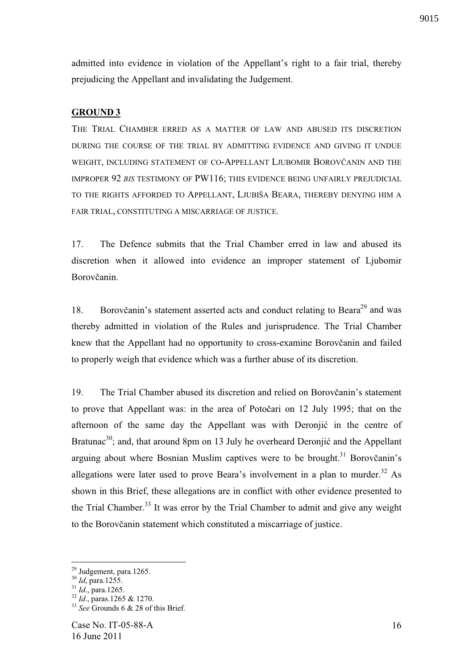admitted into evidence in violation of the Appellant's right to a fair trial, thereby prejudicing the Appellant and invalidating the Judgement.

#### **GROUND 3**

THE TRIAL CHAMBER ERRED AS A MATTER OF LAW AND ABUSED ITS DISCRETION DURING THE COURSE OF THE TRIAL BY ADMITTING EVIDENCE AND GIVING IT UNDUE WEIGHT, INCLUDING STATEMENT OF CO-APPELLANT LJUBOMIR BOROVČANIN AND THE IMPROPER 92 *BIS* TESTIMONY OF PW116; THIS EVIDENCE BEING UNFAIRLY PREJUDICIAL TO THE RIGHTS AFFORDED TO APPELLANT, LJUBIŠA BEARA, THEREBY DENYING HIM A FAIR TRIAL, CONSTITUTING A MISCARRIAGE OF JUSTICE.

17. The Defence submits that the Trial Chamber erred in law and abused its discretion when it allowed into evidence an improper statement of Ljubomir Borovčanin.

18. Borovčanin's statement asserted acts and conduct relating to Beara<sup>29</sup> and was thereby admitted in violation of the Rules and jurisprudence. The Trial Chamber knew that the Appellant had no opportunity to cross-examine Borovčanin and failed to properly weigh that evidence which was a further abuse of its discretion.

19. The Trial Chamber abused its discretion and relied on Borovčanin's statement to prove that Appellant was: in the area of Potočari on 12 July 1995; that on the afternoon of the same day the Appellant was with Deronjić in the centre of Bratunac<sup>30</sup>; and, that around 8pm on 13 July he overheard Deronjić and the Appellant arguing about where Bosnian Muslim captives were to be brought.<sup>31</sup> Borovčanin's allegations were later used to prove Beara's involvement in a plan to murder.<sup>32</sup> As shown in this Brief, these allegations are in conflict with other evidence presented to the Trial Chamber.<sup>33</sup> It was error by the Trial Chamber to admit and give any weight to the Borovčanin statement which constituted a miscarriage of justice.

 $29$  Judgement, para.1265.

<sup>&</sup>lt;sup>30</sup> *Id*, para.1255.

<sup>31</sup> *Id*., para.1265.

<sup>32</sup> *Id*., paras.1265 & 1270.

<sup>&</sup>lt;sup>33</sup> *See* Grounds 6 & 28 of this Brief.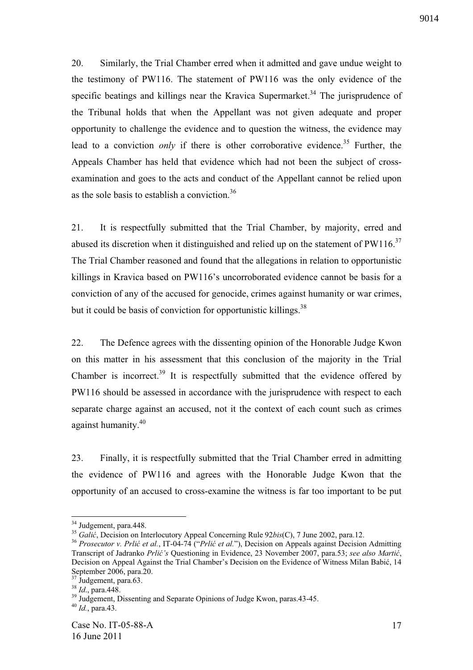20. Similarly, the Trial Chamber erred when it admitted and gave undue weight to the testimony of PW116. The statement of PW116 was the only evidence of the specific beatings and killings near the Kravica Supermarket.<sup>34</sup> The jurisprudence of the Tribunal holds that when the Appellant was not given adequate and proper opportunity to challenge the evidence and to question the witness, the evidence may lead to a conviction *only* if there is other corroborative evidence.<sup>35</sup> Further, the Appeals Chamber has held that evidence which had not been the subject of crossexamination and goes to the acts and conduct of the Appellant cannot be relied upon as the sole basis to establish a conviction.<sup>36</sup>

21. It is respectfully submitted that the Trial Chamber, by majority, erred and abused its discretion when it distinguished and relied up on the statement of  $PW116$ <sup>37</sup> The Trial Chamber reasoned and found that the allegations in relation to opportunistic killings in Kravica based on PW116's uncorroborated evidence cannot be basis for a conviction of any of the accused for genocide, crimes against humanity or war crimes, but it could be basis of conviction for opportunistic killings.<sup>38</sup>

22. The Defence agrees with the dissenting opinion of the Honorable Judge Kwon on this matter in his assessment that this conclusion of the majority in the Trial Chamber is incorrect.<sup>39</sup> It is respectfully submitted that the evidence offered by PW116 should be assessed in accordance with the jurisprudence with respect to each separate charge against an accused, not it the context of each count such as crimes against humanity.<sup>40</sup>

23. Finally, it is respectfully submitted that the Trial Chamber erred in admitting the evidence of PW116 and agrees with the Honorable Judge Kwon that the opportunity of an accused to cross-examine the witness is far too important to be put

<sup>&</sup>lt;sup>34</sup> Judgement, para.448.

<sup>&</sup>lt;sup>35</sup> *Galić*, Decision on Interlocutory Appeal Concerning Rule 92*bis*(C), 7 June 2002, para.12.

<sup>36</sup> *Prosecutor v. Prli et al.*, IT-04-74 ("*Prli et al.*"), Decision on Appeals against Decision Admitting Transcript of Jadranko *Prlić's* Questioning in Evidence, 23 November 2007, para.53; *see also Martić*, Decision on Appeal Against the Trial Chamber's Decision on the Evidence of Witness Milan Babić, 14 September 2006, para.20.

 $37 \text{ J}$ udgement, para.63.

<sup>38</sup> *Id*., para.448.

<sup>&</sup>lt;sup>39</sup> Judgement, Dissenting and Separate Opinions of Judge Kwon, paras.43-45.

<sup>40</sup> *Id.*, para.43.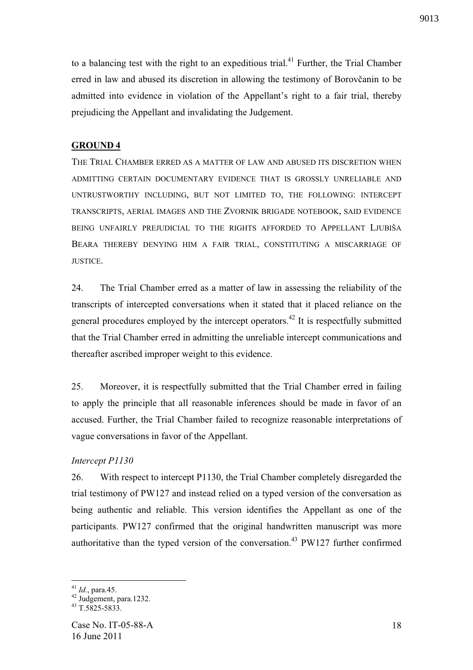to a balancing test with the right to an expeditious trial.<sup>41</sup> Further, the Trial Chamber erred in law and abused its discretion in allowing the testimony of Borovčanin to be admitted into evidence in violation of the Appellant's right to a fair trial, thereby prejudicing the Appellant and invalidating the Judgement.

#### **GROUND 4**

THE TRIAL CHAMBER ERRED AS A MATTER OF LAW AND ABUSED ITS DISCRETION WHEN ADMITTING CERTAIN DOCUMENTARY EVIDENCE THAT IS GROSSLY UNRELIABLE AND UNTRUSTWORTHY INCLUDING, BUT NOT LIMITED TO, THE FOLLOWING: INTERCEPT TRANSCRIPTS, AERIAL IMAGES AND THE ZVORNIK BRIGADE NOTEBOOK, SAID EVIDENCE BEING UNFAIRLY PREJUDICIAL TO THE RIGHTS AFFORDED TO APPELLANT LJUBIŠA BEARA THEREBY DENYING HIM A FAIR TRIAL, CONSTITUTING A MISCARRIAGE OF JUSTICE.

24. The Trial Chamber erred as a matter of law in assessing the reliability of the transcripts of intercepted conversations when it stated that it placed reliance on the general procedures employed by the intercept operators.<sup>42</sup> It is respectfully submitted that the Trial Chamber erred in admitting the unreliable intercept communications and thereafter ascribed improper weight to this evidence.

25. Moreover, it is respectfully submitted that the Trial Chamber erred in failing to apply the principle that all reasonable inferences should be made in favor of an accused. Further, the Trial Chamber failed to recognize reasonable interpretations of vague conversations in favor of the Appellant.

#### *Intercept P1130*

26. With respect to intercept P1130, the Trial Chamber completely disregarded the trial testimony of PW127 and instead relied on a typed version of the conversation as being authentic and reliable. This version identifies the Appellant as one of the participants. PW127 confirmed that the original handwritten manuscript was more authoritative than the typed version of the conversation.<sup>43</sup> PW127 further confirmed

<u>.</u>

<sup>41</sup> *Id.*, para.45.

<sup>&</sup>lt;sup>42</sup> Judgement, para.1232.

 $43 \overline{T}$ .5825-5833.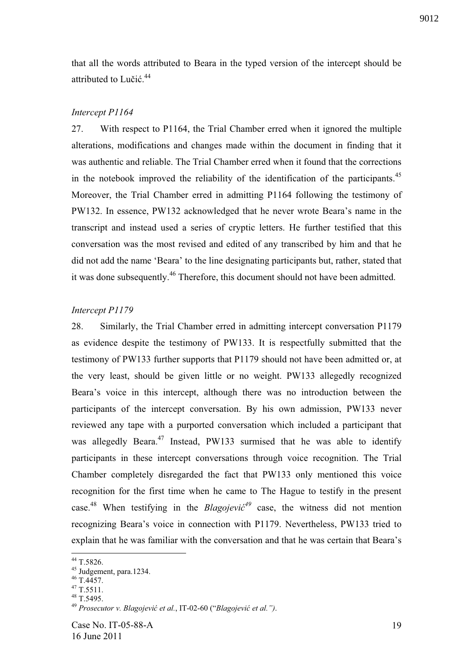that all the words attributed to Beara in the typed version of the intercept should be attributed to Lučić.<sup>44</sup>

# *Intercept P1164*

27. With respect to P1164, the Trial Chamber erred when it ignored the multiple alterations, modifications and changes made within the document in finding that it was authentic and reliable. The Trial Chamber erred when it found that the corrections in the notebook improved the reliability of the identification of the participants.<sup>45</sup> Moreover, the Trial Chamber erred in admitting P1164 following the testimony of PW132. In essence, PW132 acknowledged that he never wrote Beara's name in the transcript and instead used a series of cryptic letters. He further testified that this conversation was the most revised and edited of any transcribed by him and that he did not add the name 'Beara' to the line designating participants but, rather, stated that it was done subsequently.<sup>46</sup> Therefore, this document should not have been admitted.

# *Intercept P1179*

28. Similarly, the Trial Chamber erred in admitting intercept conversation P1179 as evidence despite the testimony of PW133. It is respectfully submitted that the testimony of PW133 further supports that P1179 should not have been admitted or, at the very least, should be given little or no weight. PW133 allegedly recognized Beara's voice in this intercept, although there was no introduction between the participants of the intercept conversation. By his own admission, PW133 never reviewed any tape with a purported conversation which included a participant that was allegedly Beara.<sup>47</sup> Instead, PW133 surmised that he was able to identify participants in these intercept conversations through voice recognition. The Trial Chamber completely disregarded the fact that PW133 only mentioned this voice recognition for the first time when he came to The Hague to testify in the present case.<sup>48</sup> When testifying in the *Blagojevic*<sup>49</sup> case, the witness did not mention recognizing Beara's voice in connection with P1179. Nevertheless, PW133 tried to explain that he was familiar with the conversation and that he was certain that Beara's

<u>.</u>

<sup>44</sup> T.5826.

<sup>45</sup> Judgement, para.1234.

 $^{46}$  T.4457.

 $47$  T.5511.

<sup>48</sup> T.5495.

<sup>49</sup> *Prosecutor v. Blagojevi et al.*, IT-02-60 ("*Blagojevi et al.")*.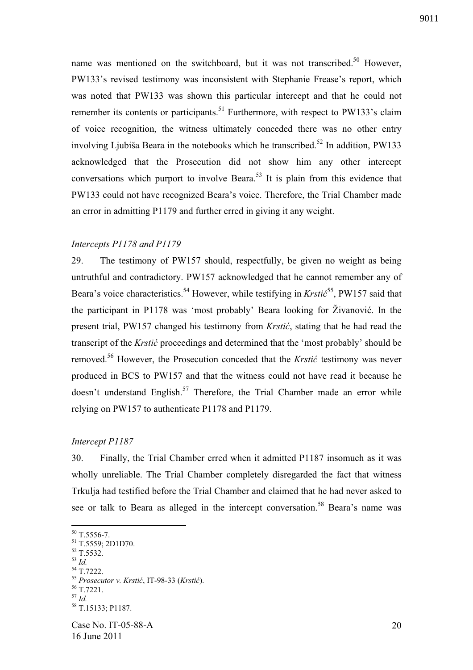name was mentioned on the switchboard, but it was not transcribed.<sup>50</sup> However, PW133's revised testimony was inconsistent with Stephanie Frease's report, which was noted that PW133 was shown this particular intercept and that he could not remember its contents or participants.<sup>51</sup> Furthermore, with respect to PW133's claim of voice recognition, the witness ultimately conceded there was no other entry involving Liubiša Beara in the notebooks which he transcribed.<sup>52</sup> In addition, PW133 acknowledged that the Prosecution did not show him any other intercept conversations which purport to involve Beara.<sup>53</sup> It is plain from this evidence that PW133 could not have recognized Beara's voice. Therefore, the Trial Chamber made an error in admitting P1179 and further erred in giving it any weight.

# *Intercepts P1178 and P1179*

29. The testimony of PW157 should, respectfully, be given no weight as being untruthful and contradictory. PW157 acknowledged that he cannot remember any of Beara's voice characteristics.<sup>54</sup> However, while testifying in *Krstic*<sup>55</sup>, PW157 said that the participant in P1178 was 'most probably' Beara looking for Živanović. In the present trial, PW157 changed his testimony from *Krstić*, stating that he had read the transcript of the *Krstic* proceedings and determined that the 'most probably' should be removed.<sup>56</sup> However, the Prosecution conceded that the *Krstić* testimony was never produced in BCS to PW157 and that the witness could not have read it because he doesn't understand English.<sup>57</sup> Therefore, the Trial Chamber made an error while relying on PW157 to authenticate P1178 and P1179.

#### *Intercept P1187*

30. Finally, the Trial Chamber erred when it admitted P1187 insomuch as it was wholly unreliable. The Trial Chamber completely disregarded the fact that witness Trkulja had testified before the Trial Chamber and claimed that he had never asked to see or talk to Beara as alleged in the intercept conversation.<sup>58</sup> Beara's name was

<sup>54</sup> T.7222.

<u>.</u>

<sup>56</sup> T.7221.

 $50$  T.5556-7.

<sup>51</sup> T.5559; 2D1D70.  $52$  T.5532.

<sup>53</sup> *Id.* 

<sup>&</sup>lt;sup>55</sup> Prosecutor v. Krstić, IT-98-33 (Krstić).

<sup>57</sup> *Id.*

<sup>58</sup> T.15133; P1187.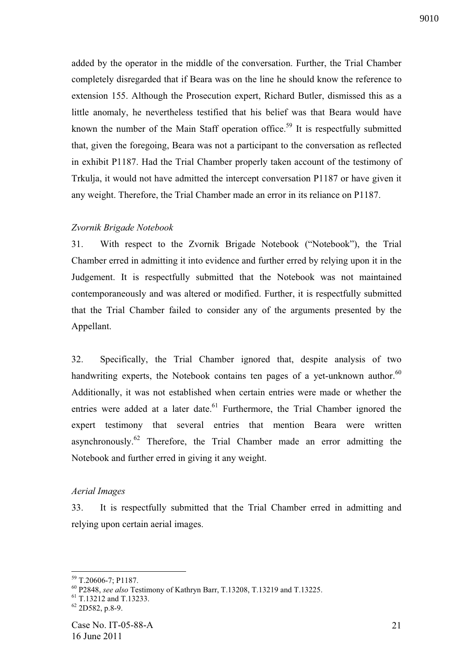added by the operator in the middle of the conversation. Further, the Trial Chamber completely disregarded that if Beara was on the line he should know the reference to extension 155. Although the Prosecution expert, Richard Butler, dismissed this as a little anomaly, he nevertheless testified that his belief was that Beara would have known the number of the Main Staff operation office.<sup>59</sup> It is respectfully submitted that, given the foregoing, Beara was not a participant to the conversation as reflected in exhibit P1187. Had the Trial Chamber properly taken account of the testimony of Trkulja, it would not have admitted the intercept conversation P1187 or have given it any weight. Therefore, the Trial Chamber made an error in its reliance on P1187.

## *Zvornik Brigade Notebook*

31. With respect to the Zvornik Brigade Notebook ("Notebook"), the Trial Chamber erred in admitting it into evidence and further erred by relying upon it in the Judgement. It is respectfully submitted that the Notebook was not maintained contemporaneously and was altered or modified. Further, it is respectfully submitted that the Trial Chamber failed to consider any of the arguments presented by the Appellant.

32. Specifically, the Trial Chamber ignored that, despite analysis of two handwriting experts, the Notebook contains ten pages of a yet-unknown author. $60$ Additionally, it was not established when certain entries were made or whether the entries were added at a later date.<sup>61</sup> Furthermore, the Trial Chamber ignored the expert testimony that several entries that mention Beara were written asynchronously.<sup>62</sup> Therefore, the Trial Chamber made an error admitting the Notebook and further erred in giving it any weight.

## *Aerial Images*

33. It is respectfully submitted that the Trial Chamber erred in admitting and relying upon certain aerial images.

<sup>1</sup> <sup>59</sup> T.20606-7; P1187.

<sup>60</sup> P2848, *see also* Testimony of Kathryn Barr, T.13208, T.13219 and T.13225.

 $61$  T.13212 and T.13233.

 $62$  2D582, p.8-9.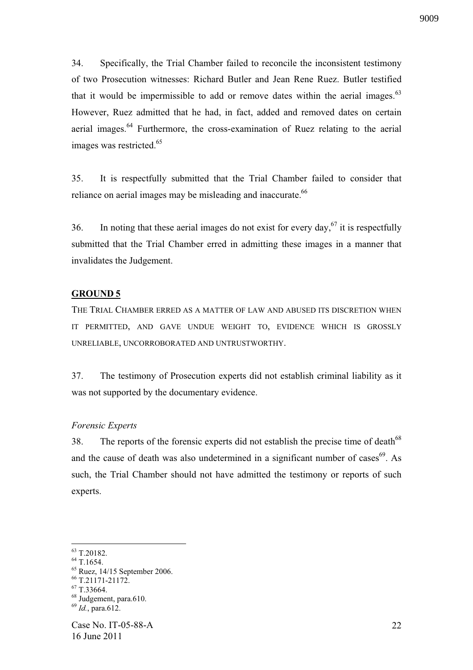34. Specifically, the Trial Chamber failed to reconcile the inconsistent testimony of two Prosecution witnesses: Richard Butler and Jean Rene Ruez. Butler testified that it would be impermissible to add or remove dates within the aerial images. $63$ However, Ruez admitted that he had, in fact, added and removed dates on certain aerial images.<sup>64</sup> Furthermore, the cross-examination of Ruez relating to the aerial images was restricted.<sup>65</sup>

35. It is respectfully submitted that the Trial Chamber failed to consider that reliance on aerial images may be misleading and inaccurate.<sup>66</sup>

36. In noting that these aerial images do not exist for every day,  $67$  it is respectfully submitted that the Trial Chamber erred in admitting these images in a manner that invalidates the Judgement.

## **GROUND 5**

THE TRIAL CHAMBER ERRED AS A MATTER OF LAW AND ABUSED ITS DISCRETION WHEN IT PERMITTED, AND GAVE UNDUE WEIGHT TO, EVIDENCE WHICH IS GROSSLY UNRELIABLE, UNCORROBORATED AND UNTRUSTWORTHY.

37. The testimony of Prosecution experts did not establish criminal liability as it was not supported by the documentary evidence.

#### *Forensic Experts*

38. The reports of the forensic experts did not establish the precise time of death<sup>68</sup> and the cause of death was also undetermined in a significant number of cases<sup>69</sup>. As such, the Trial Chamber should not have admitted the testimony or reports of such experts.

<sup>63</sup> T.20182.

<sup>64</sup> T.1654.

<sup>65</sup> Ruez, 14/15 September 2006.

<sup>66</sup> T.21171-21172.

<sup>67</sup> T.33664.

<sup>&</sup>lt;sup>68</sup> Judgement, para.610.

<sup>69</sup> *Id.*, para.612.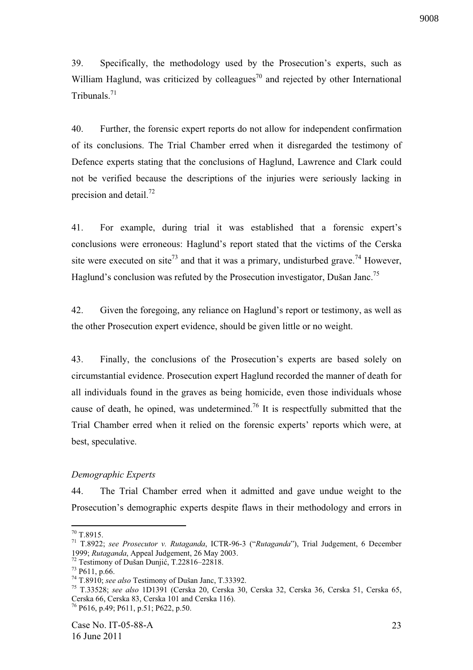39. Specifically, the methodology used by the Prosecution's experts, such as William Haglund, was criticized by colleagues<sup>70</sup> and rejected by other International Tribunals.<sup>71</sup>

40. Further, the forensic expert reports do not allow for independent confirmation of its conclusions. The Trial Chamber erred when it disregarded the testimony of Defence experts stating that the conclusions of Haglund, Lawrence and Clark could not be verified because the descriptions of the injuries were seriously lacking in precision and detail. $^{72}$ 

41. For example, during trial it was established that a forensic expert's conclusions were erroneous: Haglund's report stated that the victims of the Cerska site were executed on site<sup>73</sup> and that it was a primary, undisturbed grave.<sup>74</sup> However, Haglund's conclusion was refuted by the Prosecution investigator, Dušan Janc.<sup>75</sup>

42. Given the foregoing, any reliance on Haglund's report or testimony, as well as the other Prosecution expert evidence, should be given little or no weight.

43. Finally, the conclusions of the Prosecution's experts are based solely on circumstantial evidence. Prosecution expert Haglund recorded the manner of death for all individuals found in the graves as being homicide, even those individuals whose cause of death, he opined, was undetermined.<sup>76</sup> It is respectfully submitted that the Trial Chamber erred when it relied on the forensic experts' reports which were, at best, speculative.

## *Demographic Experts*

44. The Trial Chamber erred when it admitted and gave undue weight to the Prosecution's demographic experts despite flaws in their methodology and errors in

<u>.</u>

 $70$  T.8915.

<sup>71</sup> T.8922; *see Prosecutor v. Rutaganda*, ICTR-96-3 ("*Rutaganda*"), Trial Judgement, 6 December 1999; *Rutaganda*, Appeal Judgement, 26 May 2003.

 $72$  Testimony of Dušan Dunjić, T.22816–22818.

<sup>73</sup> P611, p.66.

<sup>74</sup> T.8910; *see also* Testimony of Dušan Janc, T.33392.

<sup>75</sup> T.33528; *see also* 1D1391 (Cerska 20, Cerska 30, Cerska 32, Cerska 36, Cerska 51, Cerska 65, Cerska 66, Cerska 83, Cerska 101 and Cerska 116).

<sup>76</sup> P616, p.49; P611, p.51; P622, p.50.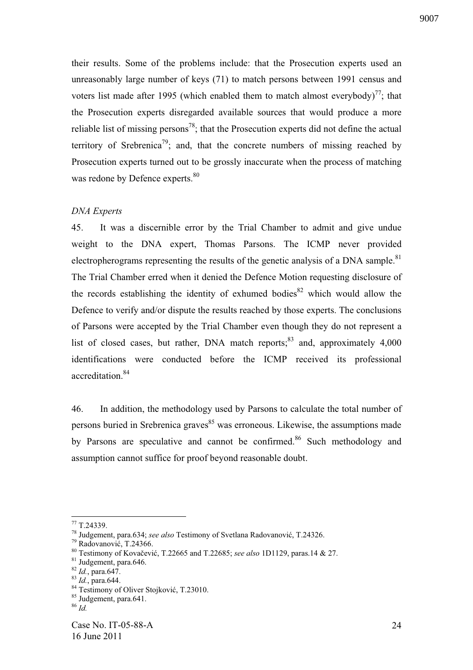their results. Some of the problems include: that the Prosecution experts used an unreasonably large number of keys (71) to match persons between 1991 census and voters list made after 1995 (which enabled them to match almost everybody)<sup>77</sup>; that the Prosecution experts disregarded available sources that would produce a more reliable list of missing persons<sup>78</sup>; that the Prosecution experts did not define the actual territory of Srebrenica<sup>79</sup>; and, that the concrete numbers of missing reached by Prosecution experts turned out to be grossly inaccurate when the process of matching was redone by Defence experts.<sup>80</sup>

## *DNA Experts*

45. It was a discernible error by the Trial Chamber to admit and give undue weight to the DNA expert, Thomas Parsons. The ICMP never provided electropherograms representing the results of the genetic analysis of a DNA sample.<sup>81</sup> The Trial Chamber erred when it denied the Defence Motion requesting disclosure of the records establishing the identity of exhumed bodies $82$  which would allow the Defence to verify and/or dispute the results reached by those experts. The conclusions of Parsons were accepted by the Trial Chamber even though they do not represent a list of closed cases, but rather, DNA match reports; $^{83}$  and, approximately 4,000 identifications were conducted before the ICMP received its professional accreditation.<sup>84</sup>

46. In addition, the methodology used by Parsons to calculate the total number of persons buried in Srebrenica graves<sup>85</sup> was erroneous. Likewise, the assumptions made by Parsons are speculative and cannot be confirmed.<sup>86</sup> Such methodology and assumption cannot suffice for proof beyond reasonable doubt.

 $77$  T.24339.

<sup>&</sup>lt;sup>78</sup> Judgement, para.634; *see also* Testimony of Svetlana Radovanović, T.24326.

 $79$  Radovanović, T.24366.

<sup>&</sup>lt;sup>80</sup> Testimony of Kovačević, T.22665 and T.22685; see also 1D1129, paras.14 & 27.

<sup>81</sup> Judgement, para.646.

<sup>82</sup> *Id.*, para.647.

<sup>83</sup> *Id.*, para.644.

<sup>&</sup>lt;sup>84</sup> Testimony of Oliver Stojković, T.23010.

<sup>85</sup> Judgement, para.641.

 $86$   $\overline{Id}$ .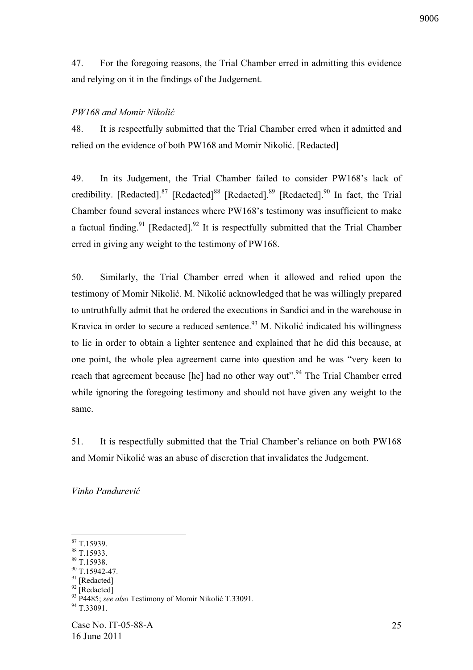47. For the foregoing reasons, the Trial Chamber erred in admitting this evidence and relying on it in the findings of the Judgement.

# *PW168 and Momir Nikoli*

48. It is respectfully submitted that the Trial Chamber erred when it admitted and relied on the evidence of both PW168 and Momir Nikolić. [Redacted]

49. In its Judgement, the Trial Chamber failed to consider PW168's lack of credibility. [Redacted].<sup>87</sup> [Redacted].<sup>88</sup> [Redacted].<sup>89</sup> [Redacted].<sup>90</sup> In fact, the Trial Chamber found several instances where PW168's testimony was insufficient to make a factual finding.<sup>91</sup> [Redacted].<sup>92</sup> It is respectfully submitted that the Trial Chamber erred in giving any weight to the testimony of PW168.

50. Similarly, the Trial Chamber erred when it allowed and relied upon the testimony of Momir Nikolić. M. Nikolić acknowledged that he was willingly prepared to untruthfully admit that he ordered the executions in Sandici and in the warehouse in Kravica in order to secure a reduced sentence.<sup>93</sup> M. Nikolić indicated his willingness to lie in order to obtain a lighter sentence and explained that he did this because, at one point, the whole plea agreement came into question and he was "very keen to reach that agreement because [he] had no other way out".<sup>94</sup> The Trial Chamber erred while ignoring the foregoing testimony and should not have given any weight to the same.

51. It is respectfully submitted that the Trial Chamber's reliance on both PW168 and Momir Nikolić was an abuse of discretion that invalidates the Judgement.

*Vinko Pandurevi* 

<sup>1</sup> <sup>87</sup> T.15939.

<sup>88</sup> T.15933.

<sup>89</sup> T.15938.

<sup>90</sup> T.15942-47.

<sup>&</sup>lt;sup>91</sup> [Redacted]

<sup>&</sup>lt;sup>92</sup> [Redacted]

<sup>&</sup>lt;sup>93</sup> P4485; *see also* Testimony of Momir Nikolić T.33091.

<sup>&</sup>lt;sup>94</sup> T.33091.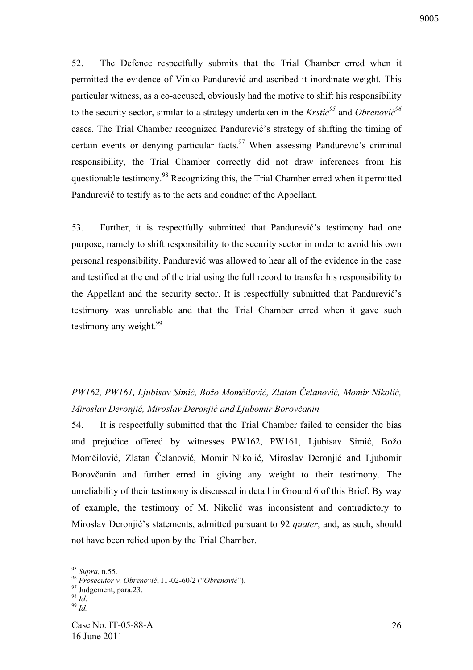52. The Defence respectfully submits that the Trial Chamber erred when it permitted the evidence of Vinko Pandurević and ascribed it inordinate weight. This particular witness, as a co-accused, obviously had the motive to shift his responsibility to the security sector, similar to a strategy undertaken in the *Krstic*<sup>95</sup> and *Obrenovic*<sup>96</sup> cases. The Trial Chamber recognized Pandurević's strategy of shifting the timing of certain events or denying particular facts.<sup>97</sup> When assessing Pandurević's criminal responsibility, the Trial Chamber correctly did not draw inferences from his questionable testimony.<sup>98</sup> Recognizing this, the Trial Chamber erred when it permitted Pandurević to testify as to the acts and conduct of the Appellant.

53. Further, it is respectfully submitted that Pandurević's testimony had one purpose, namely to shift responsibility to the security sector in order to avoid his own personal responsibility. Pandurević was allowed to hear all of the evidence in the case and testified at the end of the trial using the full record to transfer his responsibility to the Appellant and the security sector. It is respectfully submitted that Pandurević's testimony was unreliable and that the Trial Chamber erred when it gave such testimony any weight.<sup>99</sup>

*PW162, PW161, Ljubisav Simi , Božo Mom!ilovi , Zlatan "elanovi , Momir Nikoli , Miroslav Deronjić, Miroslav Deronjić and Ljubomir Borovčanin* 

54. It is respectfully submitted that the Trial Chamber failed to consider the bias and prejudice offered by witnesses PW162, PW161, Ljubisav Simić, Božo Momčilović, Zlatan Čelanović, Momir Nikolić, Miroslav Deronjić and Ljubomir Borovčanin and further erred in giving any weight to their testimony. The unreliability of their testimony is discussed in detail in Ground 6 of this Brief. By way of example, the testimony of M. Nikolić was inconsistent and contradictory to Miroslav Deronjić's statements, admitted pursuant to 92 *quater*, and, as such, should not have been relied upon by the Trial Chamber.

1

<sup>95</sup> *Supra*, n.55.

<sup>&</sup>lt;sup>96</sup> Prosecutor v. Obrenović, IT-02-60/2 ("Obrenović").

<sup>&</sup>lt;sup>97</sup> Judgement, para.23.

<sup>98</sup> *Id*.

<sup>99</sup> *Id.*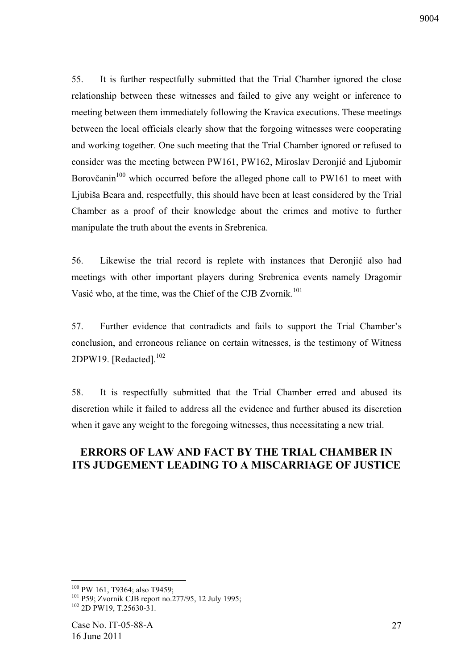9004

55. It is further respectfully submitted that the Trial Chamber ignored the close relationship between these witnesses and failed to give any weight or inference to meeting between them immediately following the Kravica executions. These meetings between the local officials clearly show that the forgoing witnesses were cooperating and working together. One such meeting that the Trial Chamber ignored or refused to consider was the meeting between PW161, PW162, Miroslav Deronjić and Ljubomir Borovčanin<sup>100</sup> which occurred before the alleged phone call to PW161 to meet with Ljubiša Beara and, respectfully, this should have been at least considered by the Trial Chamber as a proof of their knowledge about the crimes and motive to further manipulate the truth about the events in Srebrenica.

56. Likewise the trial record is replete with instances that Deronjić also had meetings with other important players during Srebrenica events namely Dragomir Vasić who, at the time, was the Chief of the CJB Zvornik.<sup>101</sup>

57. Further evidence that contradicts and fails to support the Trial Chamber's conclusion, and erroneous reliance on certain witnesses, is the testimony of Witness 2DPW19. [Redacted].<sup>102</sup>

58. It is respectfully submitted that the Trial Chamber erred and abused its discretion while it failed to address all the evidence and further abused its discretion when it gave any weight to the foregoing witnesses, thus necessitating a new trial.

# **ERRORS OF LAW AND FACT BY THE TRIAL CHAMBER IN ITS JUDGEMENT LEADING TO A MISCARRIAGE OF JUSTICE**

<u>.</u>

<sup>&</sup>lt;sup>100</sup> PW 161, T9364; also T9459;

<sup>101</sup> P59; Zvornik CJB report no.277/95, 12 July 1995; <sup>102</sup> 2D PW19, T.25630-31.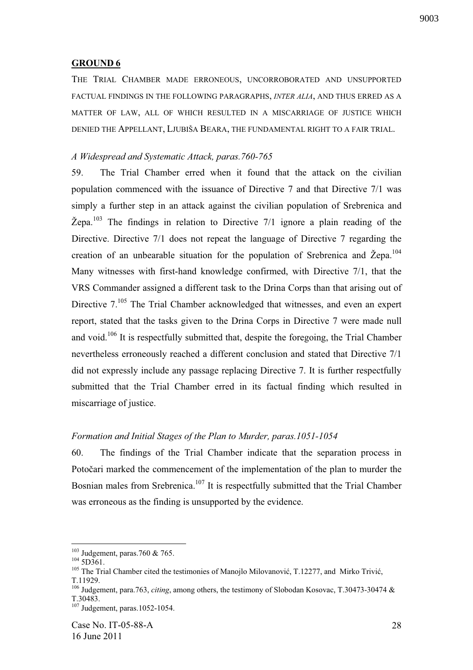## 9003

#### **GROUND 6**

THE TRIAL CHAMBER MADE ERRONEOUS, UNCORROBORATED AND UNSUPPORTED FACTUAL FINDINGS IN THE FOLLOWING PARAGRAPHS, *INTER ALIA*, AND THUS ERRED AS A MATTER OF LAW, ALL OF WHICH RESULTED IN A MISCARRIAGE OF JUSTICE WHICH DENIED THE APPELLANT, LJUBIŠA BEARA, THE FUNDAMENTAL RIGHT TO A FAIR TRIAL.

#### *A Widespread and Systematic Attack, paras.760-765*

59. The Trial Chamber erred when it found that the attack on the civilian population commenced with the issuance of Directive 7 and that Directive 7/1 was simply a further step in an attack against the civilian population of Srebrenica and  $\check{Z}$ epa.<sup>103</sup> The findings in relation to Directive 7/1 ignore a plain reading of the Directive. Directive 7/1 does not repeat the language of Directive 7 regarding the creation of an unbearable situation for the population of Srebrenica and Žepa.<sup>104</sup> Many witnesses with first-hand knowledge confirmed, with Directive 7/1, that the VRS Commander assigned a different task to the Drina Corps than that arising out of Directive 7.<sup>105</sup> The Trial Chamber acknowledged that witnesses, and even an expert report, stated that the tasks given to the Drina Corps in Directive 7 were made null and void.<sup>106</sup> It is respectfully submitted that, despite the foregoing, the Trial Chamber nevertheless erroneously reached a different conclusion and stated that Directive 7/1 did not expressly include any passage replacing Directive 7. It is further respectfully submitted that the Trial Chamber erred in its factual finding which resulted in miscarriage of justice.

#### *Formation and Initial Stages of the Plan to Murder, paras.1051-1054*

60. The findings of the Trial Chamber indicate that the separation process in Potočari marked the commencement of the implementation of the plan to murder the Bosnian males from Srebrenica.<sup>107</sup> It is respectfully submitted that the Trial Chamber was erroneous as the finding is unsupported by the evidence.

 $103$  Judgement, paras.760 & 765.

 $104$  5D361.

 $105$  The Trial Chamber cited the testimonies of Manojlo Milovanović, T.12277, and Mirko Trivić, T.11929.

<sup>106</sup> Judgement, para.763, *citing*, among others, the testimony of Slobodan Kosovac, T.30473-30474 & T.30483.

 $107 \text{Judgement}$ , paras.1052-1054.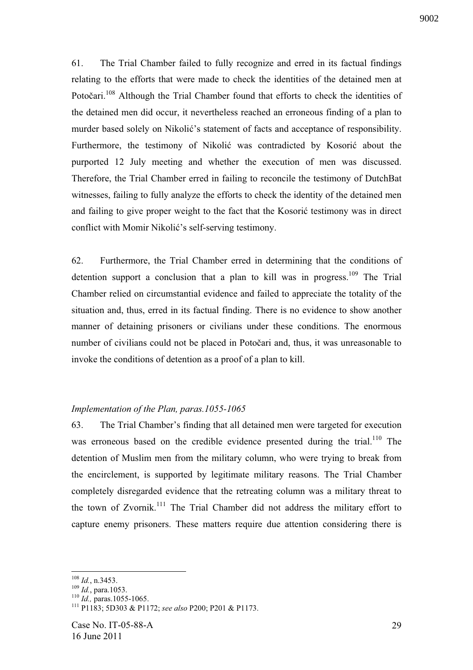61. The Trial Chamber failed to fully recognize and erred in its factual findings relating to the efforts that were made to check the identities of the detained men at Potočari.<sup>108</sup> Although the Trial Chamber found that efforts to check the identities of the detained men did occur, it nevertheless reached an erroneous finding of a plan to murder based solely on Nikolić's statement of facts and acceptance of responsibility. Furthermore, the testimony of Nikolić was contradicted by Kosorić about the purported 12 July meeting and whether the execution of men was discussed. Therefore, the Trial Chamber erred in failing to reconcile the testimony of DutchBat witnesses, failing to fully analyze the efforts to check the identity of the detained men and failing to give proper weight to the fact that the Kosoric testimony was in direct conflict with Momir Nikolić's self-serving testimony.

62. Furthermore, the Trial Chamber erred in determining that the conditions of detention support a conclusion that a plan to kill was in progress.<sup>109</sup> The Trial Chamber relied on circumstantial evidence and failed to appreciate the totality of the situation and, thus, erred in its factual finding. There is no evidence to show another manner of detaining prisoners or civilians under these conditions. The enormous number of civilians could not be placed in Potočari and, thus, it was unreasonable to invoke the conditions of detention as a proof of a plan to kill.

## *Implementation of the Plan, paras.1055-1065*

63. The Trial Chamber's finding that all detained men were targeted for execution was erroneous based on the credible evidence presented during the trial.<sup>110</sup> The detention of Muslim men from the military column, who were trying to break from the encirclement, is supported by legitimate military reasons. The Trial Chamber completely disregarded evidence that the retreating column was a military threat to the town of Zvornik.<sup>111</sup> The Trial Chamber did not address the military effort to capture enemy prisoners. These matters require due attention considering there is

<sup>1</sup> <sup>108</sup> *Id.*, n.3453.

<sup>109</sup> *Id.*, para.1053.

<sup>110</sup> *Id.,* paras.1055-1065.

<sup>111</sup> P1183; 5D303 & P1172; *see also* P200; P201 & P1173.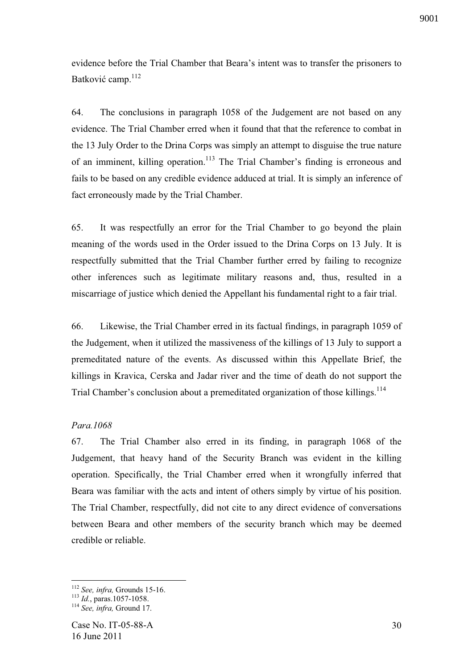evidence before the Trial Chamber that Beara's intent was to transfer the prisoners to Batković camp.<sup>112</sup>

64. The conclusions in paragraph 1058 of the Judgement are not based on any evidence. The Trial Chamber erred when it found that that the reference to combat in the 13 July Order to the Drina Corps was simply an attempt to disguise the true nature of an imminent, killing operation.<sup>113</sup> The Trial Chamber's finding is erroneous and fails to be based on any credible evidence adduced at trial. It is simply an inference of fact erroneously made by the Trial Chamber.

65. It was respectfully an error for the Trial Chamber to go beyond the plain meaning of the words used in the Order issued to the Drina Corps on 13 July. It is respectfully submitted that the Trial Chamber further erred by failing to recognize other inferences such as legitimate military reasons and, thus, resulted in a miscarriage of justice which denied the Appellant his fundamental right to a fair trial.

66. Likewise, the Trial Chamber erred in its factual findings, in paragraph 1059 of the Judgement, when it utilized the massiveness of the killings of 13 July to support a premeditated nature of the events. As discussed within this Appellate Brief, the killings in Kravica, Cerska and Jadar river and the time of death do not support the Trial Chamber's conclusion about a premeditated organization of those killings.<sup>114</sup>

## *Para.1068*

67. The Trial Chamber also erred in its finding, in paragraph 1068 of the Judgement, that heavy hand of the Security Branch was evident in the killing operation. Specifically, the Trial Chamber erred when it wrongfully inferred that Beara was familiar with the acts and intent of others simply by virtue of his position. The Trial Chamber, respectfully, did not cite to any direct evidence of conversations between Beara and other members of the security branch which may be deemed credible or reliable.

<u>.</u>

<sup>112</sup> *See, infra,* Grounds 15-16.

<sup>113</sup> *Id.*, paras.1057-1058.

<sup>114</sup> *See, infra,* Ground 17.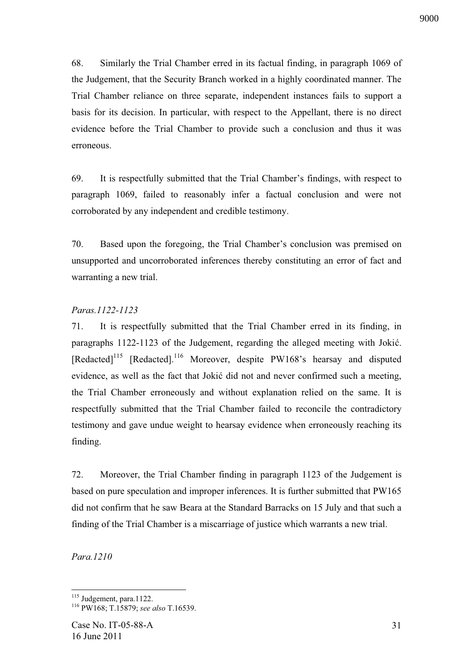68. Similarly the Trial Chamber erred in its factual finding, in paragraph 1069 of the Judgement, that the Security Branch worked in a highly coordinated manner. The Trial Chamber reliance on three separate, independent instances fails to support a basis for its decision. In particular, with respect to the Appellant, there is no direct evidence before the Trial Chamber to provide such a conclusion and thus it was erroneous.

69. It is respectfully submitted that the Trial Chamber's findings, with respect to paragraph 1069, failed to reasonably infer a factual conclusion and were not corroborated by any independent and credible testimony.

70. Based upon the foregoing, the Trial Chamber's conclusion was premised on unsupported and uncorroborated inferences thereby constituting an error of fact and warranting a new trial.

## *Paras.1122-1123*

71. It is respectfully submitted that the Trial Chamber erred in its finding, in paragraphs 1122-1123 of the Judgement, regarding the alleged meeting with Jokić. [Redacted]<sup>115</sup> [Redacted].<sup>116</sup> Moreover, despite PW168's hearsay and disputed evidence, as well as the fact that Jokić did not and never confirmed such a meeting, the Trial Chamber erroneously and without explanation relied on the same. It is respectfully submitted that the Trial Chamber failed to reconcile the contradictory testimony and gave undue weight to hearsay evidence when erroneously reaching its finding.

72. Moreover, the Trial Chamber finding in paragraph 1123 of the Judgement is based on pure speculation and improper inferences. It is further submitted that PW165 did not confirm that he saw Beara at the Standard Barracks on 15 July and that such a finding of the Trial Chamber is a miscarriage of justice which warrants a new trial.

*Para.1210* 

<sup>&</sup>lt;sup>115</sup> Judgement, para.1122.

<sup>116</sup> PW168; T.15879; *see also* T.16539.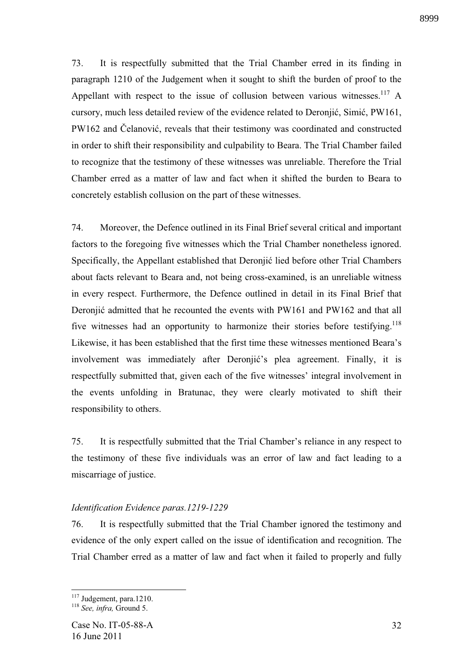73. It is respectfully submitted that the Trial Chamber erred in its finding in paragraph 1210 of the Judgement when it sought to shift the burden of proof to the Appellant with respect to the issue of collusion between various witnesses.<sup>117</sup> A cursory, much less detailed review of the evidence related to Deronjić, Simić, PW161, PW162 and Čelanović, reveals that their testimony was coordinated and constructed in order to shift their responsibility and culpability to Beara. The Trial Chamber failed to recognize that the testimony of these witnesses was unreliable. Therefore the Trial Chamber erred as a matter of law and fact when it shifted the burden to Beara to concretely establish collusion on the part of these witnesses.

74. Moreover, the Defence outlined in its Final Brief several critical and important factors to the foregoing five witnesses which the Trial Chamber nonetheless ignored. Specifically, the Appellant established that Deronjić lied before other Trial Chambers about facts relevant to Beara and, not being cross-examined, is an unreliable witness in every respect. Furthermore, the Defence outlined in detail in its Final Brief that Deronjić admitted that he recounted the events with PW161 and PW162 and that all five witnesses had an opportunity to harmonize their stories before testifying.<sup>118</sup> Likewise, it has been established that the first time these witnesses mentioned Beara's involvement was immediately after Deronjić's plea agreement. Finally, it is respectfully submitted that, given each of the five witnesses' integral involvement in the events unfolding in Bratunac, they were clearly motivated to shift their responsibility to others.

75. It is respectfully submitted that the Trial Chamber's reliance in any respect to the testimony of these five individuals was an error of law and fact leading to a miscarriage of justice.

## *Identification Evidence paras.1219-1229*

76. It is respectfully submitted that the Trial Chamber ignored the testimony and evidence of the only expert called on the issue of identification and recognition. The Trial Chamber erred as a matter of law and fact when it failed to properly and fully

<sup>1</sup>  $117$  Judgement, para.1210.

<sup>118</sup> *See, infra,* Ground 5.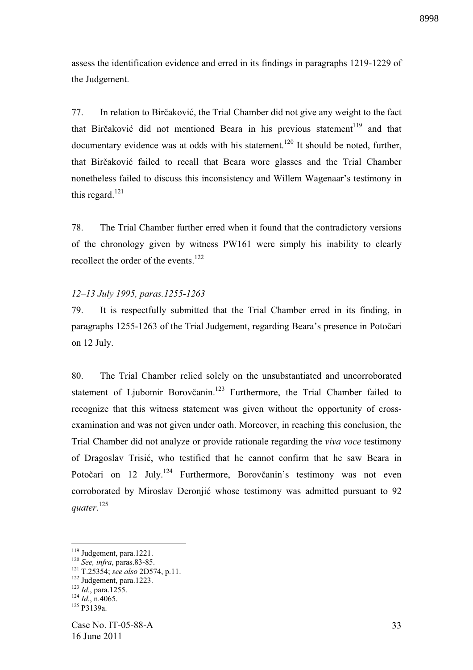assess the identification evidence and erred in its findings in paragraphs 1219-1229 of the Judgement.

77. In relation to Birčaković, the Trial Chamber did not give any weight to the fact that Birčaković did not mentioned Beara in his previous statement<sup>119</sup> and that documentary evidence was at odds with his statement.<sup>120</sup> It should be noted, further, that Birčaković failed to recall that Beara wore glasses and the Trial Chamber nonetheless failed to discuss this inconsistency and Willem Wagenaar's testimony in this regard.<sup>121</sup>

78. The Trial Chamber further erred when it found that the contradictory versions of the chronology given by witness PW161 were simply his inability to clearly recollect the order of the events.<sup>122</sup>

# *12–13 July 1995, paras.1255-1263*

79. It is respectfully submitted that the Trial Chamber erred in its finding, in paragraphs 1255-1263 of the Trial Judgement, regarding Beara's presence in Potočari on 12 July.

80. The Trial Chamber relied solely on the unsubstantiated and uncorroborated statement of Ljubomir Borovčanin.<sup>123</sup> Furthermore, the Trial Chamber failed to recognize that this witness statement was given without the opportunity of crossexamination and was not given under oath. Moreover, in reaching this conclusion, the Trial Chamber did not analyze or provide rationale regarding the *viva voce* testimony of Dragoslav Trisić, who testified that he cannot confirm that he saw Beara in Potočari on  $12 \text{ July.}^{124}$  Furthermore, Borovčanin's testimony was not even corroborated by Miroslav Deronjić whose testimony was admitted pursuant to 92 *quater*. 125

<sup>&</sup>lt;sup>119</sup> Judgement, para.1221.

<sup>120</sup> *See, infra*, paras.83-85.

<sup>121</sup> T.25354; *see also* 2D574, p.11.

<sup>122</sup> Judgement, para.1223.

<sup>123</sup> *Id.*, para.1255.

 $124$  *Id.*, n.4065.

 $125$  P3139a.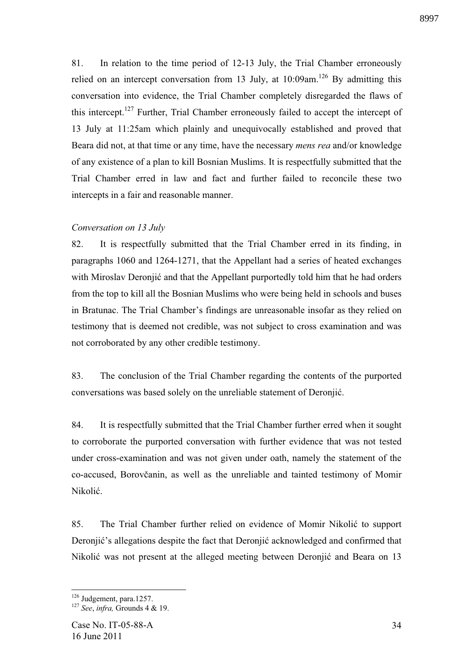81. In relation to the time period of 12-13 July, the Trial Chamber erroneously relied on an intercept conversation from 13 July, at  $10:09$ am.<sup>126</sup> By admitting this conversation into evidence, the Trial Chamber completely disregarded the flaws of this intercept.<sup>127</sup> Further, Trial Chamber erroneously failed to accept the intercept of 13 July at 11:25am which plainly and unequivocally established and proved that Beara did not, at that time or any time, have the necessary *mens rea* and/or knowledge of any existence of a plan to kill Bosnian Muslims. It is respectfully submitted that the Trial Chamber erred in law and fact and further failed to reconcile these two intercepts in a fair and reasonable manner.

# *Conversation on 13 July*

82. It is respectfully submitted that the Trial Chamber erred in its finding, in paragraphs 1060 and 1264-1271, that the Appellant had a series of heated exchanges with Miroslav Deronjić and that the Appellant purportedly told him that he had orders from the top to kill all the Bosnian Muslims who were being held in schools and buses in Bratunac. The Trial Chamber's findings are unreasonable insofar as they relied on testimony that is deemed not credible, was not subject to cross examination and was not corroborated by any other credible testimony.

83. The conclusion of the Trial Chamber regarding the contents of the purported conversations was based solely on the unreliable statement of Deronjić.

84. It is respectfully submitted that the Trial Chamber further erred when it sought to corroborate the purported conversation with further evidence that was not tested under cross-examination and was not given under oath, namely the statement of the co-accused, Borovčanin, as well as the unreliable and tainted testimony of Momir Nikolić.

85. The Trial Chamber further relied on evidence of Momir Nikolić to support Deronjić's allegations despite the fact that Deronjić acknowledged and confirmed that Nikolić was not present at the alleged meeting between Deronjić and Beara on 13

<sup>&</sup>lt;sup>126</sup> Judgement, para.1257.

<sup>127</sup> *See*, *infra,* Grounds 4 & 19.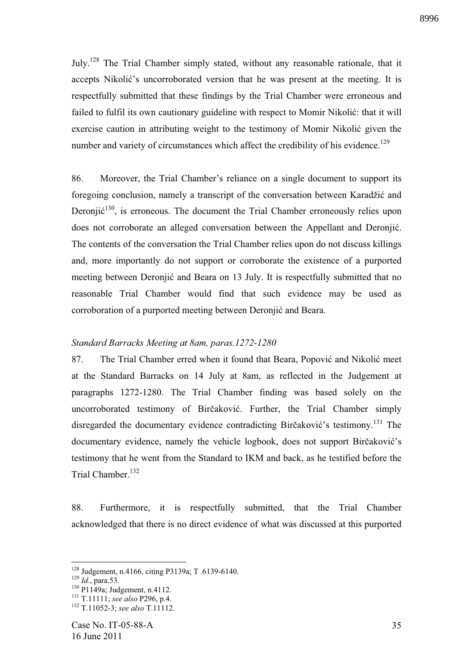July.<sup>128</sup> The Trial Chamber simply stated, without any reasonable rationale, that it accepts Nikolić's uncorroborated version that he was present at the meeting. It is respectfully submitted that these findings by the Trial Chamber were erroneous and failed to fulfil its own cautionary guideline with respect to Momir Nikolić: that it will exercise caution in attributing weight to the testimony of Momir Nikolić given the number and variety of circumstances which affect the credibility of his evidence.<sup>129</sup>

86. Moreover, the Trial Chamber's reliance on a single document to support its foregoing conclusion, namely a transcript of the conversation between Karadžić and Deronji $\acute{\text{c}}^{130}$ , is erroneous. The document the Trial Chamber erroneously relies upon does not corroborate an alleged conversation between the Appellant and Deronjić. The contents of the conversation the Trial Chamber relies upon do not discuss killings and, more importantly do not support or corroborate the existence of a purported meeting between Deronjić and Beara on 13 July. It is respectfully submitted that no reasonable Trial Chamber would find that such evidence may be used as corroboration of a purported meeting between Deronjić and Beara.

#### *Standard Barracks Meeting at 8am, paras.1272-1280*

87. The Trial Chamber erred when it found that Beara, Popović and Nikolić meet at the Standard Barracks on 14 July at 8am, as reflected in the Judgement at paragraphs 1272-1280. The Trial Chamber finding was based solely on the uncorroborated testimony of Birčaković. Further, the Trial Chamber simply disregarded the documentary evidence contradicting Birčaković's testimony.<sup>131</sup> The documentary evidence, namely the vehicle logbook, does not support Birčaković's testimony that he went from the Standard to IKM and back, as he testified before the Trial Chamber.<sup>132</sup>

88. Furthermore, it is respectfully submitted, that the Trial Chamber acknowledged that there is no direct evidence of what was discussed at this purported

1

<sup>130</sup> P1149a; Judgement, n.4112.

<sup>128</sup> Judgement, n.4166, citing P3139a; T .6139-6140.

<sup>129</sup> *Id.*, para.53.

<sup>131</sup> T.11111; *see also* P296, p.4.

<sup>132</sup> T.11052-3; *see also* T.11112.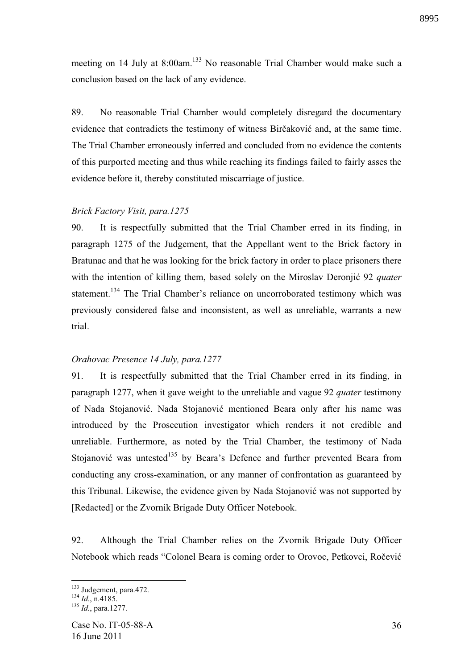meeting on 14 July at 8:00am.<sup>133</sup> No reasonable Trial Chamber would make such a conclusion based on the lack of any evidence.

89. No reasonable Trial Chamber would completely disregard the documentary evidence that contradicts the testimony of witness Birčaković and, at the same time. The Trial Chamber erroneously inferred and concluded from no evidence the contents of this purported meeting and thus while reaching its findings failed to fairly asses the evidence before it, thereby constituted miscarriage of justice.

#### *Brick Factory Visit, para.1275*

90. It is respectfully submitted that the Trial Chamber erred in its finding, in paragraph 1275 of the Judgement, that the Appellant went to the Brick factory in Bratunac and that he was looking for the brick factory in order to place prisoners there with the intention of killing them, based solely on the Miroslav Deronjić 92 *quater* statement.<sup>134</sup> The Trial Chamber's reliance on uncorroborated testimony which was previously considered false and inconsistent, as well as unreliable, warrants a new trial.

#### *Orahovac Presence 14 July, para.1277*

91. It is respectfully submitted that the Trial Chamber erred in its finding, in paragraph 1277, when it gave weight to the unreliable and vague 92 *quater* testimony of Nada Stojanović. Nada Stojanović mentioned Beara only after his name was introduced by the Prosecution investigator which renders it not credible and unreliable. Furthermore, as noted by the Trial Chamber, the testimony of Nada Stojanović was untested<sup>135</sup> by Beara's Defence and further prevented Beara from conducting any cross-examination, or any manner of confrontation as guaranteed by this Tribunal. Likewise, the evidence given by Nada Stojanović was not supported by [Redacted] or the Zvornik Brigade Duty Officer Notebook.

92. Although the Trial Chamber relies on the Zvornik Brigade Duty Officer Notebook which reads "Colonel Beara is coming order to Orovoc, Petkovci, Ročević

<u>.</u>

<sup>&</sup>lt;sup>133</sup> Judgement, para.472.

<sup>134</sup> *Id.*, n.4185.

<sup>135</sup> *Id.*, para.1277.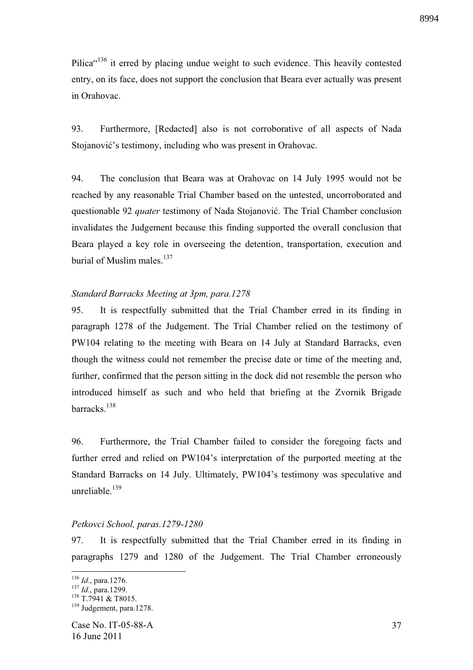Pilica<sup>"136</sup> it erred by placing undue weight to such evidence. This heavily contested entry, on its face, does not support the conclusion that Beara ever actually was present in Orahovac.

93. Furthermore, [Redacted] also is not corroborative of all aspects of Nada Stojanović's testimony, including who was present in Orahovac.

94. The conclusion that Beara was at Orahovac on 14 July 1995 would not be reached by any reasonable Trial Chamber based on the untested, uncorroborated and questionable 92 *quater* testimony of Nada Stojanović. The Trial Chamber conclusion invalidates the Judgement because this finding supported the overall conclusion that Beara played a key role in overseeing the detention, transportation, execution and burial of Muslim males. $137$ 

# *Standard Barracks Meeting at 3pm, para.1278*

95. It is respectfully submitted that the Trial Chamber erred in its finding in paragraph 1278 of the Judgement. The Trial Chamber relied on the testimony of PW104 relating to the meeting with Beara on 14 July at Standard Barracks, even though the witness could not remember the precise date or time of the meeting and, further, confirmed that the person sitting in the dock did not resemble the person who introduced himself as such and who held that briefing at the Zvornik Brigade barracks.<sup>138</sup>

96. Furthermore, the Trial Chamber failed to consider the foregoing facts and further erred and relied on PW104's interpretation of the purported meeting at the Standard Barracks on 14 July. Ultimately, PW104's testimony was speculative and unreliable. $139$ 

## *Petkovci School, paras.1279-1280*

97. It is respectfully submitted that the Trial Chamber erred in its finding in paragraphs 1279 and 1280 of the Judgement. The Trial Chamber erroneously

<sup>136</sup> *Id.*, para.1276.

<sup>137</sup> *Id.*, para.1299.

 $138$  T.7941 & T8015.

<sup>&</sup>lt;sup>139</sup> Judgement, para.1278.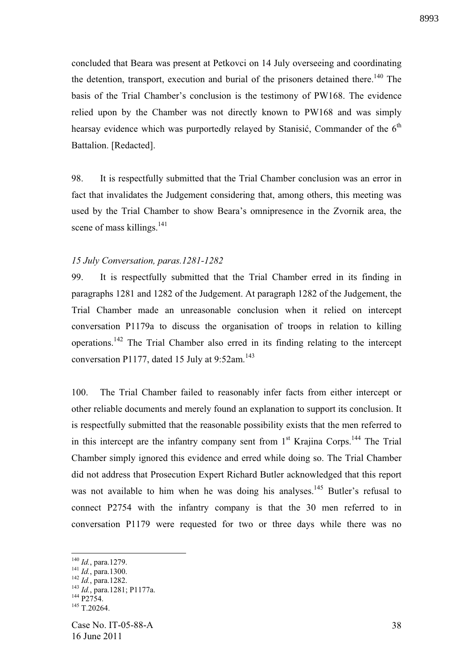concluded that Beara was present at Petkovci on 14 July overseeing and coordinating the detention, transport, execution and burial of the prisoners detained there.<sup>140</sup> The basis of the Trial Chamber's conclusion is the testimony of PW168. The evidence relied upon by the Chamber was not directly known to PW168 and was simply hearsay evidence which was purportedly relayed by Stanisić, Commander of the  $6<sup>th</sup>$ Battalion. [Redacted].

98. It is respectfully submitted that the Trial Chamber conclusion was an error in fact that invalidates the Judgement considering that, among others, this meeting was used by the Trial Chamber to show Beara's omnipresence in the Zvornik area, the scene of mass killings.<sup>141</sup>

#### *15 July Conversation, paras.1281-1282*

99. It is respectfully submitted that the Trial Chamber erred in its finding in paragraphs 1281 and 1282 of the Judgement. At paragraph 1282 of the Judgement, the Trial Chamber made an unreasonable conclusion when it relied on intercept conversation P1179a to discuss the organisation of troops in relation to killing operations.<sup>142</sup> The Trial Chamber also erred in its finding relating to the intercept conversation P1177, dated 15 July at 9:52am.<sup>143</sup>

100. The Trial Chamber failed to reasonably infer facts from either intercept or other reliable documents and merely found an explanation to support its conclusion. It is respectfully submitted that the reasonable possibility exists that the men referred to in this intercept are the infantry company sent from  $1<sup>st</sup>$  Krajina Corps.<sup>144</sup> The Trial Chamber simply ignored this evidence and erred while doing so. The Trial Chamber did not address that Prosecution Expert Richard Butler acknowledged that this report was not available to him when he was doing his analyses.<sup>145</sup> Butler's refusal to connect P2754 with the infantry company is that the 30 men referred to in conversation P1179 were requested for two or three days while there was no

<u>.</u>

<sup>140</sup> *Id.*, para.1279.

<sup>141</sup> *Id.*, para.1300.

<sup>142</sup> *Id.*, para.1282.

<sup>143</sup> *Id.*, para.1281; P1177a.  $144 \overline{P2754}$ .

 $145$  T.20264.

Case No. IT-05-88-A 16 June 2011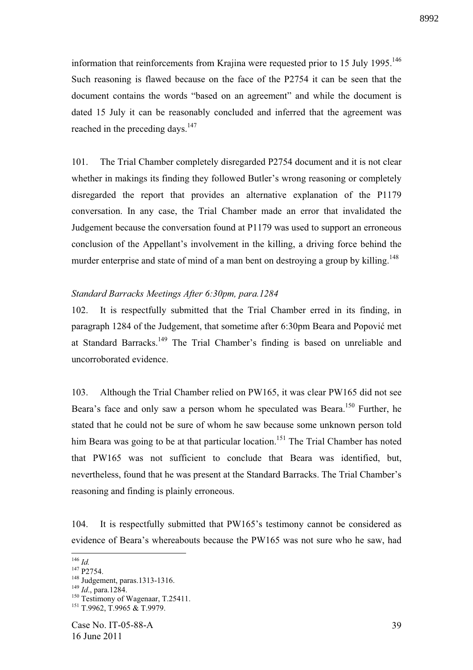information that reinforcements from Krajina were requested prior to 15 July  $1995$ .<sup>146</sup> Such reasoning is flawed because on the face of the P2754 it can be seen that the document contains the words "based on an agreement" and while the document is dated 15 July it can be reasonably concluded and inferred that the agreement was reached in the preceding days. $147$ 

101. The Trial Chamber completely disregarded P2754 document and it is not clear whether in makings its finding they followed Butler's wrong reasoning or completely disregarded the report that provides an alternative explanation of the P1179 conversation. In any case, the Trial Chamber made an error that invalidated the Judgement because the conversation found at P1179 was used to support an erroneous conclusion of the Appellant's involvement in the killing, a driving force behind the murder enterprise and state of mind of a man bent on destroying a group by killing.<sup>148</sup>

## *Standard Barracks Meetings After 6:30pm, para.1284*

102. It is respectfully submitted that the Trial Chamber erred in its finding, in paragraph 1284 of the Judgement, that sometime after 6:30pm Beara and Popović met at Standard Barracks.<sup>149</sup> The Trial Chamber's finding is based on unreliable and uncorroborated evidence.

103. Although the Trial Chamber relied on PW165, it was clear PW165 did not see Beara's face and only saw a person whom he speculated was Beara.<sup>150</sup> Further, he stated that he could not be sure of whom he saw because some unknown person told him Beara was going to be at that particular location.<sup>151</sup> The Trial Chamber has noted that PW165 was not sufficient to conclude that Beara was identified, but, nevertheless, found that he was present at the Standard Barracks. The Trial Chamber's reasoning and finding is plainly erroneous.

104. It is respectfully submitted that PW165's testimony cannot be considered as evidence of Beara's whereabouts because the PW165 was not sure who he saw, had

<u>.</u>

<sup>146</sup> *Id.*

 $147$  P<sub>2754</sub>.

<sup>148</sup> Judgement, paras.1313-1316.

<sup>149</sup> *Id*., para.1284.

<sup>&</sup>lt;sup>150</sup> Testimony of Wagenaar, T.25411.

<sup>&</sup>lt;sup>151</sup> T.9962, T.9965 & T.9979.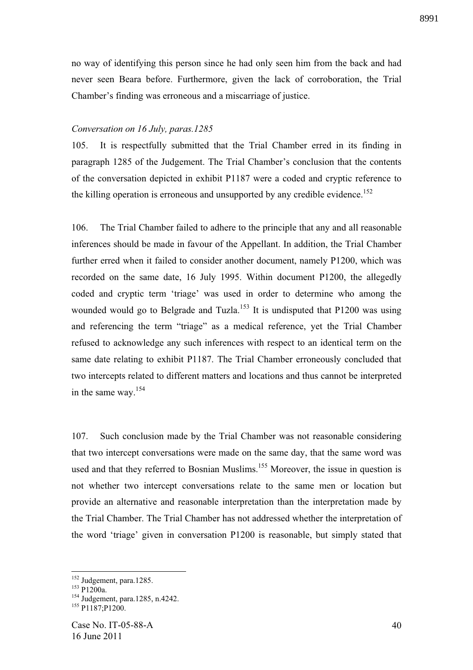no way of identifying this person since he had only seen him from the back and had never seen Beara before. Furthermore, given the lack of corroboration, the Trial Chamber's finding was erroneous and a miscarriage of justice.

#### *Conversation on 16 July, paras.1285*

105. It is respectfully submitted that the Trial Chamber erred in its finding in paragraph 1285 of the Judgement. The Trial Chamber's conclusion that the contents of the conversation depicted in exhibit P1187 were a coded and cryptic reference to the killing operation is erroneous and unsupported by any credible evidence.<sup>152</sup>

106. The Trial Chamber failed to adhere to the principle that any and all reasonable inferences should be made in favour of the Appellant. In addition, the Trial Chamber further erred when it failed to consider another document, namely P1200, which was recorded on the same date, 16 July 1995. Within document P1200, the allegedly coded and cryptic term 'triage' was used in order to determine who among the wounded would go to Belgrade and Tuzla.<sup>153</sup> It is undisputed that P1200 was using and referencing the term "triage" as a medical reference, yet the Trial Chamber refused to acknowledge any such inferences with respect to an identical term on the same date relating to exhibit P1187. The Trial Chamber erroneously concluded that two intercepts related to different matters and locations and thus cannot be interpreted in the same way.<sup>154</sup>

107. Such conclusion made by the Trial Chamber was not reasonable considering that two intercept conversations were made on the same day, that the same word was used and that they referred to Bosnian Muslims.<sup>155</sup> Moreover, the issue in question is not whether two intercept conversations relate to the same men or location but provide an alternative and reasonable interpretation than the interpretation made by the Trial Chamber. The Trial Chamber has not addressed whether the interpretation of the word 'triage' given in conversation P1200 is reasonable, but simply stated that

<sup>&</sup>lt;sup>152</sup> Judgement, para.1285.

<sup>&</sup>lt;sup>153</sup> P1200a.

<sup>154</sup> Judgement, para.1285, n.4242.

<sup>&</sup>lt;sup>155</sup> P1187;P1200.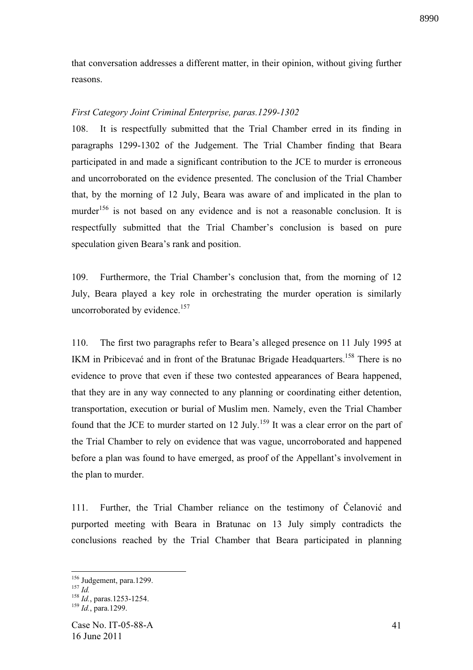that conversation addresses a different matter, in their opinion, without giving further reasons.

# *First Category Joint Criminal Enterprise, paras.1299-1302*

108. It is respectfully submitted that the Trial Chamber erred in its finding in paragraphs 1299-1302 of the Judgement. The Trial Chamber finding that Beara participated in and made a significant contribution to the JCE to murder is erroneous and uncorroborated on the evidence presented. The conclusion of the Trial Chamber that, by the morning of 12 July, Beara was aware of and implicated in the plan to murder<sup>156</sup> is not based on any evidence and is not a reasonable conclusion. It is respectfully submitted that the Trial Chamber's conclusion is based on pure speculation given Beara's rank and position.

109. Furthermore, the Trial Chamber's conclusion that, from the morning of 12 July, Beara played a key role in orchestrating the murder operation is similarly uncorroborated by evidence.<sup>157</sup>

110. The first two paragraphs refer to Beara's alleged presence on 11 July 1995 at IKM in Pribicevać and in front of the Bratunac Brigade Headquarters.<sup>158</sup> There is no evidence to prove that even if these two contested appearances of Beara happened, that they are in any way connected to any planning or coordinating either detention, transportation, execution or burial of Muslim men. Namely, even the Trial Chamber found that the JCE to murder started on 12 July.<sup>159</sup> It was a clear error on the part of the Trial Chamber to rely on evidence that was vague, uncorroborated and happened before a plan was found to have emerged, as proof of the Appellant's involvement in the plan to murder.

111. Further, the Trial Chamber reliance on the testimony of Čelanović and purported meeting with Beara in Bratunac on 13 July simply contradicts the conclusions reached by the Trial Chamber that Beara participated in planning

<sup>&</sup>lt;sup>156</sup> Judgement, para.1299.

<sup>157</sup> *Id.*

<sup>158</sup> *Id.*, paras.1253-1254.

<sup>159</sup> *Id.*, para.1299.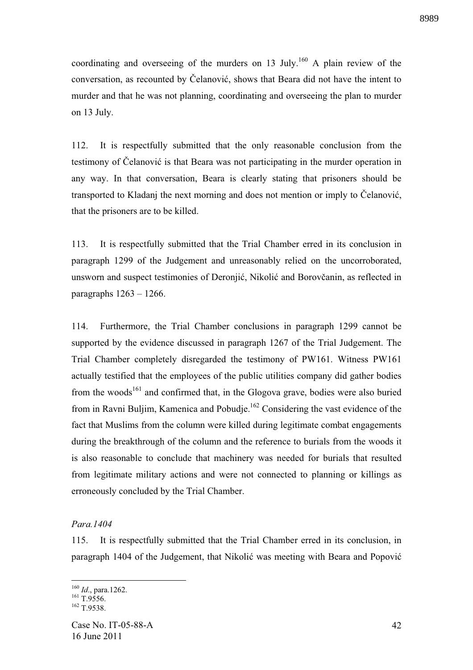coordinating and overseeing of the murders on 13 July.<sup>160</sup> A plain review of the conversation, as recounted by Čelanović, shows that Beara did not have the intent to murder and that he was not planning, coordinating and overseeing the plan to murder on 13 July.

112. It is respectfully submitted that the only reasonable conclusion from the testimony of Čelanović is that Beara was not participating in the murder operation in any way. In that conversation, Beara is clearly stating that prisoners should be transported to Kladanj the next morning and does not mention or imply to Čelanović, that the prisoners are to be killed.

113. It is respectfully submitted that the Trial Chamber erred in its conclusion in paragraph 1299 of the Judgement and unreasonably relied on the uncorroborated, unsworn and suspect testimonies of Deronjić, Nikolić and Borovčanin, as reflected in paragraphs  $1263 - 1266$ .

114. Furthermore, the Trial Chamber conclusions in paragraph 1299 cannot be supported by the evidence discussed in paragraph 1267 of the Trial Judgement. The Trial Chamber completely disregarded the testimony of PW161. Witness PW161 actually testified that the employees of the public utilities company did gather bodies from the woods<sup>161</sup> and confirmed that, in the Glogova grave, bodies were also buried from in Ravni Buljim, Kamenica and Pobudje.<sup>162</sup> Considering the vast evidence of the fact that Muslims from the column were killed during legitimate combat engagements during the breakthrough of the column and the reference to burials from the woods it is also reasonable to conclude that machinery was needed for burials that resulted from legitimate military actions and were not connected to planning or killings as erroneously concluded by the Trial Chamber.

#### *Para.1404*

115. It is respectfully submitted that the Trial Chamber erred in its conclusion, in paragraph 1404 of the Judgement, that Nikolić was meeting with Beara and Popović

<u>.</u>

<sup>160</sup> *Id*., para.1262.

 $^{161}$  T.9556.

 $162$  T.9538.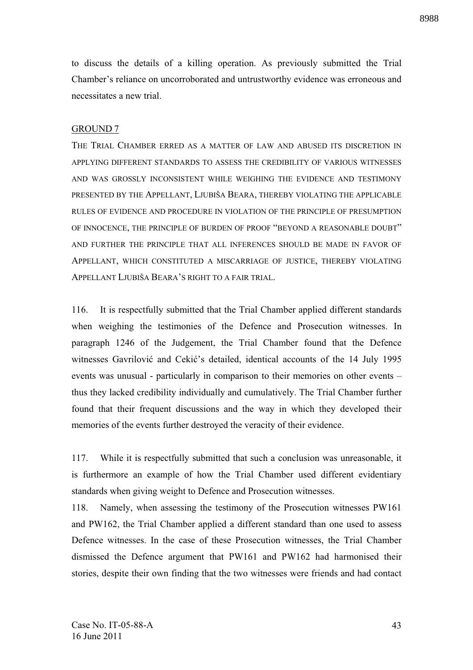to discuss the details of a killing operation. As previously submitted the Trial Chamber's reliance on uncorroborated and untrustworthy evidence was erroneous and necessitates a new trial.

#### GROUND 7

THE TRIAL CHAMBER ERRED AS A MATTER OF LAW AND ABUSED ITS DISCRETION IN APPLYING DIFFERENT STANDARDS TO ASSESS THE CREDIBILITY OF VARIOUS WITNESSES AND WAS GROSSLY INCONSISTENT WHILE WEIGHING THE EVIDENCE AND TESTIMONY PRESENTED BY THE APPELLANT, LJUBIŠA BEARA, THEREBY VIOLATING THE APPLICABLE RULES OF EVIDENCE AND PROCEDURE IN VIOLATION OF THE PRINCIPLE OF PRESUMPTION OF INNOCENCE, THE PRINCIPLE OF BURDEN OF PROOF "BEYOND A REASONABLE DOUBT" AND FURTHER THE PRINCIPLE THAT ALL INFERENCES SHOULD BE MADE IN FAVOR OF APPELLANT, WHICH CONSTITUTED A MISCARRIAGE OF JUSTICE, THEREBY VIOLATING APPELLANT LJUBIŠA BEARA'S RIGHT TO A FAIR TRIAL.

116. It is respectfully submitted that the Trial Chamber applied different standards when weighing the testimonies of the Defence and Prosecution witnesses. In paragraph 1246 of the Judgement, the Trial Chamber found that the Defence witnesses Gavrilović and Cekić's detailed, identical accounts of the 14 July 1995 events was unusual - particularly in comparison to their memories on other events – thus they lacked credibility individually and cumulatively. The Trial Chamber further found that their frequent discussions and the way in which they developed their memories of the events further destroyed the veracity of their evidence.

117. While it is respectfully submitted that such a conclusion was unreasonable, it is furthermore an example of how the Trial Chamber used different evidentiary standards when giving weight to Defence and Prosecution witnesses.

118. Namely, when assessing the testimony of the Prosecution witnesses PW161 and PW162, the Trial Chamber applied a different standard than one used to assess Defence witnesses. In the case of these Prosecution witnesses, the Trial Chamber dismissed the Defence argument that PW161 and PW162 had harmonised their stories, despite their own finding that the two witnesses were friends and had contact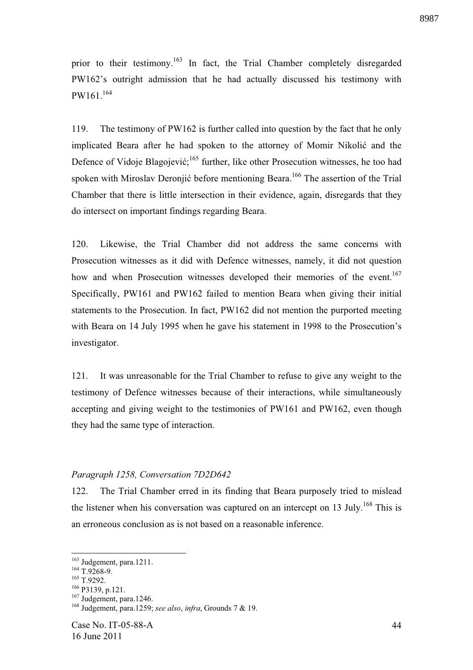prior to their testimony.<sup>163</sup> In fact, the Trial Chamber completely disregarded PW162's outright admission that he had actually discussed his testimony with  $PW161.^{164}$ 

119. The testimony of PW162 is further called into question by the fact that he only implicated Beara after he had spoken to the attorney of Momir Nikolić and the Defence of Vidoje Blagojević;<sup>165</sup> further, like other Prosecution witnesses, he too had spoken with Miroslav Deronjić before mentioning Beara.<sup>166</sup> The assertion of the Trial Chamber that there is little intersection in their evidence, again, disregards that they do intersect on important findings regarding Beara.

120. Likewise, the Trial Chamber did not address the same concerns with Prosecution witnesses as it did with Defence witnesses, namely, it did not question how and when Prosecution witnesses developed their memories of the event.<sup>167</sup> Specifically, PW161 and PW162 failed to mention Beara when giving their initial statements to the Prosecution. In fact, PW162 did not mention the purported meeting with Beara on 14 July 1995 when he gave his statement in 1998 to the Prosecution's investigator.

121. It was unreasonable for the Trial Chamber to refuse to give any weight to the testimony of Defence witnesses because of their interactions, while simultaneously accepting and giving weight to the testimonies of PW161 and PW162, even though they had the same type of interaction.

## *Paragraph 1258, Conversation 7D2D642*

122. The Trial Chamber erred in its finding that Beara purposely tried to mislead the listener when his conversation was captured on an intercept on 13 July.<sup>168</sup> This is an erroneous conclusion as is not based on a reasonable inference.

<u>.</u>

 $163$  Judgement, para.1211.

 $164 \frac{\text{Juges}}{\text{T}0.9268-9.}$ 

<sup>&</sup>lt;sup>165</sup> T.9292.

<sup>166</sup> P3139, p.121.

<sup>&</sup>lt;sup>167</sup> Judgement, para.1246.

<sup>168</sup> Judgement, para.1259; *see also*, *infra*, Grounds 7 & 19.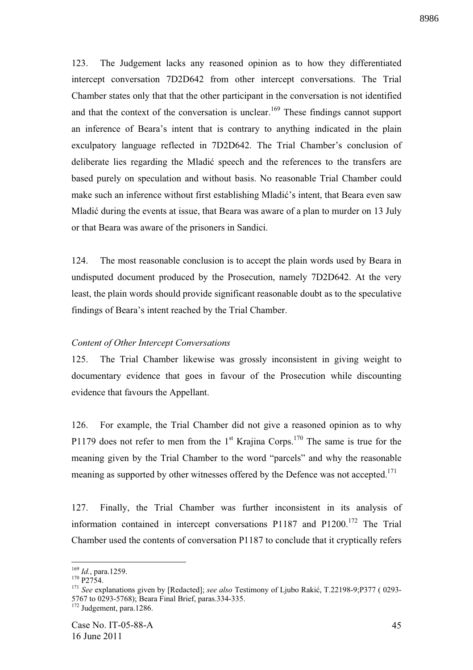123. The Judgement lacks any reasoned opinion as to how they differentiated intercept conversation 7D2D642 from other intercept conversations. The Trial Chamber states only that that the other participant in the conversation is not identified and that the context of the conversation is unclear.<sup>169</sup> These findings cannot support an inference of Beara's intent that is contrary to anything indicated in the plain exculpatory language reflected in 7D2D642. The Trial Chamber's conclusion of deliberate lies regarding the Mladić speech and the references to the transfers are based purely on speculation and without basis. No reasonable Trial Chamber could make such an inference without first establishing Mladić's intent, that Beara even saw Mladić during the events at issue, that Beara was aware of a plan to murder on 13 July or that Beara was aware of the prisoners in Sandici.

124. The most reasonable conclusion is to accept the plain words used by Beara in undisputed document produced by the Prosecution, namely 7D2D642. At the very least, the plain words should provide significant reasonable doubt as to the speculative findings of Beara's intent reached by the Trial Chamber.

# *Content of Other Intercept Conversations*

125. The Trial Chamber likewise was grossly inconsistent in giving weight to documentary evidence that goes in favour of the Prosecution while discounting evidence that favours the Appellant.

126. For example, the Trial Chamber did not give a reasoned opinion as to why P1179 does not refer to men from the  $1<sup>st</sup>$  Krajina Corps.<sup>170</sup> The same is true for the meaning given by the Trial Chamber to the word "parcels" and why the reasonable meaning as supported by other witnesses offered by the Defence was not accepted.<sup>171</sup>

127. Finally, the Trial Chamber was further inconsistent in its analysis of information contained in intercept conversations  $P1187$  and  $P1200$ .<sup>172</sup> The Trial Chamber used the contents of conversation P1187 to conclude that it cryptically refers

1

<sup>169</sup> *Id.*, para.1259.

 $170$  P2754.

<sup>&</sup>lt;sup>171</sup> See explanations given by [Redacted]; see also Testimony of Ljubo Rakić, T.22198-9;P377 (0293-5767 to 0293-5768); Beara Final Brief, paras.334-335.

 $172$  Judgement, para.1286.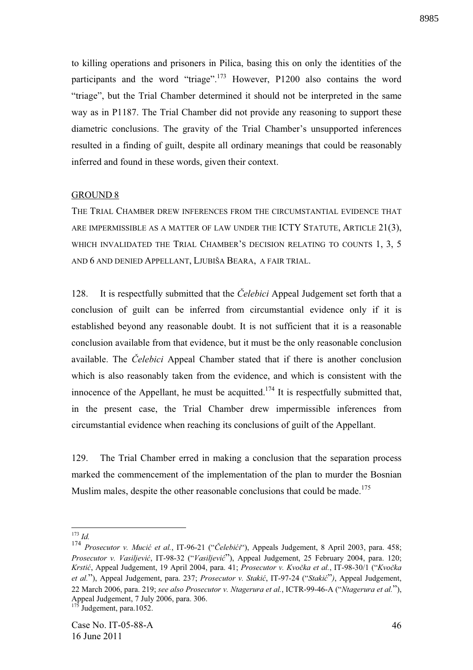to killing operations and prisoners in Pilica, basing this on only the identities of the participants and the word "triage".<sup>173</sup> However, P1200 also contains the word "triage", but the Trial Chamber determined it should not be interpreted in the same way as in P1187. The Trial Chamber did not provide any reasoning to support these diametric conclusions. The gravity of the Trial Chamber's unsupported inferences resulted in a finding of guilt, despite all ordinary meanings that could be reasonably inferred and found in these words, given their context.

#### GROUND 8

THE TRIAL CHAMBER DREW INFERENCES FROM THE CIRCUMSTANTIAL EVIDENCE THAT ARE IMPERMISSIBLE AS A MATTER OF LAW UNDER THE ICTY STATUTE, ARTICLE 21(3), WHICH INVALIDATED THE TRIAL CHAMBER'S DECISION RELATING TO COUNTS 1, 3, 5 AND 6 AND DENIED APPELLANT, LJUBIŠA BEARA, A FAIR TRIAL.

128. It is respectfully submitted that the *"elebici* Appeal Judgement set forth that a conclusion of guilt can be inferred from circumstantial evidence only if it is established beyond any reasonable doubt. It is not sufficient that it is a reasonable conclusion available from that evidence, but it must be the only reasonable conclusion available. The *Celebici* Appeal Chamber stated that if there is another conclusion which is also reasonably taken from the evidence, and which is consistent with the innocence of the Appellant, he must be acquitted.<sup>174</sup> It is respectfully submitted that, in the present case, the Trial Chamber drew impermissible inferences from circumstantial evidence when reaching its conclusions of guilt of the Appellant.

129. The Trial Chamber erred in making a conclusion that the separation process marked the commencement of the implementation of the plan to murder the Bosnian Muslim males, despite the other reasonable conclusions that could be made.<sup>175</sup>

<u>.</u>

<sup>173</sup> *Id.*

<sup>&</sup>lt;sup>174</sup> *Prosecutor v. Mucić et al.*, IT-96-21 ("Čelebići"), Appeals Judgement, 8 April 2003, para. 458; *Prosecutor v. Vasiljevi* , IT-98-32 ("*Vasiljevi* "), Appeal Judgement, 25 February 2004, para. 120; *Krsti* , Appeal Judgement, 19 April 2004, para. 41; *Prosecutor v. Kvo!ka et al.*, IT-98-30/1 ("*Kvo!ka et al.*"), Appeal Judgement, para. 237; *Prosecutor v. Stakić*, IT-97-24 ("*Stakić*"), Appeal Judgement, 22 March 2006, para. 219; *see also Prosecutor v. Ntagerura et al.*, ICTR-99-46-A ("*Ntagerura et al.*"), Appeal Judgement, 7 July 2006, para. 306.

Judgement, para.1052.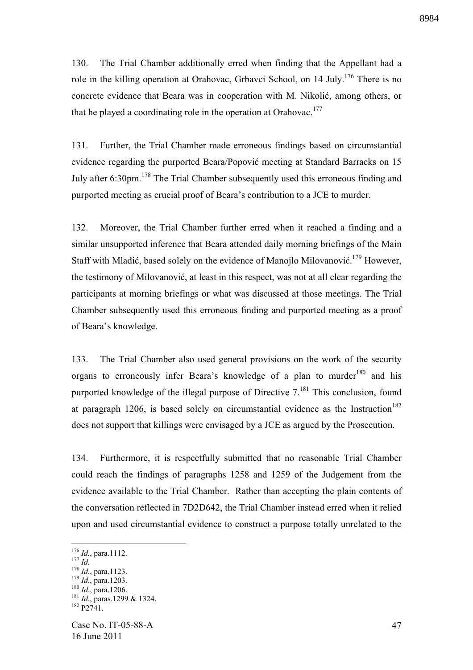130. The Trial Chamber additionally erred when finding that the Appellant had a role in the killing operation at Orahovac, Grbavci School, on  $14 \text{ July.}^{176}$  There is no concrete evidence that Beara was in cooperation with M. Nikolić, among others, or that he played a coordinating role in the operation at Orahovac.<sup>177</sup>

131. Further, the Trial Chamber made erroneous findings based on circumstantial evidence regarding the purported Beara/Popović meeting at Standard Barracks on 15 July after 6:30pm.<sup>178</sup> The Trial Chamber subsequently used this erroneous finding and purported meeting as crucial proof of Beara's contribution to a JCE to murder.

132. Moreover, the Trial Chamber further erred when it reached a finding and a similar unsupported inference that Beara attended daily morning briefings of the Main Staff with Mladić, based solely on the evidence of Manojlo Milovanović.<sup>179</sup> However, the testimony of Milovanović, at least in this respect, was not at all clear regarding the participants at morning briefings or what was discussed at those meetings. The Trial Chamber subsequently used this erroneous finding and purported meeting as a proof of Beara's knowledge.

133. The Trial Chamber also used general provisions on the work of the security organs to erroneously infer Beara's knowledge of a plan to murder<sup>180</sup> and his purported knowledge of the illegal purpose of Directive 7.<sup>181</sup> This conclusion, found at paragraph 1206, is based solely on circumstantial evidence as the Instruction<sup>182</sup> does not support that killings were envisaged by a JCE as argued by the Prosecution.

134. Furthermore, it is respectfully submitted that no reasonable Trial Chamber could reach the findings of paragraphs 1258 and 1259 of the Judgement from the evidence available to the Trial Chamber. Rather than accepting the plain contents of the conversation reflected in 7D2D642, the Trial Chamber instead erred when it relied upon and used circumstantial evidence to construct a purpose totally unrelated to the

<sup>176</sup> *Id.*, para.1112.

<sup>177</sup> *Id.*

<sup>178</sup> *Id.*, para.1123.

<sup>179</sup> *Id.*, para.1203.

<sup>180</sup> *Id.*, para.1206.

<sup>&</sup>lt;sup>181</sup> *Id.*, paras.1299 & 1324.  $182 \frac{\text{pc}}{\text{P}2741}$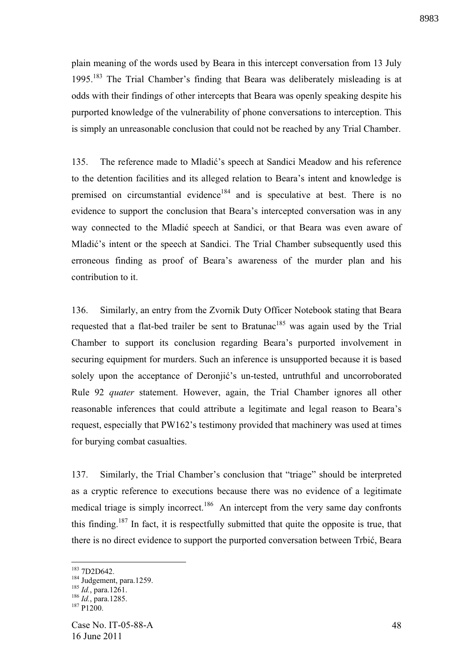plain meaning of the words used by Beara in this intercept conversation from 13 July 1995.<sup>183</sup> The Trial Chamber's finding that Beara was deliberately misleading is at odds with their findings of other intercepts that Beara was openly speaking despite his purported knowledge of the vulnerability of phone conversations to interception. This is simply an unreasonable conclusion that could not be reached by any Trial Chamber.

135. The reference made to Mladić's speech at Sandici Meadow and his reference to the detention facilities and its alleged relation to Beara's intent and knowledge is premised on circumstantial evidence<sup>184</sup> and is speculative at best. There is no evidence to support the conclusion that Beara's intercepted conversation was in any way connected to the Mladić speech at Sandici, or that Beara was even aware of Mladić's intent or the speech at Sandici. The Trial Chamber subsequently used this erroneous finding as proof of Beara's awareness of the murder plan and his contribution to it.

136. Similarly, an entry from the Zvornik Duty Officer Notebook stating that Beara requested that a flat-bed trailer be sent to Bratunac<sup>185</sup> was again used by the Trial Chamber to support its conclusion regarding Beara's purported involvement in securing equipment for murders. Such an inference is unsupported because it is based solely upon the acceptance of Deronjić's un-tested, untruthful and uncorroborated Rule 92 *quater* statement. However, again, the Trial Chamber ignores all other reasonable inferences that could attribute a legitimate and legal reason to Beara's request, especially that PW162's testimony provided that machinery was used at times for burying combat casualties.

137. Similarly, the Trial Chamber's conclusion that "triage" should be interpreted as a cryptic reference to executions because there was no evidence of a legitimate medical triage is simply incorrect.<sup>186</sup> An intercept from the very same day confronts this finding.<sup>187</sup> In fact, it is respectfully submitted that quite the opposite is true, that there is no direct evidence to support the purported conversation between Trbić, Beara

<sup>183</sup> 7D2D642.

<sup>&</sup>lt;sup>184</sup> Judgement, para.1259.

<sup>185</sup> *Id.*, para.1261.

<sup>186</sup> *Id.*, para.1285.

 $187$  P1200.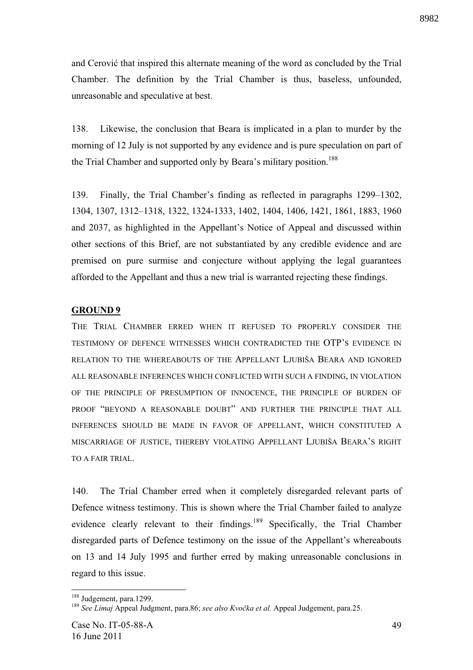and Cerović that inspired this alternate meaning of the word as concluded by the Trial Chamber. The definition by the Trial Chamber is thus, baseless, unfounded, unreasonable and speculative at best.

138. Likewise, the conclusion that Beara is implicated in a plan to murder by the morning of 12 July is not supported by any evidence and is pure speculation on part of the Trial Chamber and supported only by Beara's military position.<sup>188</sup>

139. Finally, the Trial Chamber's finding as reflected in paragraphs 1299–1302, 1304, 1307, 1312–1318, 1322, 1324-1333, 1402, 1404, 1406, 1421, 1861, 1883, 1960 and 2037, as highlighted in the Appellant's Notice of Appeal and discussed within other sections of this Brief, are not substantiated by any credible evidence and are premised on pure surmise and conjecture without applying the legal guarantees afforded to the Appellant and thus a new trial is warranted rejecting these findings.

# **GROUND 9**

THE TRIAL CHAMBER ERRED WHEN IT REFUSED TO PROPERLY CONSIDER THE TESTIMONY OF DEFENCE WITNESSES WHICH CONTRADICTED THE OTP'S EVIDENCE IN RELATION TO THE WHEREABOUTS OF THE APPELLANT LJUBIŠA BEARA AND IGNORED ALL REASONABLE INFERENCES WHICH CONFLICTED WITH SUCH A FINDING, IN VIOLATION OF THE PRINCIPLE OF PRESUMPTION OF INNOCENCE, THE PRINCIPLE OF BURDEN OF PROOF "BEYOND A REASONABLE DOUBT" AND FURTHER THE PRINCIPLE THAT ALL INFERENCES SHOULD BE MADE IN FAVOR OF APPELLANT, WHICH CONSTITUTED A MISCARRIAGE OF JUSTICE, THEREBY VIOLATING APPELLANT LJUBIŠA BEARA'S RIGHT TO A FAIR TRIAL.

140. The Trial Chamber erred when it completely disregarded relevant parts of Defence witness testimony. This is shown where the Trial Chamber failed to analyze evidence clearly relevant to their findings.<sup>189</sup> Specifically, the Trial Chamber disregarded parts of Defence testimony on the issue of the Appellant's whereabouts on 13 and 14 July 1995 and further erred by making unreasonable conclusions in regard to this issue.

<sup>&</sup>lt;sup>188</sup> Judgement, para.1299.

<sup>&</sup>lt;sup>189</sup> See Limai Appeal Judgment, para.86; see also Kvočka et al. Appeal Judgement, para.25.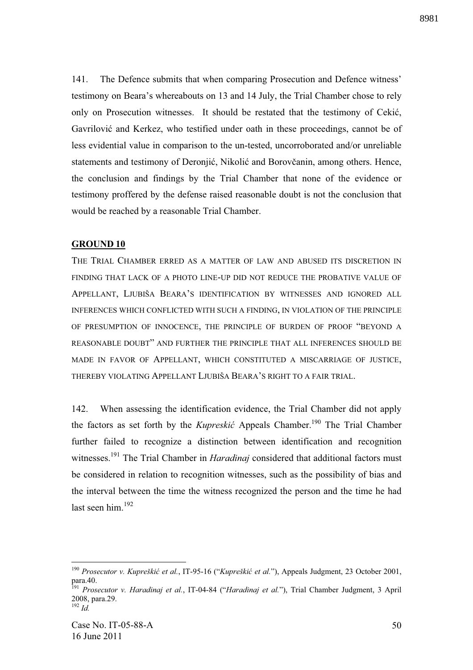141. The Defence submits that when comparing Prosecution and Defence witness' testimony on Beara's whereabouts on 13 and 14 July, the Trial Chamber chose to rely only on Prosecution witnesses. It should be restated that the testimony of Cekić, Gavrilović and Kerkez, who testified under oath in these proceedings, cannot be of less evidential value in comparison to the un-tested, uncorroborated and/or unreliable statements and testimony of Deronjić, Nikolić and Borovčanin, among others. Hence, the conclusion and findings by the Trial Chamber that none of the evidence or testimony proffered by the defense raised reasonable doubt is not the conclusion that would be reached by a reasonable Trial Chamber.

## **GROUND 10**

THE TRIAL CHAMBER ERRED AS A MATTER OF LAW AND ABUSED ITS DISCRETION IN FINDING THAT LACK OF A PHOTO LINE-UP DID NOT REDUCE THE PROBATIVE VALUE OF APPELLANT, LJUBIŠA BEARA'S IDENTIFICATION BY WITNESSES AND IGNORED ALL INFERENCES WHICH CONFLICTED WITH SUCH A FINDING, IN VIOLATION OF THE PRINCIPLE OF PRESUMPTION OF INNOCENCE, THE PRINCIPLE OF BURDEN OF PROOF "BEYOND A REASONABLE DOUBT" AND FURTHER THE PRINCIPLE THAT ALL INFERENCES SHOULD BE MADE IN FAVOR OF APPELLANT, WHICH CONSTITUTED A MISCARRIAGE OF JUSTICE, THEREBY VIOLATING APPELLANT LJUBIŠA BEARA'S RIGHT TO A FAIR TRIAL.

142. When assessing the identification evidence, the Trial Chamber did not apply the factors as set forth by the *Kupreskić* Appeals Chamber.<sup>190</sup> The Trial Chamber further failed to recognize a distinction between identification and recognition witnesses.<sup>191</sup> The Trial Chamber in *Haradinaj* considered that additional factors must be considered in relation to recognition witnesses, such as the possibility of bias and the interval between the time the witness recognized the person and the time he had last seen him.<sup>192</sup>

<sup>&</sup>lt;sup>190</sup> Prosecutor v. Kupreškić et al., IT-95-16 ("Kupreškić et al."), Appeals Judgment, 23 October 2001, para.40.

<sup>191</sup> *Prosecutor v. Haradinaj et al.*, IT-04-84 ("*Haradinaj et al.*"), Trial Chamber Judgment, 3 April 2008, para.29.  $\frac{192}{102}$  *Id.* 

Case No. IT-05-88-A 16 June 2011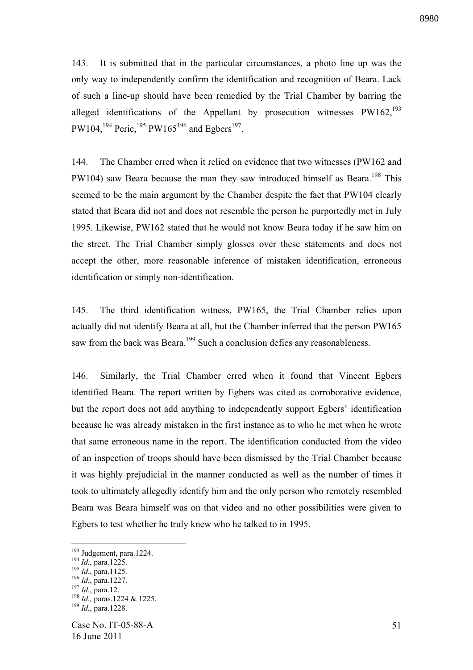143. It is submitted that in the particular circumstances, a photo line up was the only way to independently confirm the identification and recognition of Beara. Lack of such a line-up should have been remedied by the Trial Chamber by barring the alleged identifications of the Appellant by prosecution witnesses  $PW162$ ,<sup>193</sup> PW104,<sup>194</sup> Peric,<sup>195</sup> PW165<sup>196</sup> and Egbers<sup>197</sup>.

144. The Chamber erred when it relied on evidence that two witnesses (PW162 and PW104) saw Beara because the man they saw introduced himself as Beara.<sup>198</sup> This seemed to be the main argument by the Chamber despite the fact that PW104 clearly stated that Beara did not and does not resemble the person he purportedly met in July 1995. Likewise, PW162 stated that he would not know Beara today if he saw him on the street. The Trial Chamber simply glosses over these statements and does not accept the other, more reasonable inference of mistaken identification, erroneous identification or simply non-identification.

145. The third identification witness, PW165, the Trial Chamber relies upon actually did not identify Beara at all, but the Chamber inferred that the person PW165 saw from the back was Beara.<sup>199</sup> Such a conclusion defies any reasonableness.

146. Similarly, the Trial Chamber erred when it found that Vincent Egbers identified Beara. The report written by Egbers was cited as corroborative evidence, but the report does not add anything to independently support Egbers' identification because he was already mistaken in the first instance as to who he met when he wrote that same erroneous name in the report. The identification conducted from the video of an inspection of troops should have been dismissed by the Trial Chamber because it was highly prejudicial in the manner conducted as well as the number of times it took to ultimately allegedly identify him and the only person who remotely resembled Beara was Beara himself was on that video and no other possibilities were given to Egbers to test whether he truly knew who he talked to in 1995.

<sup>&</sup>lt;sup>193</sup> Judgement, para.1224.

<sup>194</sup> *Id.*, para.1225.

<sup>195</sup> *Id.*, para.1125.

<sup>196</sup> *Id.*, para.1227.

<sup>197</sup> *Id.*, para.12.

<sup>198</sup> *Id.,* paras.1224 & 1225.

<sup>199</sup> *Id.*, para.1228.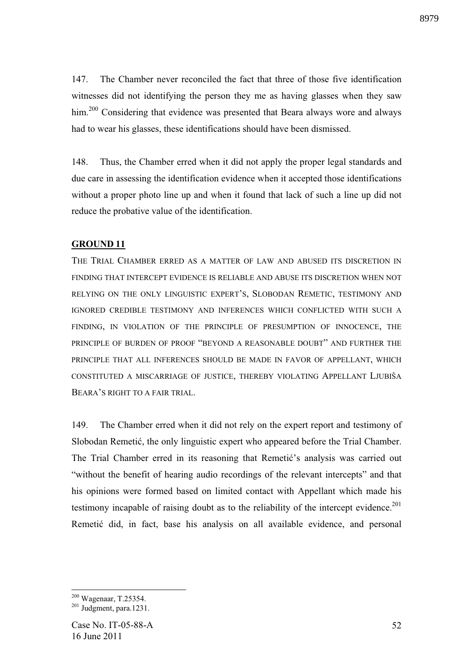147. The Chamber never reconciled the fact that three of those five identification witnesses did not identifying the person they me as having glasses when they saw him.<sup>200</sup> Considering that evidence was presented that Beara always wore and always had to wear his glasses, these identifications should have been dismissed.

148. Thus, the Chamber erred when it did not apply the proper legal standards and due care in assessing the identification evidence when it accepted those identifications without a proper photo line up and when it found that lack of such a line up did not reduce the probative value of the identification.

# **GROUND 11**

THE TRIAL CHAMBER ERRED AS A MATTER OF LAW AND ABUSED ITS DISCRETION IN FINDING THAT INTERCEPT EVIDENCE IS RELIABLE AND ABUSE ITS DISCRETION WHEN NOT RELYING ON THE ONLY LINGUISTIC EXPERT'S, SLOBODAN REMETIC, TESTIMONY AND IGNORED CREDIBLE TESTIMONY AND INFERENCES WHICH CONFLICTED WITH SUCH A FINDING, IN VIOLATION OF THE PRINCIPLE OF PRESUMPTION OF INNOCENCE, THE PRINCIPLE OF BURDEN OF PROOF "BEYOND A REASONABLE DOUBT" AND FURTHER THE PRINCIPLE THAT ALL INFERENCES SHOULD BE MADE IN FAVOR OF APPELLANT, WHICH CONSTITUTED A MISCARRIAGE OF JUSTICE, THEREBY VIOLATING APPELLANT LJUBIŠA BEARA'S RIGHT TO A FAIR TRIAL.

149. The Chamber erred when it did not rely on the expert report and testimony of Slobodan Remetić, the only linguistic expert who appeared before the Trial Chamber. The Trial Chamber erred in its reasoning that Remetic's analysis was carried out "without the benefit of hearing audio recordings of the relevant intercepts" and that his opinions were formed based on limited contact with Appellant which made his testimony incapable of raising doubt as to the reliability of the intercept evidence.<sup>201</sup> Remetic did, in fact, base his analysis on all available evidence, and personal

<sup>&</sup>lt;sup>200</sup> Wagenaar, T.25354.

 $^{201}$  Judgment, para.1231.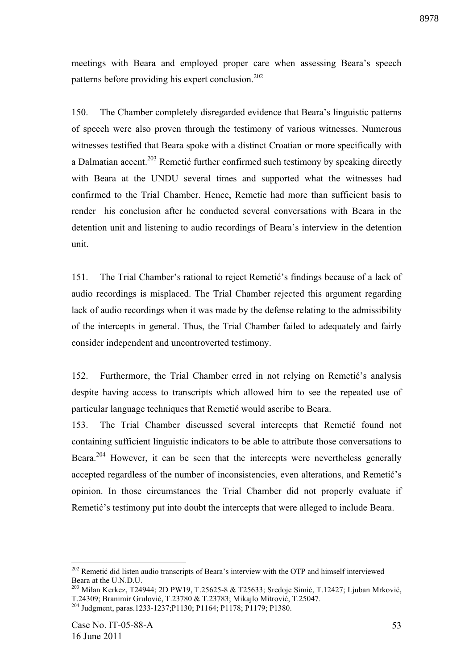meetings with Beara and employed proper care when assessing Beara's speech patterns before providing his expert conclusion.<sup>202</sup>

150. The Chamber completely disregarded evidence that Beara's linguistic patterns of speech were also proven through the testimony of various witnesses. Numerous witnesses testified that Beara spoke with a distinct Croatian or more specifically with a Dalmatian accent.<sup>203</sup> Remetic further confirmed such testimony by speaking directly with Beara at the UNDU several times and supported what the witnesses had confirmed to the Trial Chamber. Hence, Remetic had more than sufficient basis to render his conclusion after he conducted several conversations with Beara in the detention unit and listening to audio recordings of Beara's interview in the detention unit.

151. The Trial Chamber's rational to reject Remetic's findings because of a lack of audio recordings is misplaced. The Trial Chamber rejected this argument regarding lack of audio recordings when it was made by the defense relating to the admissibility of the intercepts in general. Thus, the Trial Chamber failed to adequately and fairly consider independent and uncontroverted testimony.

152. Furthermore, the Trial Chamber erred in not relying on Remetic's analysis despite having access to transcripts which allowed him to see the repeated use of particular language techniques that Remetić would ascribe to Beara.

153. The Trial Chamber discussed several intercepts that Remetic found not containing sufficient linguistic indicators to be able to attribute those conversations to Beara.<sup>204</sup> However, it can be seen that the intercepts were nevertheless generally accepted regardless of the number of inconsistencies, even alterations, and Remetic's opinion. In those circumstances the Trial Chamber did not properly evaluate if Remetic's testimony put into doubt the intercepts that were alleged to include Beara.

 $202$  Remetic did listen audio transcripts of Beara's interview with the OTP and himself interviewed Beara at the U.N.D.U.

<sup>&</sup>lt;sup>203</sup> Milan Kerkez, T24944; 2D PW19, T.25625-8 & T25633; Sredoje Simić, T.12427; Ljuban Mrković, T.24309; Branimir Grulović, T.23780 & T.23783; Mikajlo Mitrović, T.25047.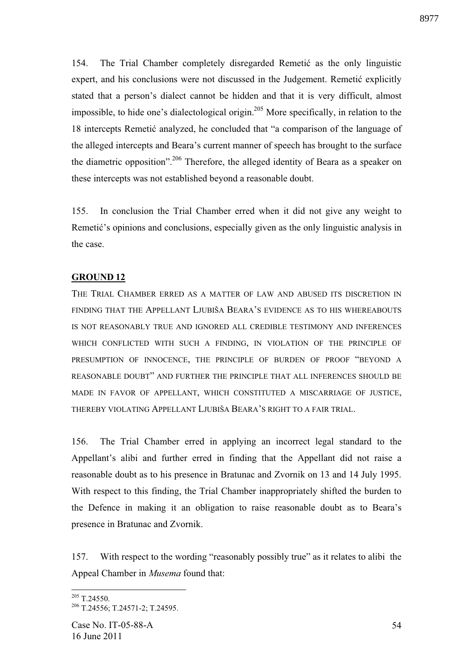154. The Trial Chamber completely disregarded Remetic as the only linguistic expert, and his conclusions were not discussed in the Judgement. Remetic explicitly stated that a person's dialect cannot be hidden and that it is very difficult, almost impossible, to hide one's dialectological origin.<sup>205</sup> More specifically, in relation to the 18 intercepts Remetic analyzed, he concluded that "a comparison of the language of the alleged intercepts and Beara's current manner of speech has brought to the surface the diametric opposition".<sup>206</sup> Therefore, the alleged identity of Beara as a speaker on these intercepts was not established beyond a reasonable doubt.

155. In conclusion the Trial Chamber erred when it did not give any weight to Remetic's opinions and conclusions, especially given as the only linguistic analysis in the case.

## **GROUND 12**

THE TRIAL CHAMBER ERRED AS A MATTER OF LAW AND ABUSED ITS DISCRETION IN FINDING THAT THE APPELLANT LJUBIŠA BEARA'S EVIDENCE AS TO HIS WHEREABOUTS IS NOT REASONABLY TRUE AND IGNORED ALL CREDIBLE TESTIMONY AND INFERENCES WHICH CONFLICTED WITH SUCH A FINDING, IN VIOLATION OF THE PRINCIPLE OF PRESUMPTION OF INNOCENCE, THE PRINCIPLE OF BURDEN OF PROOF "BEYOND A REASONABLE DOUBT" AND FURTHER THE PRINCIPLE THAT ALL INFERENCES SHOULD BE MADE IN FAVOR OF APPELLANT, WHICH CONSTITUTED A MISCARRIAGE OF JUSTICE, THEREBY VIOLATING APPELLANT LJUBIŠA BEARA'S RIGHT TO A FAIR TRIAL.

156. The Trial Chamber erred in applying an incorrect legal standard to the Appellant's alibi and further erred in finding that the Appellant did not raise a reasonable doubt as to his presence in Bratunac and Zvornik on 13 and 14 July 1995. With respect to this finding, the Trial Chamber inappropriately shifted the burden to the Defence in making it an obligation to raise reasonable doubt as to Beara's presence in Bratunac and Zvornik.

157. With respect to the wording "reasonably possibly true" as it relates to alibi the Appeal Chamber in *Musema* found that:

 $205$  T.24550.

<sup>206</sup> T.24556; T.24571-2; T.24595.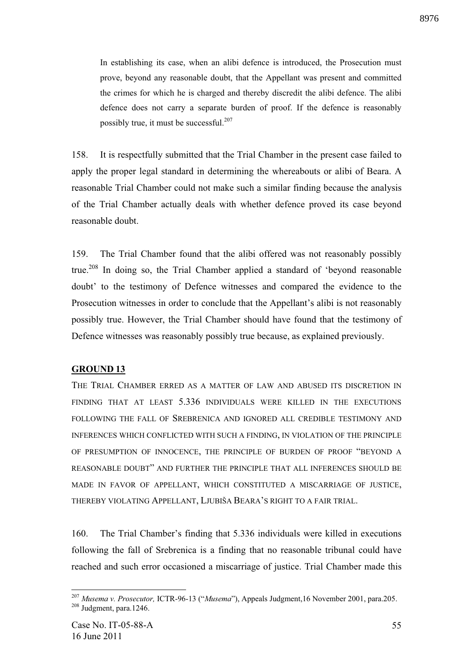In establishing its case, when an alibi defence is introduced, the Prosecution must prove, beyond any reasonable doubt, that the Appellant was present and committed the crimes for which he is charged and thereby discredit the alibi defence. The alibi defence does not carry a separate burden of proof. If the defence is reasonably possibly true, it must be successful.<sup>207</sup>

158. It is respectfully submitted that the Trial Chamber in the present case failed to apply the proper legal standard in determining the whereabouts or alibi of Beara. A reasonable Trial Chamber could not make such a similar finding because the analysis of the Trial Chamber actually deals with whether defence proved its case beyond reasonable doubt.

159. The Trial Chamber found that the alibi offered was not reasonably possibly true.<sup>208</sup> In doing so, the Trial Chamber applied a standard of 'beyond reasonable doubt' to the testimony of Defence witnesses and compared the evidence to the Prosecution witnesses in order to conclude that the Appellant's alibi is not reasonably possibly true. However, the Trial Chamber should have found that the testimony of Defence witnesses was reasonably possibly true because, as explained previously.

#### **GROUND 13**

THE TRIAL CHAMBER ERRED AS A MATTER OF LAW AND ABUSED ITS DISCRETION IN FINDING THAT AT LEAST 5.336 INDIVIDUALS WERE KILLED IN THE EXECUTIONS FOLLOWING THE FALL OF SREBRENICA AND IGNORED ALL CREDIBLE TESTIMONY AND INFERENCES WHICH CONFLICTED WITH SUCH A FINDING, IN VIOLATION OF THE PRINCIPLE OF PRESUMPTION OF INNOCENCE, THE PRINCIPLE OF BURDEN OF PROOF "BEYOND A REASONABLE DOUBT" AND FURTHER THE PRINCIPLE THAT ALL INFERENCES SHOULD BE MADE IN FAVOR OF APPELLANT, WHICH CONSTITUTED A MISCARRIAGE OF JUSTICE, THEREBY VIOLATING APPELLANT, LJUBIŠA BEARA'S RIGHT TO A FAIR TRIAL.

160. The Trial Chamber's finding that 5.336 individuals were killed in executions following the fall of Srebrenica is a finding that no reasonable tribunal could have reached and such error occasioned a miscarriage of justice. Trial Chamber made this

<sup>207</sup> *Musema v. Prosecutor,* ICTR-96-13 ("*Musema*"), Appeals Judgment,16 November 2001, para.205. <sup>208</sup> Judgment, para.1246.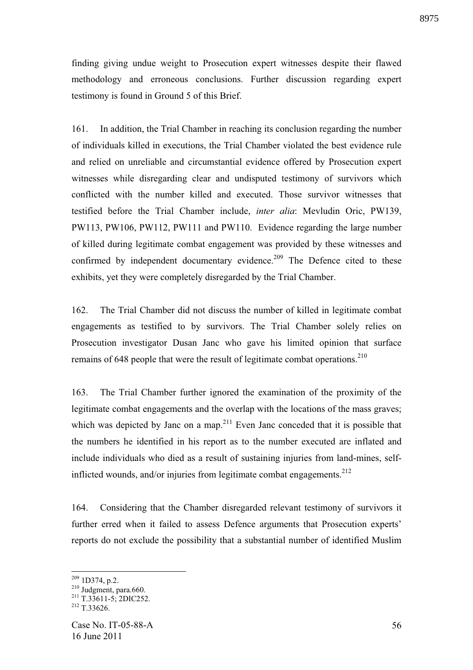finding giving undue weight to Prosecution expert witnesses despite their flawed methodology and erroneous conclusions. Further discussion regarding expert testimony is found in Ground 5 of this Brief.

161. In addition, the Trial Chamber in reaching its conclusion regarding the number of individuals killed in executions, the Trial Chamber violated the best evidence rule and relied on unreliable and circumstantial evidence offered by Prosecution expert witnesses while disregarding clear and undisputed testimony of survivors which conflicted with the number killed and executed. Those survivor witnesses that testified before the Trial Chamber include, *inter alia*: Mevludin Oric, PW139, PW113, PW106, PW112, PW111 and PW110. Evidence regarding the large number of killed during legitimate combat engagement was provided by these witnesses and confirmed by independent documentary evidence.<sup>209</sup> The Defence cited to these exhibits, yet they were completely disregarded by the Trial Chamber.

162. The Trial Chamber did not discuss the number of killed in legitimate combat engagements as testified to by survivors. The Trial Chamber solely relies on Prosecution investigator Dusan Janc who gave his limited opinion that surface remains of 648 people that were the result of legitimate combat operations.<sup>210</sup>

163. The Trial Chamber further ignored the examination of the proximity of the legitimate combat engagements and the overlap with the locations of the mass graves; which was depicted by Janc on a map.<sup>211</sup> Even Janc conceded that it is possible that the numbers he identified in his report as to the number executed are inflated and include individuals who died as a result of sustaining injuries from land-mines, selfinflicted wounds, and/or injuries from legitimate combat engagements.<sup>212</sup>

164. Considering that the Chamber disregarded relevant testimony of survivors it further erred when it failed to assess Defence arguments that Prosecution experts' reports do not exclude the possibility that a substantial number of identified Muslim

 $209$  1D374, p.2.

 $210$  Judgment, para.660.

 $211$  T.33611-5; 2DIC252.

 $212$  T.33626.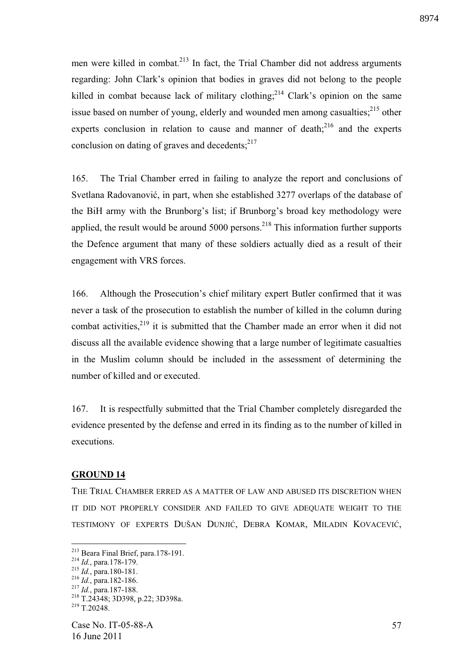men were killed in combat.<sup>213</sup> In fact, the Trial Chamber did not address arguments regarding: John Clark's opinion that bodies in graves did not belong to the people killed in combat because lack of military clothing;  $2^{14}$  Clark's opinion on the same issue based on number of young, elderly and wounded men among casualties; $^{215}$  other experts conclusion in relation to cause and manner of death; $^{216}$  and the experts conclusion on dating of graves and decedents; $2^{17}$ 

165. The Trial Chamber erred in failing to analyze the report and conclusions of Svetlana Radovanović, in part, when she established 3277 overlaps of the database of the BiH army with the Brunborg's list; if Brunborg's broad key methodology were applied, the result would be around  $5000$  persons.<sup>218</sup> This information further supports the Defence argument that many of these soldiers actually died as a result of their engagement with VRS forces.

166. Although the Prosecution's chief military expert Butler confirmed that it was never a task of the prosecution to establish the number of killed in the column during combat activities, $2^{19}$  it is submitted that the Chamber made an error when it did not discuss all the available evidence showing that a large number of legitimate casualties in the Muslim column should be included in the assessment of determining the number of killed and or executed.

167. It is respectfully submitted that the Trial Chamber completely disregarded the evidence presented by the defense and erred in its finding as to the number of killed in executions.

## **GROUND 14**

THE TRIAL CHAMBER ERRED AS A MATTER OF LAW AND ABUSED ITS DISCRETION WHEN IT DID NOT PROPERLY CONSIDER AND FAILED TO GIVE ADEQUATE WEIGHT TO THE TESTIMONY OF EXPERTS DUŠAN DUNJIĆ, DEBRA KOMAR, MILADIN KOVACEVIĆ,

<sup>&</sup>lt;sup>213</sup> Beara Final Brief, para.178-191.

<sup>214</sup> *Id.*, para.178-179.

<sup>215</sup> *Id.*, para.180-181.

<sup>216</sup> *Id.*, para.182-186.

<sup>217</sup> *Id.*, para.187-188.

<sup>218</sup> T.24348; 3D398, p.22; 3D398a.

 $219$  T.20248.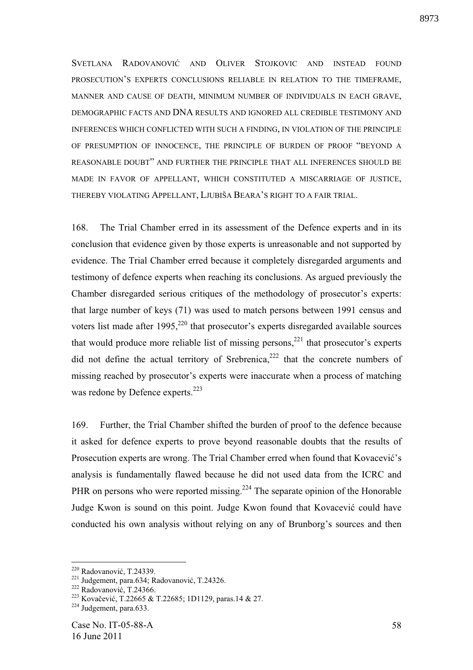SVETLANA RADOVANOVIĆ AND OLIVER STOJKOVIC AND INSTEAD FOUND PROSECUTION'S EXPERTS CONCLUSIONS RELIABLE IN RELATION TO THE TIMEFRAME, MANNER AND CAUSE OF DEATH, MINIMUM NUMBER OF INDIVIDUALS IN EACH GRAVE, DEMOGRAPHIC FACTS AND DNA RESULTS AND IGNORED ALL CREDIBLE TESTIMONY AND INFERENCES WHICH CONFLICTED WITH SUCH A FINDING, IN VIOLATION OF THE PRINCIPLE OF PRESUMPTION OF INNOCENCE, THE PRINCIPLE OF BURDEN OF PROOF "BEYOND A REASONABLE DOUBT" AND FURTHER THE PRINCIPLE THAT ALL INFERENCES SHOULD BE MADE IN FAVOR OF APPELLANT, WHICH CONSTITUTED A MISCARRIAGE OF JUSTICE, THEREBY VIOLATING APPELLANT, LJUBIŠA BEARA'S RIGHT TO A FAIR TRIAL.

168. The Trial Chamber erred in its assessment of the Defence experts and in its conclusion that evidence given by those experts is unreasonable and not supported by evidence. The Trial Chamber erred because it completely disregarded arguments and testimony of defence experts when reaching its conclusions. As argued previously the Chamber disregarded serious critiques of the methodology of prosecutor's experts: that large number of keys (71) was used to match persons between 1991 census and voters list made after  $1995$ ,<sup>220</sup> that prosecutor's experts disregarded available sources that would produce more reliable list of missing persons, $^{221}$  that prosecutor's experts did not define the actual territory of Srebrenica, $222$  that the concrete numbers of missing reached by prosecutor's experts were inaccurate when a process of matching was redone by Defence experts.<sup>223</sup>

169. Further, the Trial Chamber shifted the burden of proof to the defence because it asked for defence experts to prove beyond reasonable doubts that the results of Prosecution experts are wrong. The Trial Chamber erred when found that Kovacević's analysis is fundamentally flawed because he did not used data from the ICRC and PHR on persons who were reported missing.<sup>224</sup> The separate opinion of the Honorable Judge Kwon is sound on this point. Judge Kwon found that Kovacević could have conducted his own analysis without relying on any of Brunborg's sources and then

 $220$  Radovanović, T.24339.

 $221$  Judgement, para.634; Radovanović, T.24326.

 $222$  Radovanović, T.24366.

<sup>&</sup>lt;sup>223</sup> Kovačević, T.22665 & T.22685; 1D1129, paras.14 & 27.

 $^{224}$  Judgement, para.633.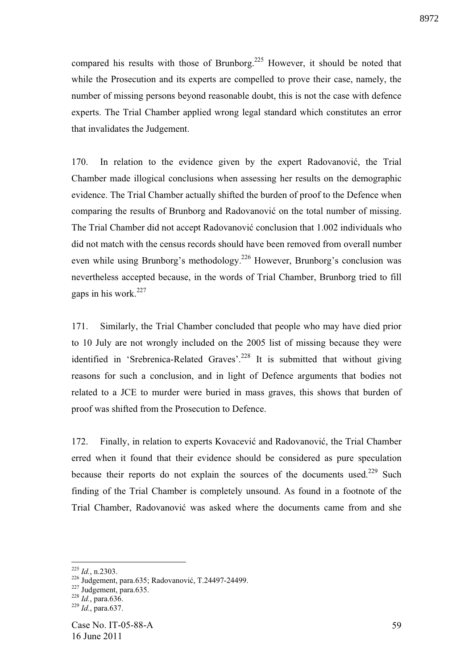compared his results with those of Brunborg.<sup>225</sup> However, it should be noted that while the Prosecution and its experts are compelled to prove their case, namely, the number of missing persons beyond reasonable doubt, this is not the case with defence experts. The Trial Chamber applied wrong legal standard which constitutes an error that invalidates the Judgement.

170. In relation to the evidence given by the expert Radovanović, the Trial Chamber made illogical conclusions when assessing her results on the demographic evidence. The Trial Chamber actually shifted the burden of proof to the Defence when comparing the results of Brunborg and Radovanović on the total number of missing. The Trial Chamber did not accept Radovanović conclusion that 1.002 individuals who did not match with the census records should have been removed from overall number even while using Brunborg's methodology.<sup>226</sup> However, Brunborg's conclusion was nevertheless accepted because, in the words of Trial Chamber, Brunborg tried to fill gaps in his work.<sup>227</sup>

171. Similarly, the Trial Chamber concluded that people who may have died prior to 10 July are not wrongly included on the 2005 list of missing because they were identified in 'Srebrenica-Related Graves'.<sup>228</sup> It is submitted that without giving reasons for such a conclusion, and in light of Defence arguments that bodies not related to a JCE to murder were buried in mass graves, this shows that burden of proof was shifted from the Prosecution to Defence.

172. Finally, in relation to experts Kovacević and Radovanović, the Trial Chamber erred when it found that their evidence should be considered as pure speculation because their reports do not explain the sources of the documents used.<sup>229</sup> Such finding of the Trial Chamber is completely unsound. As found in a footnote of the Trial Chamber, Radovanović was asked where the documents came from and she

<sup>225</sup> *Id.*, n.2303.

<sup>&</sup>lt;sup>226</sup> Judgement, para.635; Radovanović, T.24497-24499.

 $227$  Judgement, para.635.

<sup>228</sup> *Id.*, para.636.

<sup>229</sup> *Id.*, para.637.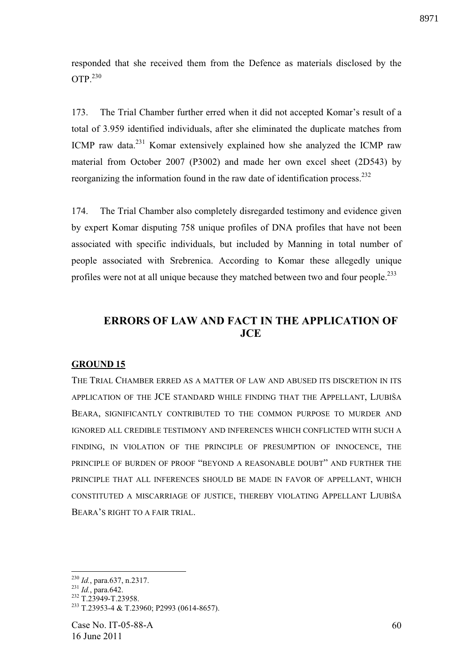responded that she received them from the Defence as materials disclosed by the OTP. $^{230}$ 

173. The Trial Chamber further erred when it did not accepted Komar's result of a total of 3.959 identified individuals, after she eliminated the duplicate matches from ICMP raw data.<sup>231</sup> Komar extensively explained how she analyzed the ICMP raw material from October 2007 (P3002) and made her own excel sheet (2D543) by reorganizing the information found in the raw date of identification process.<sup>232</sup>

174. The Trial Chamber also completely disregarded testimony and evidence given by expert Komar disputing 758 unique profiles of DNA profiles that have not been associated with specific individuals, but included by Manning in total number of people associated with Srebrenica. According to Komar these allegedly unique profiles were not at all unique because they matched between two and four people.<sup>233</sup>

# **ERRORS OF LAW AND FACT IN THE APPLICATION OF JCE**

## **GROUND 15**

THE TRIAL CHAMBER ERRED AS A MATTER OF LAW AND ABUSED ITS DISCRETION IN ITS APPLICATION OF THE JCE STANDARD WHILE FINDING THAT THE APPELLANT, LJUBIŠA BEARA, SIGNIFICANTLY CONTRIBUTED TO THE COMMON PURPOSE TO MURDER AND IGNORED ALL CREDIBLE TESTIMONY AND INFERENCES WHICH CONFLICTED WITH SUCH A FINDING, IN VIOLATION OF THE PRINCIPLE OF PRESUMPTION OF INNOCENCE, THE PRINCIPLE OF BURDEN OF PROOF "BEYOND A REASONABLE DOUBT" AND FURTHER THE PRINCIPLE THAT ALL INFERENCES SHOULD BE MADE IN FAVOR OF APPELLANT, WHICH CONSTITUTED A MISCARRIAGE OF JUSTICE, THEREBY VIOLATING APPELLANT LJUBIŠA BEARA'S RIGHT TO A FAIR TRIAL.

<sup>230</sup> *Id.*, para.637, n.2317.

<sup>231</sup> *Id.*, para.642.

<sup>&</sup>lt;sup>232</sup> T.23949-T.23958.

<sup>233</sup> T.23953-4 & T.23960; P2993 (0614-8657).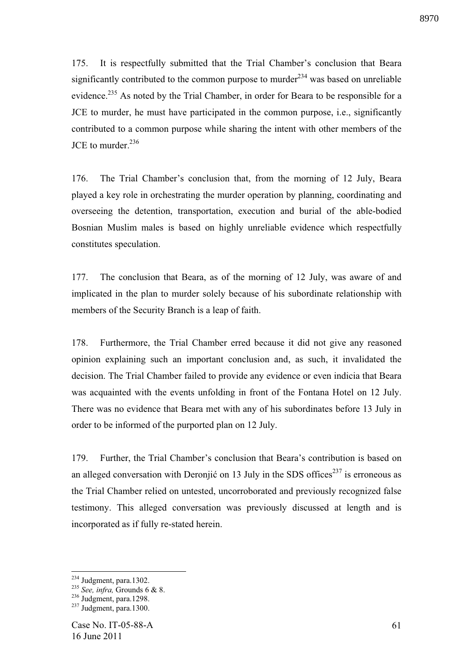175. It is respectfully submitted that the Trial Chamber's conclusion that Beara significantly contributed to the common purpose to murder<sup>234</sup> was based on unreliable evidence.<sup>235</sup> As noted by the Trial Chamber, in order for Beara to be responsible for a JCE to murder, he must have participated in the common purpose, i.e., significantly contributed to a common purpose while sharing the intent with other members of the JCE to murder  $^{236}$ 

176. The Trial Chamber's conclusion that, from the morning of 12 July, Beara played a key role in orchestrating the murder operation by planning, coordinating and overseeing the detention, transportation, execution and burial of the able-bodied Bosnian Muslim males is based on highly unreliable evidence which respectfully constitutes speculation.

177. The conclusion that Beara, as of the morning of 12 July, was aware of and implicated in the plan to murder solely because of his subordinate relationship with members of the Security Branch is a leap of faith.

178. Furthermore, the Trial Chamber erred because it did not give any reasoned opinion explaining such an important conclusion and, as such, it invalidated the decision. The Trial Chamber failed to provide any evidence or even indicia that Beara was acquainted with the events unfolding in front of the Fontana Hotel on 12 July. There was no evidence that Beara met with any of his subordinates before 13 July in order to be informed of the purported plan on 12 July.

179. Further, the Trial Chamber's conclusion that Beara's contribution is based on an alleged conversation with Deronjić on 13 July in the SDS offices<sup>237</sup> is erroneous as the Trial Chamber relied on untested, uncorroborated and previously recognized false testimony. This alleged conversation was previously discussed at length and is incorporated as if fully re-stated herein.

 $234$  Judgment, para.1302.

<sup>235</sup> *See, infra,* Grounds 6 & 8.

 $236$  Judgment, para.1298.

 $^{237}$  Judgment, para.1300.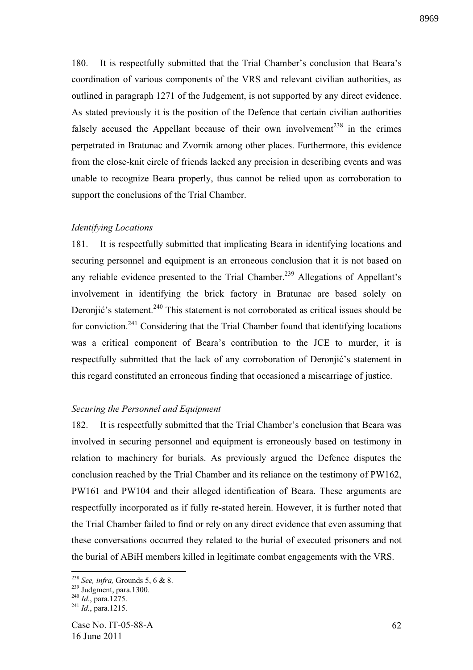180. It is respectfully submitted that the Trial Chamber's conclusion that Beara's coordination of various components of the VRS and relevant civilian authorities, as outlined in paragraph 1271 of the Judgement, is not supported by any direct evidence. As stated previously it is the position of the Defence that certain civilian authorities falsely accused the Appellant because of their own involvement<sup>238</sup> in the crimes perpetrated in Bratunac and Zvornik among other places. Furthermore, this evidence from the close-knit circle of friends lacked any precision in describing events and was unable to recognize Beara properly, thus cannot be relied upon as corroboration to support the conclusions of the Trial Chamber.

#### *Identifying Locations*

181. It is respectfully submitted that implicating Beara in identifying locations and securing personnel and equipment is an erroneous conclusion that it is not based on any reliable evidence presented to the Trial Chamber.<sup>239</sup> Allegations of Appellant's involvement in identifying the brick factory in Bratunac are based solely on Deronjić's statement.<sup>240</sup> This statement is not corroborated as critical issues should be for conviction.<sup>241</sup> Considering that the Trial Chamber found that identifying locations was a critical component of Beara's contribution to the JCE to murder, it is respectfully submitted that the lack of any corroboration of Deronjić's statement in this regard constituted an erroneous finding that occasioned a miscarriage of justice.

#### *Securing the Personnel and Equipment*

182. It is respectfully submitted that the Trial Chamber's conclusion that Beara was involved in securing personnel and equipment is erroneously based on testimony in relation to machinery for burials. As previously argued the Defence disputes the conclusion reached by the Trial Chamber and its reliance on the testimony of PW162, PW161 and PW104 and their alleged identification of Beara. These arguments are respectfully incorporated as if fully re-stated herein. However, it is further noted that the Trial Chamber failed to find or rely on any direct evidence that even assuming that these conversations occurred they related to the burial of executed prisoners and not the burial of ABiH members killed in legitimate combat engagements with the VRS.

<sup>238</sup> *See, infra,* Grounds 5, 6 & 8.

<sup>&</sup>lt;sup>239</sup> Judgment, para.1300.

<sup>240</sup> *Id.*, para.1275.

<sup>241</sup> *Id.*, para.1215.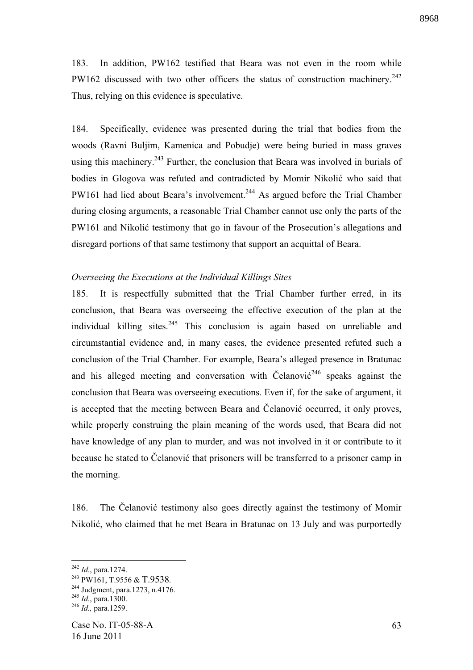183. In addition, PW162 testified that Beara was not even in the room while PW162 discussed with two other officers the status of construction machinery.<sup>242</sup> Thus, relying on this evidence is speculative.

184. Specifically, evidence was presented during the trial that bodies from the woods (Ravni Buljim, Kamenica and Pobudje) were being buried in mass graves using this machinery.<sup>243</sup> Further, the conclusion that Beara was involved in burials of bodies in Glogova was refuted and contradicted by Momir Nikolić who said that PW161 had lied about Beara's involvement.<sup>244</sup> As argued before the Trial Chamber during closing arguments, a reasonable Trial Chamber cannot use only the parts of the PW161 and Nikolić testimony that go in favour of the Prosecution's allegations and disregard portions of that same testimony that support an acquittal of Beara.

#### *Overseeing the Executions at the Individual Killings Sites*

185. It is respectfully submitted that the Trial Chamber further erred, in its conclusion, that Beara was overseeing the effective execution of the plan at the individual killing sites. <sup>245</sup> This conclusion is again based on unreliable and circumstantial evidence and, in many cases, the evidence presented refuted such a conclusion of the Trial Chamber. For example, Beara's alleged presence in Bratunac and his alleged meeting and conversation with Čelanović<sup>246</sup> speaks against the conclusion that Beara was overseeing executions. Even if, for the sake of argument, it is accepted that the meeting between Beara and Čelanović occurred, it only proves, while properly construing the plain meaning of the words used, that Beara did not have knowledge of any plan to murder, and was not involved in it or contribute to it because he stated to Čelanović that prisoners will be transferred to a prisoner camp in the morning.

186. The Čelanović testimony also goes directly against the testimony of Momir Nikolić, who claimed that he met Beara in Bratunac on 13 July and was purportedly

<sup>242</sup> *Id.*, para.1274.

<sup>&</sup>lt;sup>243</sup> PW161, T.9556 & T.9538.

<sup>244</sup> Judgment, para.1273, n.4176.

<sup>245</sup> *Id.*, para.1300.

<sup>246</sup> *Id.,* para.1259.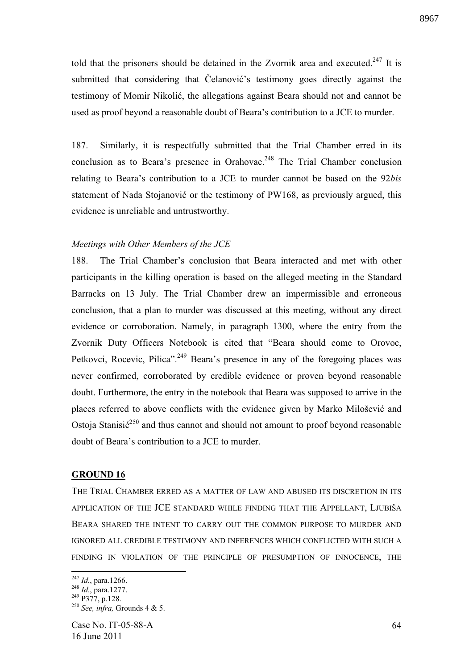told that the prisoners should be detained in the Zvornik area and executed.<sup>247</sup> It is submitted that considering that Celanović's testimony goes directly against the testimony of Momir Nikolić, the allegations against Beara should not and cannot be used as proof beyond a reasonable doubt of Beara's contribution to a JCE to murder.

187. Similarly, it is respectfully submitted that the Trial Chamber erred in its conclusion as to Beara's presence in Orahovac.<sup>248</sup> The Trial Chamber conclusion relating to Beara's contribution to a JCE to murder cannot be based on the 92*bis* statement of Nada Stojanović or the testimony of PW168, as previously argued, this evidence is unreliable and untrustworthy.

#### *Meetings with Other Members of the JCE*

188. The Trial Chamber's conclusion that Beara interacted and met with other participants in the killing operation is based on the alleged meeting in the Standard Barracks on 13 July. The Trial Chamber drew an impermissible and erroneous conclusion, that a plan to murder was discussed at this meeting, without any direct evidence or corroboration. Namely, in paragraph 1300, where the entry from the Zvornik Duty Officers Notebook is cited that "Beara should come to Orovoc, Petkovci, Rocevic, Pilica".<sup>249</sup> Beara's presence in any of the foregoing places was never confirmed, corroborated by credible evidence or proven beyond reasonable doubt. Furthermore, the entry in the notebook that Beara was supposed to arrive in the places referred to above conflicts with the evidence given by Marko Milošević and Ostoja Stanisi $\acute{\text{c}}^{250}$  and thus cannot and should not amount to proof beyond reasonable doubt of Beara's contribution to a JCE to murder.

## **GROUND 16**

THE TRIAL CHAMBER ERRED AS A MATTER OF LAW AND ABUSED ITS DISCRETION IN ITS APPLICATION OF THE JCE STANDARD WHILE FINDING THAT THE APPELLANT, LJUBIŠA BEARA SHARED THE INTENT TO CARRY OUT THE COMMON PURPOSE TO MURDER AND IGNORED ALL CREDIBLE TESTIMONY AND INFERENCES WHICH CONFLICTED WITH SUCH A FINDING IN VIOLATION OF THE PRINCIPLE OF PRESUMPTION OF INNOCENCE, THE

<sup>1</sup> <sup>247</sup> *Id.*, para.1266.

<sup>248</sup> *Id.*, para.1277.

 $249$  P377, p.128.

<sup>250</sup> *See, infra,* Grounds 4 & 5.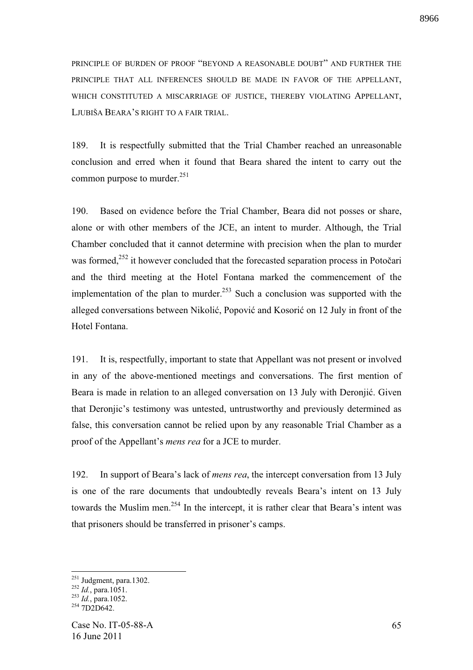PRINCIPLE OF BURDEN OF PROOF "BEYOND A REASONABLE DOUBT" AND FURTHER THE PRINCIPLE THAT ALL INFERENCES SHOULD BE MADE IN FAVOR OF THE APPELLANT, WHICH CONSTITUTED A MISCARRIAGE OF JUSTICE, THEREBY VIOLATING APPELLANT, LJUBIŠA BEARA'S RIGHT TO A FAIR TRIAL.

189. It is respectfully submitted that the Trial Chamber reached an unreasonable conclusion and erred when it found that Beara shared the intent to carry out the common purpose to murder. $251$ 

190. Based on evidence before the Trial Chamber, Beara did not posses or share, alone or with other members of the JCE, an intent to murder. Although, the Trial Chamber concluded that it cannot determine with precision when the plan to murder was formed, $^{252}$  it however concluded that the forecasted separation process in Potočari and the third meeting at the Hotel Fontana marked the commencement of the implementation of the plan to murder.<sup>253</sup> Such a conclusion was supported with the alleged conversations between Nikolić, Popović and Kosorić on 12 July in front of the Hotel Fontana.

191. It is, respectfully, important to state that Appellant was not present or involved in any of the above-mentioned meetings and conversations. The first mention of Beara is made in relation to an alleged conversation on 13 July with Deronjić. Given that Deronjic's testimony was untested, untrustworthy and previously determined as false, this conversation cannot be relied upon by any reasonable Trial Chamber as a proof of the Appellant's *mens rea* for a JCE to murder.

192. In support of Beara's lack of *mens rea*, the intercept conversation from 13 July is one of the rare documents that undoubtedly reveals Beara's intent on 13 July towards the Muslim men.<sup>254</sup> In the intercept, it is rather clear that Beara's intent was that prisoners should be transferred in prisoner's camps.

 $251$  Judgment, para.1302.

<sup>252</sup> *Id.*, para.1051.

<sup>253</sup> *Id.*, para.1052.

<sup>&</sup>lt;sup>254</sup> 7D2D642.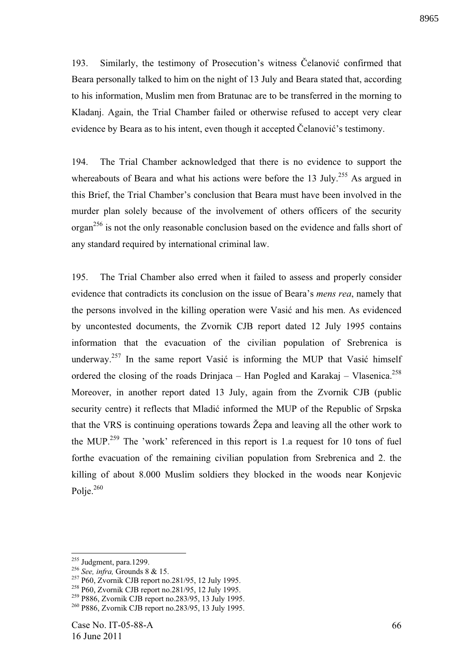193. Similarly, the testimony of Prosecution's witness Čelanović confirmed that Beara personally talked to him on the night of 13 July and Beara stated that, according to his information, Muslim men from Bratunac are to be transferred in the morning to Kladanj. Again, the Trial Chamber failed or otherwise refused to accept very clear evidence by Beara as to his intent, even though it accepted Čelanović's testimony.

194. The Trial Chamber acknowledged that there is no evidence to support the whereabouts of Beara and what his actions were before the 13 July.<sup>255</sup> As argued in this Brief, the Trial Chamber's conclusion that Beara must have been involved in the murder plan solely because of the involvement of others officers of the security organ<sup>256</sup> is not the only reasonable conclusion based on the evidence and falls short of any standard required by international criminal law.

195. The Trial Chamber also erred when it failed to assess and properly consider evidence that contradicts its conclusion on the issue of Beara's *mens rea*, namely that the persons involved in the killing operation were Vasić and his men. As evidenced by uncontested documents, the Zvornik CJB report dated 12 July 1995 contains information that the evacuation of the civilian population of Srebrenica is underway.<sup>257</sup> In the same report Vasić is informing the MUP that Vasić himself ordered the closing of the roads Drinjaca – Han Pogled and Karakaj – Vlasenica.<sup>258</sup> Moreover, in another report dated 13 July, again from the Zvornik CJB (public security centre) it reflects that Mladić informed the MUP of the Republic of Srpska that the VRS is continuing operations towards Žepa and leaving all the other work to the MUP.<sup>259</sup> The 'work' referenced in this report is 1.a request for 10 tons of fuel forthe evacuation of the remaining civilian population from Srebrenica and 2. the killing of about 8.000 Muslim soldiers they blocked in the woods near Konjevic Polje. $260$ 

<u>.</u>

 $255$  Judgment, para.1299.

<sup>256</sup> *See, infra,* Grounds 8 & 15.

<sup>257</sup> P60, Zvornik CJB report no.281/95, 12 July 1995.

<sup>258</sup> P60, Zvornik CJB report no.281/95, 12 July 1995.

<sup>259</sup> P886, Zvornik CJB report no.283/95, 13 July 1995.

<sup>260</sup> P886, Zvornik CJB report no.283/95, 13 July 1995.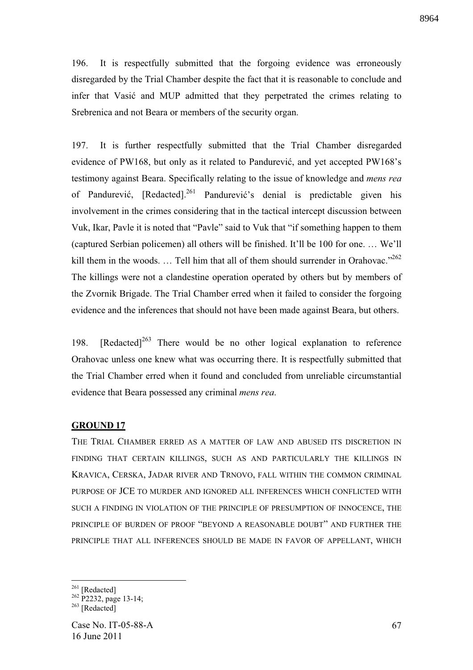196. It is respectfully submitted that the forgoing evidence was erroneously disregarded by the Trial Chamber despite the fact that it is reasonable to conclude and infer that Vasić and MUP admitted that they perpetrated the crimes relating to Srebrenica and not Beara or members of the security organ.

197. It is further respectfully submitted that the Trial Chamber disregarded evidence of PW168, but only as it related to Pandurević, and yet accepted  $PW168$ 's testimony against Beara. Specifically relating to the issue of knowledge and *mens rea* of Pandurević, [Redacted].<sup>261</sup> Pandurević's denial is predictable given his involvement in the crimes considering that in the tactical intercept discussion between Vuk, Ikar, Pavle it is noted that "Pavle" said to Vuk that "if something happen to them (captured Serbian policemen) all others will be finished. It'll be 100 for one. … We'll kill them in the woods. ... Tell him that all of them should surrender in Orahovac."<sup>262</sup> The killings were not a clandestine operation operated by others but by members of the Zvornik Brigade. The Trial Chamber erred when it failed to consider the forgoing evidence and the inferences that should not have been made against Beara, but others.

198. [Redacted]<sup>263</sup> There would be no other logical explanation to reference Orahovac unless one knew what was occurring there. It is respectfully submitted that the Trial Chamber erred when it found and concluded from unreliable circumstantial evidence that Beara possessed any criminal *mens rea*.

## **GROUND 17**

THE TRIAL CHAMBER ERRED AS A MATTER OF LAW AND ABUSED ITS DISCRETION IN FINDING THAT CERTAIN KILLINGS, SUCH AS AND PARTICULARLY THE KILLINGS IN KRAVICA, CERSKA, JADAR RIVER AND TRNOVO, FALL WITHIN THE COMMON CRIMINAL PURPOSE OF JCE TO MURDER AND IGNORED ALL INFERENCES WHICH CONFLICTED WITH SUCH A FINDING IN VIOLATION OF THE PRINCIPLE OF PRESUMPTION OF INNOCENCE, THE PRINCIPLE OF BURDEN OF PROOF "BEYOND A REASONABLE DOUBT" AND FURTHER THE PRINCIPLE THAT ALL INFERENCES SHOULD BE MADE IN FAVOR OF APPELLANT, WHICH

<sup>&</sup>lt;u>.</u>  $261$  [Redacted]

 $262$  P2232, page 13-14;

 $^{263}$  [Redacted]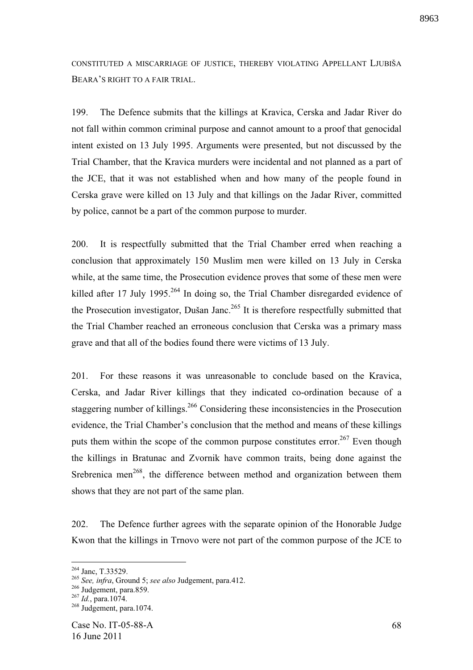CONSTITUTED A MISCARRIAGE OF JUSTICE, THEREBY VIOLATING APPELLANT LJUBIŠA BEARA'S RIGHT TO A FAIR TRIAL.

199. The Defence submits that the killings at Kravica, Cerska and Jadar River do not fall within common criminal purpose and cannot amount to a proof that genocidal intent existed on 13 July 1995. Arguments were presented, but not discussed by the Trial Chamber, that the Kravica murders were incidental and not planned as a part of the JCE, that it was not established when and how many of the people found in Cerska grave were killed on 13 July and that killings on the Jadar River, committed by police, cannot be a part of the common purpose to murder.

200. It is respectfully submitted that the Trial Chamber erred when reaching a conclusion that approximately 150 Muslim men were killed on 13 July in Cerska while, at the same time, the Prosecution evidence proves that some of these men were killed after 17 July 1995.<sup>264</sup> In doing so, the Trial Chamber disregarded evidence of the Prosecution investigator, Dušan Janc.<sup>265</sup> It is therefore respectfully submitted that the Trial Chamber reached an erroneous conclusion that Cerska was a primary mass grave and that all of the bodies found there were victims of 13 July.

201. For these reasons it was unreasonable to conclude based on the Kravica, Cerska, and Jadar River killings that they indicated co-ordination because of a staggering number of killings.<sup>266</sup> Considering these inconsistencies in the Prosecution evidence, the Trial Chamber's conclusion that the method and means of these killings puts them within the scope of the common purpose constitutes error.<sup>267</sup> Even though the killings in Bratunac and Zvornik have common traits, being done against the Srebrenica men<sup> $268$ </sup>, the difference between method and organization between them shows that they are not part of the same plan.

202. The Defence further agrees with the separate opinion of the Honorable Judge Kwon that the killings in Trnovo were not part of the common purpose of the JCE to

<sup>&</sup>lt;sup>264</sup> Janc, T.33529.

<sup>265</sup> *See, infra*, Ground 5; *see also* Judgement, para.412.

<sup>&</sup>lt;sup>266</sup> Judgement, para.859.

<sup>267</sup> *Id.*, para.1074.

 $268$  Judgement, para.1074.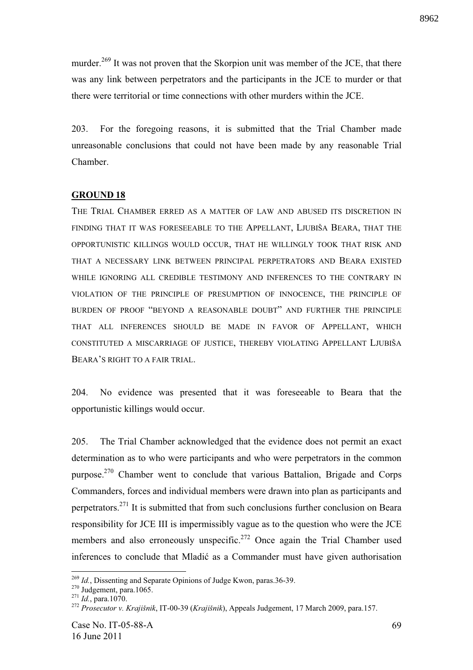murder.<sup>269</sup> It was not proven that the Skorpion unit was member of the JCE, that there was any link between perpetrators and the participants in the JCE to murder or that there were territorial or time connections with other murders within the JCE.

203. For the foregoing reasons, it is submitted that the Trial Chamber made unreasonable conclusions that could not have been made by any reasonable Trial Chamber.

# **GROUND 18**

THE TRIAL CHAMBER ERRED AS A MATTER OF LAW AND ABUSED ITS DISCRETION IN FINDING THAT IT WAS FORESEEABLE TO THE APPELLANT, LJUBIŠA BEARA, THAT THE OPPORTUNISTIC KILLINGS WOULD OCCUR, THAT HE WILLINGLY TOOK THAT RISK AND THAT A NECESSARY LINK BETWEEN PRINCIPAL PERPETRATORS AND BEARA EXISTED WHILE IGNORING ALL CREDIBLE TESTIMONY AND INFERENCES TO THE CONTRARY IN VIOLATION OF THE PRINCIPLE OF PRESUMPTION OF INNOCENCE, THE PRINCIPLE OF BURDEN OF PROOF "BEYOND A REASONABLE DOUBT" AND FURTHER THE PRINCIPLE THAT ALL INFERENCES SHOULD BE MADE IN FAVOR OF APPELLANT, WHICH CONSTITUTED A MISCARRIAGE OF JUSTICE, THEREBY VIOLATING APPELLANT LJUBIŠA BEARA'S RIGHT TO A FAIR TRIAL.

204. No evidence was presented that it was foreseeable to Beara that the opportunistic killings would occur.

205. The Trial Chamber acknowledged that the evidence does not permit an exact determination as to who were participants and who were perpetrators in the common purpose.<sup>270</sup> Chamber went to conclude that various Battalion, Brigade and Corps Commanders, forces and individual members were drawn into plan as participants and perpetrators.<sup>271</sup> It is submitted that from such conclusions further conclusion on Beara responsibility for JCE III is impermissibly vague as to the question who were the JCE members and also erroneously unspecific.<sup>272</sup> Once again the Trial Chamber used inferences to conclude that Mladić as a Commander must have given authorisation

<sup>1</sup> <sup>269</sup> *Id.*, Dissenting and Separate Opinions of Judge Kwon, paras.36-39.

 $270$  Judgement, para.1065.

<sup>271</sup> *Id.*, para.1070.

<sup>272</sup> *Prosecutor v. Krajišnik*, IT-00-39 (*Krajišnik*), Appeals Judgement, 17 March 2009, para.157.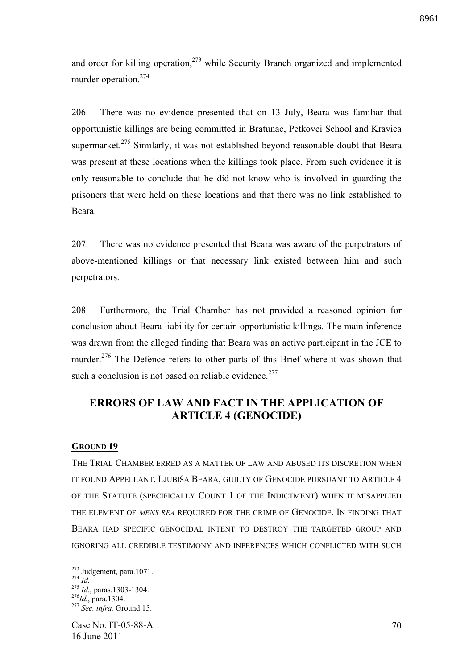and order for killing operation, $273$  while Security Branch organized and implemented murder operation.<sup>274</sup>

206. There was no evidence presented that on 13 July, Beara was familiar that opportunistic killings are being committed in Bratunac, Petkovci School and Kravica supermarket.<sup>275</sup> Similarly, it was not established beyond reasonable doubt that Beara was present at these locations when the killings took place. From such evidence it is only reasonable to conclude that he did not know who is involved in guarding the prisoners that were held on these locations and that there was no link established to Beara.

207. There was no evidence presented that Beara was aware of the perpetrators of above-mentioned killings or that necessary link existed between him and such perpetrators.

208. Furthermore, the Trial Chamber has not provided a reasoned opinion for conclusion about Beara liability for certain opportunistic killings. The main inference was drawn from the alleged finding that Beara was an active participant in the JCE to murder.<sup>276</sup> The Defence refers to other parts of this Brief where it was shown that such a conclusion is not based on reliable evidence.<sup>277</sup>

# **ERRORS OF LAW AND FACT IN THE APPLICATION OF ARTICLE 4 (GENOCIDE)**

### **GROUND 19**

THE TRIAL CHAMBER ERRED AS A MATTER OF LAW AND ABUSED ITS DISCRETION WHEN IT FOUND APPELLANT, LJUBIŠA BEARA, GUILTY OF GENOCIDE PURSUANT TO ARTICLE 4 OF THE STATUTE (SPECIFICALLY COUNT 1 OF THE INDICTMENT) WHEN IT MISAPPLIED THE ELEMENT OF *MENS REA* REQUIRED FOR THE CRIME OF GENOCIDE. IN FINDING THAT BEARA HAD SPECIFIC GENOCIDAL INTENT TO DESTROY THE TARGETED GROUP AND IGNORING ALL CREDIBLE TESTIMONY AND INFERENCES WHICH CONFLICTED WITH SUCH

 $273$  Judgement, para.1071.

 $^{274}$  *Id.* 

<sup>275</sup> *Id.*, paras.1303-1304.

<sup>276</sup>*Id.*, para.1304. <sup>277</sup> *See, infra,* Ground 15.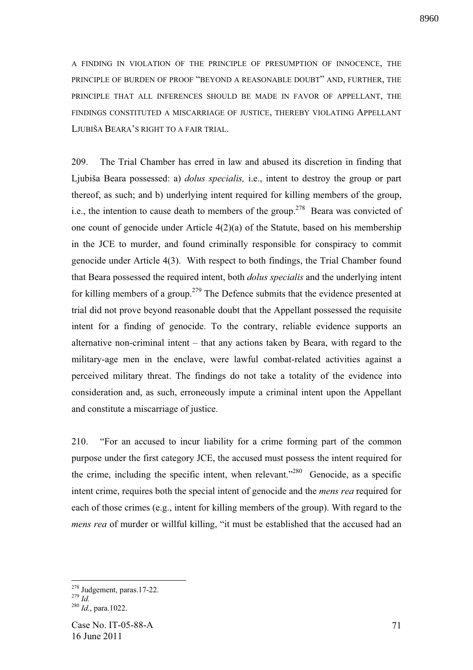A FINDING IN VIOLATION OF THE PRINCIPLE OF PRESUMPTION OF INNOCENCE, THE PRINCIPLE OF BURDEN OF PROOF "BEYOND A REASONABLE DOUBT" AND, FURTHER, THE PRINCIPLE THAT ALL INFERENCES SHOULD BE MADE IN FAVOR OF APPELLANT, THE FINDINGS CONSTITUTED A MISCARRIAGE OF JUSTICE, THEREBY VIOLATING APPELLANT LJUBIŠA BEARA'S RIGHT TO A FAIR TRIAL.

209. The Trial Chamber has erred in law and abused its discretion in finding that Ljubiša Beara possessed: a) *dolus specialis,* i.e., intent to destroy the group or part thereof, as such; and b) underlying intent required for killing members of the group, i.e., the intention to cause death to members of the group.<sup>278</sup> Beara was convicted of one count of genocide under Article 4(2)(a) of the Statute, based on his membership in the JCE to murder, and found criminally responsible for conspiracy to commit genocide under Article 4(3). With respect to both findings, the Trial Chamber found that Beara possessed the required intent, both *dolus specialis* and the underlying intent for killing members of a group.<sup>279</sup> The Defence submits that the evidence presented at trial did not prove beyond reasonable doubt that the Appellant possessed the requisite intent for a finding of genocide. To the contrary, reliable evidence supports an alternative non-criminal intent – that any actions taken by Beara, with regard to the military-age men in the enclave, were lawful combat-related activities against a perceived military threat. The findings do not take a totality of the evidence into consideration and, as such, erroneously impute a criminal intent upon the Appellant and constitute a miscarriage of justice.

210. "For an accused to incur liability for a crime forming part of the common purpose under the first category JCE, the accused must possess the intent required for the crime, including the specific intent, when relevant."<sup>280</sup> Genocide, as a specific intent crime, requires both the special intent of genocide and the *mens rea* required for each of those crimes (e.g., intent for killing members of the group). With regard to the *mens rea* of murder or willful killing, "it must be established that the accused had an

 $278$  Judgement, paras.17-22.

 $^{279}$  *Id.* 

<sup>280</sup> *Id.*, para.1022.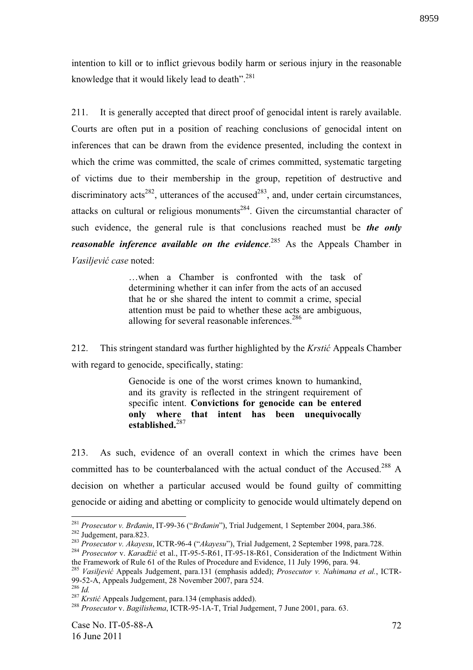intention to kill or to inflict grievous bodily harm or serious injury in the reasonable knowledge that it would likely lead to death". $^{281}$ 

211. It is generally accepted that direct proof of genocidal intent is rarely available. Courts are often put in a position of reaching conclusions of genocidal intent on inferences that can be drawn from the evidence presented, including the context in which the crime was committed, the scale of crimes committed, systematic targeting of victims due to their membership in the group, repetition of destructive and discriminatory acts<sup>282</sup>, utterances of the accused<sup>283</sup>, and, under certain circumstances, attacks on cultural or religious monuments<sup>284</sup>. Given the circumstantial character of such evidence, the general rule is that conclusions reached must be *the only reasonable inference available on the evidence*. <sup>285</sup> As the Appeals Chamber in *Vasiljevi case* noted:

> …when a Chamber is confronted with the task of determining whether it can infer from the acts of an accused that he or she shared the intent to commit a crime, special attention must be paid to whether these acts are ambiguous, allowing for several reasonable inferences.<sup>286</sup>

212. This stringent standard was further highlighted by the *Krsti* Appeals Chamber with regard to genocide, specifically, stating:

> Genocide is one of the worst crimes known to humankind, and its gravity is reflected in the stringent requirement of specific intent. **Convictions for genocide can be entered only where that intent has been unequivocally established.**<sup>287</sup>

213. As such, evidence of an overall context in which the crimes have been committed has to be counterbalanced with the actual conduct of the Accused.<sup>288</sup> A decision on whether a particular accused would be found guilty of committing genocide or aiding and abetting or complicity to genocide would ultimately depend on

<sup>&</sup>lt;sup>281</sup> Prosecutor v. Brđanin, IT-99-36 ("Brđanin"), Trial Judgement, 1 September 2004, para.386. <sup>282</sup> Judgement, para.823.

<sup>283</sup> *Prosecutor v. Akayesu*, ICTR-96-4 ("*Akayesu*"), Trial Judgement, 2 September 1998, para.728.

<sup>&</sup>lt;sup>284</sup> Prosecutor v. *Karadžić* et al., IT-95-5-R61, IT-95-18-R61, Consideration of the Indictment Within the Framework of Rule 61 of the Rules of Procedure and Evidence, 11 July 1996, para. 94.

<sup>285</sup> *Vasiljevi* Appeals Judgement, para.131 (emphasis added); *Prosecutor v. Nahimana et al.*, ICTR-99-52-A, Appeals Judgement, 28 November 2007, para 524.

<sup>286</sup> *Id.*

<sup>&</sup>lt;sup>287</sup> *Krstić* Appeals Judgement, para.134 (emphasis added).

<sup>288</sup> *Prosecutor* v. *Bagilishema*, ICTR-95-1A-T, Trial Judgement, 7 June 2001, para. 63.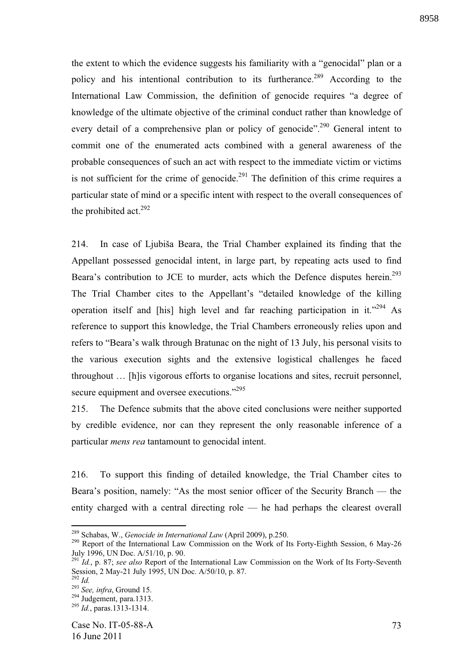8958

the extent to which the evidence suggests his familiarity with a "genocidal" plan or a policy and his intentional contribution to its furtherance.<sup>289</sup> According to the International Law Commission, the definition of genocide requires "a degree of knowledge of the ultimate objective of the criminal conduct rather than knowledge of every detail of a comprehensive plan or policy of genocide".<sup>290</sup> General intent to commit one of the enumerated acts combined with a general awareness of the probable consequences of such an act with respect to the immediate victim or victims is not sufficient for the crime of genocide.<sup>291</sup> The definition of this crime requires a particular state of mind or a specific intent with respect to the overall consequences of the prohibited act. $292$ 

214. In case of Ljubiša Beara, the Trial Chamber explained its finding that the Appellant possessed genocidal intent, in large part, by repeating acts used to find Beara's contribution to JCE to murder, acts which the Defence disputes herein.<sup>293</sup> The Trial Chamber cites to the Appellant's "detailed knowledge of the killing operation itself and [his] high level and far reaching participation in it."<sup>294</sup> As reference to support this knowledge, the Trial Chambers erroneously relies upon and refers to "Beara's walk through Bratunac on the night of 13 July, his personal visits to the various execution sights and the extensive logistical challenges he faced throughout … [h]is vigorous efforts to organise locations and sites, recruit personnel, secure equipment and oversee executions."<sup>295</sup>

215. The Defence submits that the above cited conclusions were neither supported by credible evidence, nor can they represent the only reasonable inference of a particular *mens rea* tantamount to genocidal intent.

216. To support this finding of detailed knowledge, the Trial Chamber cites to Beara's position, namely: "As the most senior officer of the Security Branch — the entity charged with a central directing role — he had perhaps the clearest overall

<sup>289</sup> Schabas, W., *Genocide in International Law* (April 2009), p.250.

<sup>&</sup>lt;sup>290</sup> Report of the International Law Commission on the Work of Its Forty-Eighth Session, 6 May-26 July 1996, UN Doc. A/51/10, p. 90.

<sup>291</sup> *Id.*, p. 87; *see also* Report of the International Law Commission on the Work of Its Forty-Seventh Session, 2 May-21 July 1995, UN Doc. A/50/10, p. 87.

<sup>292</sup> *Id.*

<sup>293</sup> *See, infra*, Ground 15.

 $^{294}$  Judgement, para.1313.

<sup>295</sup> *Id.*, paras.1313-1314.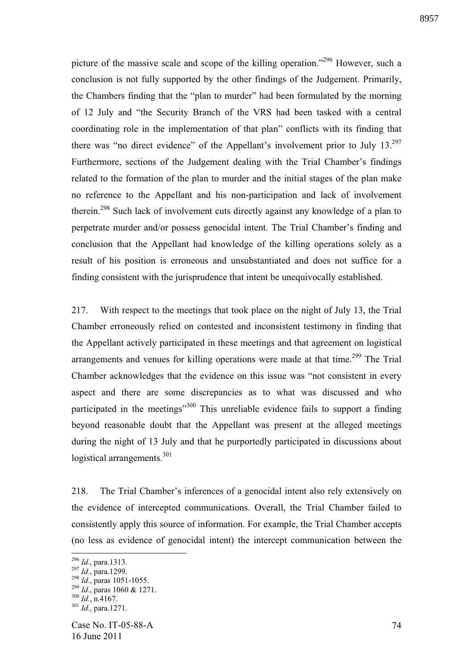picture of the massive scale and scope of the killing operation."<sup>296</sup> However, such a conclusion is not fully supported by the other findings of the Judgement. Primarily, the Chambers finding that the "plan to murder" had been formulated by the morning of 12 July and "the Security Branch of the VRS had been tasked with a central coordinating role in the implementation of that plan" conflicts with its finding that there was "no direct evidence" of the Appellant's involvement prior to July  $13.^{297}$ Furthermore, sections of the Judgement dealing with the Trial Chamber's findings related to the formation of the plan to murder and the initial stages of the plan make no reference to the Appellant and his non-participation and lack of involvement therein.<sup>298</sup> Such lack of involvement cuts directly against any knowledge of a plan to perpetrate murder and/or possess genocidal intent. The Trial Chamber's finding and conclusion that the Appellant had knowledge of the killing operations solely as a result of his position is erroneous and unsubstantiated and does not suffice for a finding consistent with the jurisprudence that intent be unequivocally established.

217. With respect to the meetings that took place on the night of July 13, the Trial Chamber erroneously relied on contested and inconsistent testimony in finding that the Appellant actively participated in these meetings and that agreement on logistical arrangements and venues for killing operations were made at that time.<sup>299</sup> The Trial Chamber acknowledges that the evidence on this issue was "not consistent in every aspect and there are some discrepancies as to what was discussed and who participated in the meetings $\cdot$ <sup>300</sup> This unreliable evidence fails to support a finding beyond reasonable doubt that the Appellant was present at the alleged meetings during the night of 13 July and that he purportedly participated in discussions about logistical arrangements.<sup>301</sup>

218. The Trial Chamber's inferences of a genocidal intent also rely extensively on the evidence of intercepted communications. Overall, the Trial Chamber failed to consistently apply this source of information. For example, the Trial Chamber accepts (no less as evidence of genocidal intent) the intercept communication between the

<sup>296</sup> *Id.*, para.1313.

<sup>297</sup> *Id.*, para.1299.

<sup>298</sup> *Id.*, paras 1051-1055.

<sup>299</sup> *Id.*, paras 1060 & 1271.

 $^{300}$   $\dddot{1}$ , n.4167.

<sup>301</sup> *Id.*, para.1271.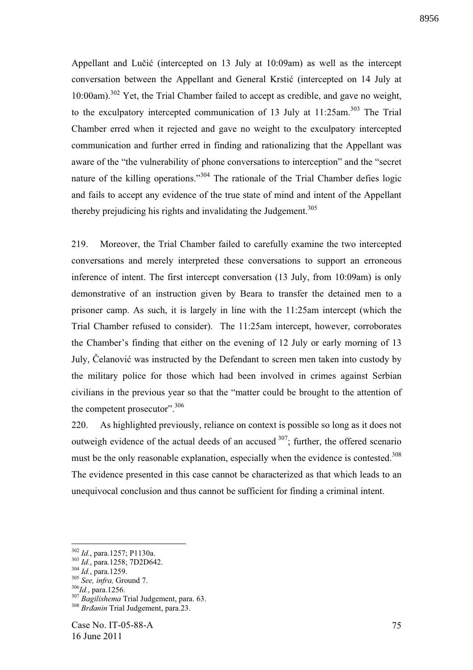Appellant and Lučić (intercepted on  $13$  July at  $10:09$ am) as well as the intercept conversation between the Appellant and General Krstić (intercepted on 14 July at 10:00am).<sup>302</sup> Yet, the Trial Chamber failed to accept as credible, and gave no weight, to the exculpatory intercepted communication of 13 July at 11:25am.<sup>303</sup> The Trial Chamber erred when it rejected and gave no weight to the exculpatory intercepted communication and further erred in finding and rationalizing that the Appellant was aware of the "the vulnerability of phone conversations to interception" and the "secret nature of the killing operations."<sup>304</sup> The rationale of the Trial Chamber defies logic and fails to accept any evidence of the true state of mind and intent of the Appellant thereby prejudicing his rights and invalidating the Judgement.<sup>305</sup>

219. Moreover, the Trial Chamber failed to carefully examine the two intercepted conversations and merely interpreted these conversations to support an erroneous inference of intent. The first intercept conversation (13 July, from 10:09am) is only demonstrative of an instruction given by Beara to transfer the detained men to a prisoner camp. As such, it is largely in line with the 11:25am intercept (which the Trial Chamber refused to consider). The 11:25am intercept, however, corroborates the Chamber's finding that either on the evening of 12 July or early morning of 13 July, Celanović was instructed by the Defendant to screen men taken into custody by the military police for those which had been involved in crimes against Serbian civilians in the previous year so that the "matter could be brought to the attention of the competent prosecutor".  $306$ 

220. As highlighted previously, reliance on context is possible so long as it does not outweigh evidence of the actual deeds of an accused  $307$ ; further, the offered scenario must be the only reasonable explanation, especially when the evidence is contested.<sup>308</sup> The evidence presented in this case cannot be characterized as that which leads to an unequivocal conclusion and thus cannot be sufficient for finding a criminal intent.

1

<sup>302</sup> *Id.*, para.1257; P1130a.

<sup>303</sup> *Id.*, para.1258; 7D2D642.

<sup>304</sup> *Id.*, para.1259.

<sup>305</sup> *See, infra,* Ground 7.

<sup>306</sup>*Id.*, para.1256.

<sup>307</sup> *Bagilishema* Trial Judgement, para. 63.

<sup>&</sup>lt;sup>308</sup> *Brdanin* Trial Judgement, para.23.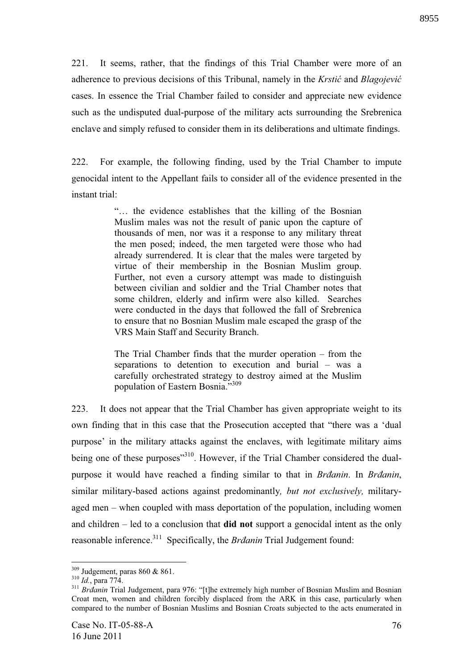221. It seems, rather, that the findings of this Trial Chamber were more of an adherence to previous decisions of this Tribunal, namely in the *Krstic* and *Blagojevic* cases. In essence the Trial Chamber failed to consider and appreciate new evidence such as the undisputed dual-purpose of the military acts surrounding the Srebrenica enclave and simply refused to consider them in its deliberations and ultimate findings.

222. For example, the following finding, used by the Trial Chamber to impute genocidal intent to the Appellant fails to consider all of the evidence presented in the instant trial:

> "… the evidence establishes that the killing of the Bosnian Muslim males was not the result of panic upon the capture of thousands of men, nor was it a response to any military threat the men posed; indeed, the men targeted were those who had already surrendered. It is clear that the males were targeted by virtue of their membership in the Bosnian Muslim group. Further, not even a cursory attempt was made to distinguish between civilian and soldier and the Trial Chamber notes that some children, elderly and infirm were also killed. Searches were conducted in the days that followed the fall of Srebrenica to ensure that no Bosnian Muslim male escaped the grasp of the VRS Main Staff and Security Branch.

> The Trial Chamber finds that the murder operation – from the separations to detention to execution and burial – was a carefully orchestrated strategy to destroy aimed at the Muslim population of Eastern Bosnia."309

223. It does not appear that the Trial Chamber has given appropriate weight to its own finding that in this case that the Prosecution accepted that "there was a 'dual purpose' in the military attacks against the enclaves, with legitimate military aims being one of these purposes<sup>"310</sup>. However, if the Trial Chamber considered the dualpurpose it would have reached a finding similar to that in *Brdanin*. In *Brdanin*, similar military-based actions against predominantly*, but not exclusively,* militaryaged men – when coupled with mass deportation of the population, including women and children – led to a conclusion that **did not** support a genocidal intent as the only reasonable inference.<sup>311</sup> Specifically, the *Brdanin* Trial Judgement found:

1

 $309$  Judgement, paras 860 & 861.

<sup>310</sup> *Id.*, para 774.

<sup>&</sup>lt;sup>311</sup> *Brdanin* Trial Judgement, para 976: "[t]he extremely high number of Bosnian Muslim and Bosnian Croat men, women and children forcibly displaced from the ARK in this case, particularly when compared to the number of Bosnian Muslims and Bosnian Croats subjected to the acts enumerated in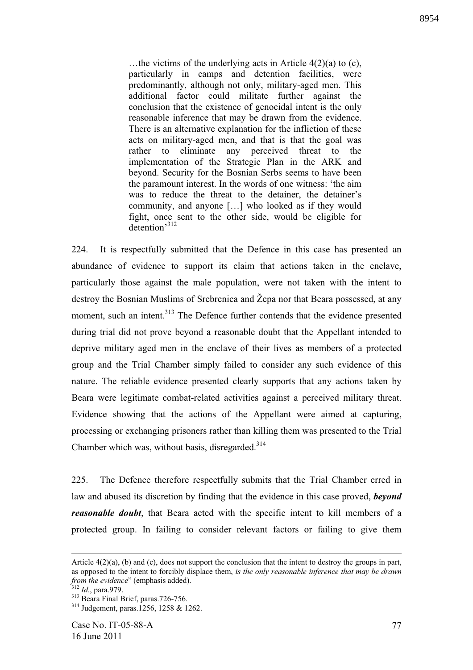…the victims of the underlying acts in Article 4(2)(a) to (c), particularly in camps and detention facilities, were predominantly, although not only, military-aged men. This additional factor could militate further against the conclusion that the existence of genocidal intent is the only reasonable inference that may be drawn from the evidence. There is an alternative explanation for the infliction of these acts on military-aged men, and that is that the goal was rather to eliminate any perceived threat to the implementation of the Strategic Plan in the ARK and beyond. Security for the Bosnian Serbs seems to have been the paramount interest. In the words of one witness: 'the aim was to reduce the threat to the detainer, the detainer's community, and anyone […] who looked as if they would fight, once sent to the other side, would be eligible for detention'<sup>312</sup>

224. It is respectfully submitted that the Defence in this case has presented an abundance of evidence to support its claim that actions taken in the enclave, particularly those against the male population, were not taken with the intent to destroy the Bosnian Muslims of Srebrenica and Žepa nor that Beara possessed, at any moment, such an intent.<sup>313</sup> The Defence further contends that the evidence presented during trial did not prove beyond a reasonable doubt that the Appellant intended to deprive military aged men in the enclave of their lives as members of a protected group and the Trial Chamber simply failed to consider any such evidence of this nature. The reliable evidence presented clearly supports that any actions taken by Beara were legitimate combat-related activities against a perceived military threat. Evidence showing that the actions of the Appellant were aimed at capturing, processing or exchanging prisoners rather than killing them was presented to the Trial Chamber which was, without basis, disregarded.<sup>314</sup>

225. The Defence therefore respectfully submits that the Trial Chamber erred in law and abused its discretion by finding that the evidence in this case proved, *beyond reasonable doubt*, that Beara acted with the specific intent to kill members of a protected group. In failing to consider relevant factors or failing to give them

Article  $4(2)(a)$ , (b) and (c), does not support the conclusion that the intent to destroy the groups in part, as opposed to the intent to forcibly displace them, *is the only reasonable inference that may be drawn from the evidence*" (emphasis added).

<sup>312</sup> *Id.*, para.979.

 $313$  Beara Final Brief, paras.726-756.

<sup>314</sup> Judgement, paras.1256, 1258 & 1262.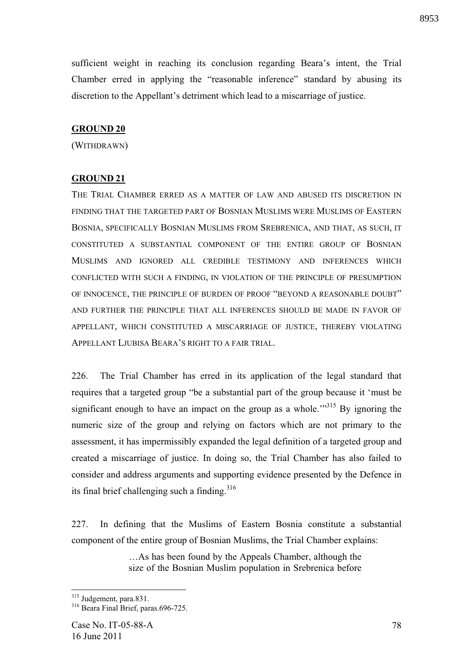sufficient weight in reaching its conclusion regarding Beara's intent, the Trial Chamber erred in applying the "reasonable inference" standard by abusing its discretion to the Appellant's detriment which lead to a miscarriage of justice.

## **GROUND 20**

(WITHDRAWN)

### **GROUND 21**

THE TRIAL CHAMBER ERRED AS A MATTER OF LAW AND ABUSED ITS DISCRETION IN FINDING THAT THE TARGETED PART OF BOSNIAN MUSLIMS WERE MUSLIMS OF EASTERN BOSNIA, SPECIFICALLY BOSNIAN MUSLIMS FROM SREBRENICA, AND THAT, AS SUCH, IT CONSTITUTED A SUBSTANTIAL COMPONENT OF THE ENTIRE GROUP OF BOSNIAN MUSLIMS AND IGNORED ALL CREDIBLE TESTIMONY AND INFERENCES WHICH CONFLICTED WITH SUCH A FINDING, IN VIOLATION OF THE PRINCIPLE OF PRESUMPTION OF INNOCENCE, THE PRINCIPLE OF BURDEN OF PROOF "BEYOND A REASONABLE DOUBT" AND FURTHER THE PRINCIPLE THAT ALL INFERENCES SHOULD BE MADE IN FAVOR OF APPELLANT, WHICH CONSTITUTED A MISCARRIAGE OF JUSTICE, THEREBY VIOLATING APPELLANT LJUBISA BEARA'S RIGHT TO A FAIR TRIAL.

226. The Trial Chamber has erred in its application of the legal standard that requires that a targeted group "be a substantial part of the group because it 'must be significant enough to have an impact on the group as a whole.<sup> $1,315$ </sup> By ignoring the numeric size of the group and relying on factors which are not primary to the assessment, it has impermissibly expanded the legal definition of a targeted group and created a miscarriage of justice. In doing so, the Trial Chamber has also failed to consider and address arguments and supporting evidence presented by the Defence in its final brief challenging such a finding. $316$ 

227. In defining that the Muslims of Eastern Bosnia constitute a substantial component of the entire group of Bosnian Muslims, the Trial Chamber explains:

> …As has been found by the Appeals Chamber, although the size of the Bosnian Muslim population in Srebrenica before

<sup>&</sup>lt;sup>315</sup> Judgement, para.831.

<sup>&</sup>lt;sup>316</sup> Beara Final Brief, paras.696-725.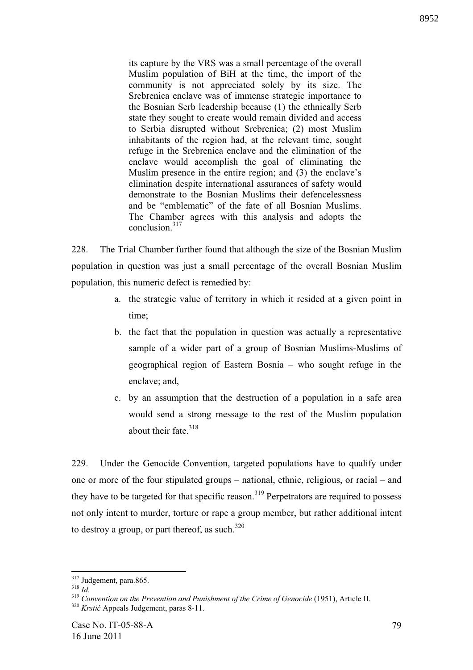its capture by the VRS was a small percentage of the overall Muslim population of BiH at the time, the import of the community is not appreciated solely by its size. The Srebrenica enclave was of immense strategic importance to the Bosnian Serb leadership because (1) the ethnically Serb state they sought to create would remain divided and access to Serbia disrupted without Srebrenica; (2) most Muslim inhabitants of the region had, at the relevant time, sought refuge in the Srebrenica enclave and the elimination of the enclave would accomplish the goal of eliminating the Muslim presence in the entire region; and (3) the enclave's elimination despite international assurances of safety would demonstrate to the Bosnian Muslims their defencelessness and be "emblematic" of the fate of all Bosnian Muslims. The Chamber agrees with this analysis and adopts the conclusion.<sup>317</sup>

228. The Trial Chamber further found that although the size of the Bosnian Muslim population in question was just a small percentage of the overall Bosnian Muslim population, this numeric defect is remedied by:

- a. the strategic value of territory in which it resided at a given point in time;
- b. the fact that the population in question was actually a representative sample of a wider part of a group of Bosnian Muslims-Muslims of geographical region of Eastern Bosnia – who sought refuge in the enclave; and,
- c. by an assumption that the destruction of a population in a safe area would send a strong message to the rest of the Muslim population about their fate.<sup>318</sup>

229. Under the Genocide Convention, targeted populations have to qualify under one or more of the four stipulated groups – national, ethnic, religious, or racial – and they have to be targeted for that specific reason.<sup>319</sup> Perpetrators are required to possess not only intent to murder, torture or rape a group member, but rather additional intent to destroy a group, or part thereof, as such. $320$ 

 $317$  Judgement, para.865.

<sup>318</sup> *Id.*

<sup>319</sup> *Convention on the Prevention and Punishment of the Crime of Genocide* (1951), Article II. <sup>320</sup> Krstić Appeals Judgement, paras 8-11.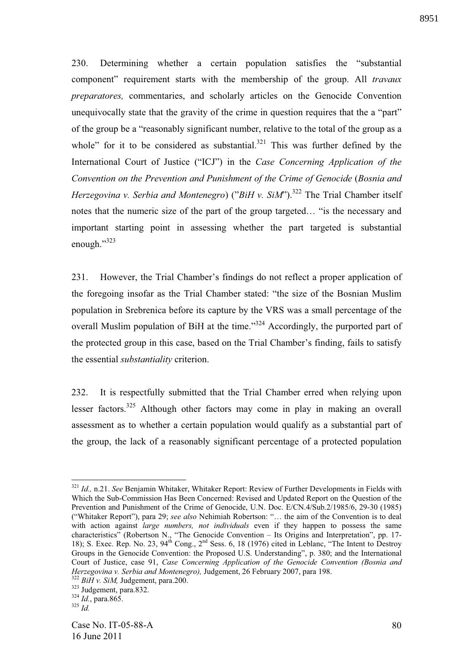230. Determining whether a certain population satisfies the "substantial component" requirement starts with the membership of the group. All *travaux preparatores,* commentaries, and scholarly articles on the Genocide Convention unequivocally state that the gravity of the crime in question requires that the a "part" of the group be a "reasonably significant number, relative to the total of the group as a whole" for it to be considered as substantial. $321$  This was further defined by the International Court of Justice ("ICJ") in the *Case Concerning Application of the Convention on the Prevention and Punishment of the Crime of Genocide* (*Bosnia and Herzegovina v. Serbia and Montenegro*) ("*BiH v. SiM*").<sup>322</sup> The Trial Chamber itself notes that the numeric size of the part of the group targeted… "is the necessary and important starting point in assessing whether the part targeted is substantial enough."323

231. However, the Trial Chamber's findings do not reflect a proper application of the foregoing insofar as the Trial Chamber stated: "the size of the Bosnian Muslim population in Srebrenica before its capture by the VRS was a small percentage of the overall Muslim population of BiH at the time."<sup>324</sup> Accordingly, the purported part of the protected group in this case, based on the Trial Chamber's finding, fails to satisfy the essential *substantiality* criterion.

232. It is respectfully submitted that the Trial Chamber erred when relying upon lesser factors.<sup>325</sup> Although other factors may come in play in making an overall assessment as to whether a certain population would qualify as a substantial part of the group, the lack of a reasonably significant percentage of a protected population

<sup>321</sup> *Id.,* n.21. *See* Benjamin Whitaker, Whitaker Report: Review of Further Developments in Fields with Which the Sub-Commission Has Been Concerned: Revised and Updated Report on the Question of the Prevention and Punishment of the Crime of Genocide, U.N. Doc. E/CN.4/Sub.2/1985/6, 29-30 (1985) ("Whitaker Report"), para 29; *see also* Nehimiah Robertson: "… the aim of the Convention is to deal with action against *large numbers, not individuals* even if they happen to possess the same characteristics" (Robertson N., "The Genocide Convention – Its Origins and Interpretation", pp. 17- 18); S. Exec. Rep. No. 23, 94<sup>th</sup> Cong., 2<sup>nd</sup> Sess. 6, 18 (1976) cited in Leblanc, "The Intent to Destroy Groups in the Genocide Convention: the Proposed U.S. Understanding", p. 380; and the International Court of Justice, case 91, *Case Concerning Application of the Genocide Convention (Bosnia and Herzegovina v. Serbia and Montenegro),* Judgement, 26 February 2007, para 198. <sup>322</sup> *BiH v. SiM,* Judgement, para.200.

<sup>323</sup> Judgement, para.832.

<sup>324</sup> *Id.*, para.865.

<sup>325</sup> *Id.*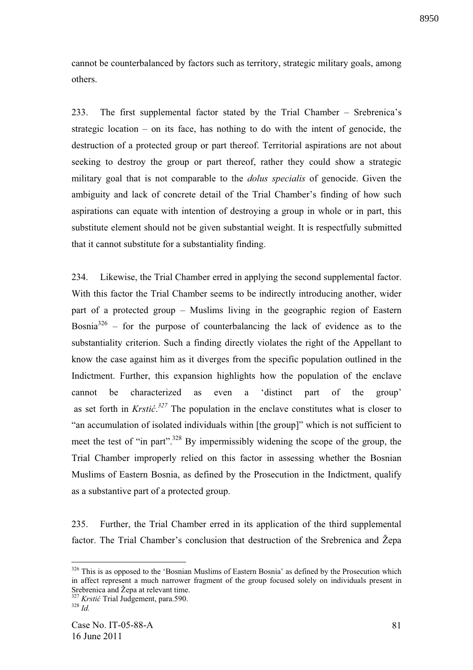cannot be counterbalanced by factors such as territory, strategic military goals, among others.

233. The first supplemental factor stated by the Trial Chamber – Srebrenica's strategic location – on its face, has nothing to do with the intent of genocide, the destruction of a protected group or part thereof. Territorial aspirations are not about seeking to destroy the group or part thereof, rather they could show a strategic military goal that is not comparable to the *dolus specialis* of genocide. Given the ambiguity and lack of concrete detail of the Trial Chamber's finding of how such aspirations can equate with intention of destroying a group in whole or in part, this substitute element should not be given substantial weight. It is respectfully submitted that it cannot substitute for a substantiality finding.

234. Likewise, the Trial Chamber erred in applying the second supplemental factor. With this factor the Trial Chamber seems to be indirectly introducing another, wider part of a protected group – Muslims living in the geographic region of Eastern Bosnia<sup>326</sup> – for the purpose of counterbalancing the lack of evidence as to the substantiality criterion. Such a finding directly violates the right of the Appellant to know the case against him as it diverges from the specific population outlined in the Indictment. Further, this expansion highlights how the population of the enclave cannot be characterized as even a 'distinct part of the group' as set forth in *Krstić*.<sup>327</sup> The population in the enclave constitutes what is closer to "an accumulation of isolated individuals within [the group]" which is not sufficient to meet the test of "in part".<sup>328</sup> By impermissibly widening the scope of the group, the Trial Chamber improperly relied on this factor in assessing whether the Bosnian Muslims of Eastern Bosnia, as defined by the Prosecution in the Indictment, qualify as a substantive part of a protected group.

235. Further, the Trial Chamber erred in its application of the third supplemental factor. The Trial Chamber's conclusion that destruction of the Srebrenica and Žepa

1

<sup>&</sup>lt;sup>326</sup> This is as opposed to the 'Bosnian Muslims of Eastern Bosnia' as defined by the Prosecution which in affect represent a much narrower fragment of the group focused solely on individuals present in Srebrenica and Žepa at relevant time.

<sup>&</sup>lt;sup>327</sup> *Krstić* Trial Judgement, para.590.

<sup>328</sup> *Id.*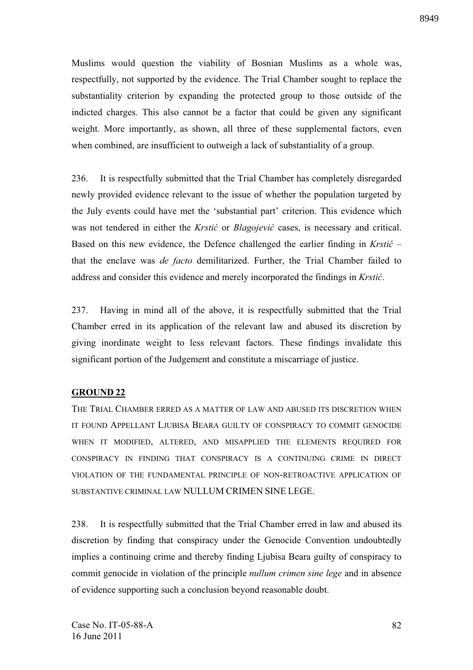Muslims would question the viability of Bosnian Muslims as a whole was, respectfully, not supported by the evidence. The Trial Chamber sought to replace the substantiality criterion by expanding the protected group to those outside of the indicted charges. This also cannot be a factor that could be given any significant weight. More importantly, as shown, all three of these supplemental factors, even when combined, are insufficient to outweigh a lack of substantiality of a group.

236. It is respectfully submitted that the Trial Chamber has completely disregarded newly provided evidence relevant to the issue of whether the population targeted by the July events could have met the 'substantial part' criterion. This evidence which was not tendered in either the *Krstić* or *Blagojević* cases, is necessary and critical. Based on this new evidence, the Defence challenged the earlier finding in *Krsti* – that the enclave was *de facto* demilitarized. Further, the Trial Chamber failed to address and consider this evidence and merely incorporated the findings in *Krstić*.

237. Having in mind all of the above, it is respectfully submitted that the Trial Chamber erred in its application of the relevant law and abused its discretion by giving inordinate weight to less relevant factors. These findings invalidate this significant portion of the Judgement and constitute a miscarriage of justice.

### **GROUND 22**

THE TRIAL CHAMBER ERRED AS A MATTER OF LAW AND ABUSED ITS DISCRETION WHEN IT FOUND APPELLANT LJUBISA BEARA GUILTY OF CONSPIRACY TO COMMIT GENOCIDE WHEN IT MODIFIED, ALTERED, AND MISAPPLIED THE ELEMENTS REQUIRED FOR CONSPIRACY IN FINDING THAT CONSPIRACY IS A CONTINUING CRIME IN DIRECT VIOLATION OF THE FUNDAMENTAL PRINCIPLE OF NON-RETROACTIVE APPLICATION OF SUBSTANTIVE CRIMINAL LAW NULLUM CRIMEN SINE LEGE.

238. It is respectfully submitted that the Trial Chamber erred in law and abused its discretion by finding that conspiracy under the Genocide Convention undoubtedly implies a continuing crime and thereby finding Ljubisa Beara guilty of conspiracy to commit genocide in violation of the principle *nullum crimen sine lege* and in absence of evidence supporting such a conclusion beyond reasonable doubt.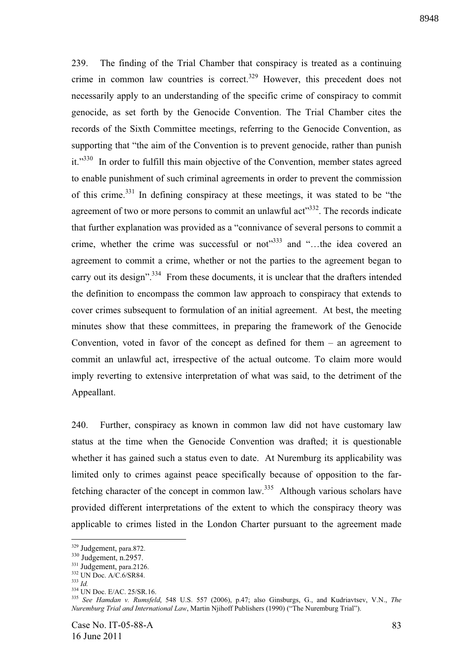239. The finding of the Trial Chamber that conspiracy is treated as a continuing crime in common law countries is correct.<sup>329</sup> However, this precedent does not necessarily apply to an understanding of the specific crime of conspiracy to commit genocide, as set forth by the Genocide Convention. The Trial Chamber cites the records of the Sixth Committee meetings, referring to the Genocide Convention, as supporting that "the aim of the Convention is to prevent genocide, rather than punish it."<sup>330</sup> In order to fulfill this main objective of the Convention, member states agreed to enable punishment of such criminal agreements in order to prevent the commission of this crime.<sup>331</sup> In defining conspiracy at these meetings, it was stated to be "the agreement of two or more persons to commit an unlawful act"<sup>332</sup>. The records indicate that further explanation was provided as a "connivance of several persons to commit a crime, whether the crime was successful or not<sup> $333$ </sup> and "...the idea covered an agreement to commit a crime, whether or not the parties to the agreement began to carry out its design".<sup>334</sup> From these documents, it is unclear that the drafters intended the definition to encompass the common law approach to conspiracy that extends to cover crimes subsequent to formulation of an initial agreement. At best, the meeting minutes show that these committees, in preparing the framework of the Genocide Convention, voted in favor of the concept as defined for them  $-$  an agreement to commit an unlawful act, irrespective of the actual outcome. To claim more would imply reverting to extensive interpretation of what was said, to the detriment of the Appeallant.

240. Further, conspiracy as known in common law did not have customary law status at the time when the Genocide Convention was drafted; it is questionable whether it has gained such a status even to date. At Nuremburg its applicability was limited only to crimes against peace specifically because of opposition to the farfetching character of the concept in common law.<sup>335</sup> Although various scholars have provided different interpretations of the extent to which the conspiracy theory was applicable to crimes listed in the London Charter pursuant to the agreement made

<sup>329</sup> Judgement, para.872.

<sup>330</sup> Judgement, n.2957.

<sup>&</sup>lt;sup>331</sup> Judgement, para.2126.

<sup>&</sup>lt;sup>332</sup> UN Doc. A/C.6/SR84.

<sup>333</sup> *Id.*

<sup>&</sup>lt;sup>334</sup> UN Doc. E/AC. 25/SR.16.

<sup>335</sup> *See Hamdan v. Rumsfeld*, 548 U.S. 557 (2006), p.47; also Ginsburgs, G., and Kudriavtsev, V.N., *The Nuremburg Trial and International Law*, Martin Njihoff Publishers (1990) ("The Nuremburg Trial").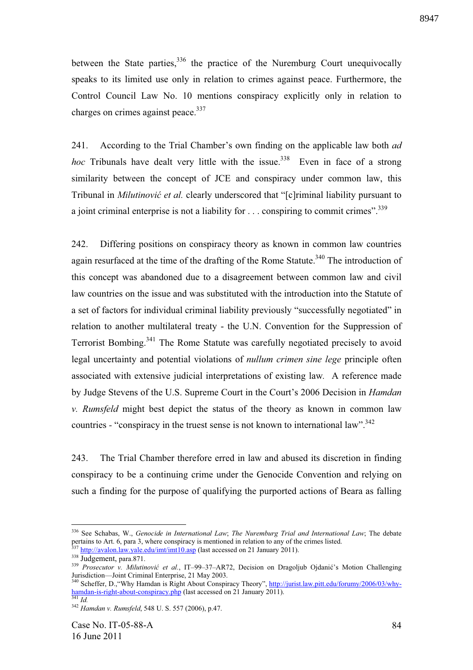between the State parties,  $336$  the practice of the Nuremburg Court unequivocally speaks to its limited use only in relation to crimes against peace. Furthermore, the Control Council Law No. 10 mentions conspiracy explicitly only in relation to charges on crimes against peace.<sup>337</sup>

241. According to the Trial Chamber's own finding on the applicable law both *ad hoc* Tribunals have dealt very little with the issue.<sup>338</sup> Even in face of a strong similarity between the concept of JCE and conspiracy under common law, this Tribunal in *Milutinović et al.* clearly underscored that "[c]riminal liability pursuant to a joint criminal enterprise is not a liability for  $\dots$  conspiring to commit crimes".<sup>339</sup>

242. Differing positions on conspiracy theory as known in common law countries again resurfaced at the time of the drafting of the Rome Statute.<sup>340</sup> The introduction of this concept was abandoned due to a disagreement between common law and civil law countries on the issue and was substituted with the introduction into the Statute of a set of factors for individual criminal liability previously "successfully negotiated" in relation to another multilateral treaty - the U.N. Convention for the Suppression of Terrorist Bombing.<sup>341</sup> The Rome Statute was carefully negotiated precisely to avoid legal uncertainty and potential violations of *nullum crimen sine lege* principle often associated with extensive judicial interpretations of existing law*.* A reference made by Judge Stevens of the U.S. Supreme Court in the Court's 2006 Decision in *Hamdan v. Rumsfeld* might best depict the status of the theory as known in common law countries - "conspiracy in the truest sense is not known to international law".<sup>342</sup>

243. The Trial Chamber therefore erred in law and abused its discretion in finding conspiracy to be a continuing crime under the Genocide Convention and relying on such a finding for the purpose of qualifying the purported actions of Beara as falling

<sup>336</sup> See Schabas, W., *Genocide in International Law*; *The Nuremburg Trial and International Law*; The debate pertains to Art. 6, para 3, where conspiracy is mentioned in relation to any of the crimes listed. http://avalon.law.yale.edu/imt/imt10.asp (last accessed on 21 January 2011).

 $338 \overline{\text{Judgement, para.871}}$ .

<sup>&</sup>lt;sup>339</sup> Prosecutor v. Milutinović et al., IT-99-37-AR72, Decision on Dragoljub Ojdanić's Motion Challenging Jurisdiction—Joint Criminal Enterprise, 21 May 2003.

<sup>&</sup>lt;sup>340</sup> Scheffer, D., "Why Hamdan is Right About Conspiracy Theory", http://jurist.law.pitt.edu/forumy/2006/03/whyhamdan-is-right-about-conspiracy.php (last accessed on 21 January 2011). <sup>341</sup> *Id.*

<sup>342</sup> *Hamdan v. Rumsfeld*, 548 U. S. 557 (2006), p.47.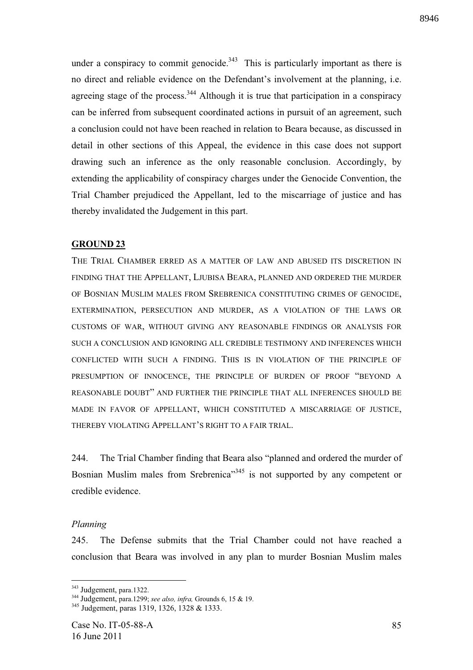8946

under a conspiracy to commit genocide.<sup>343</sup> This is particularly important as there is no direct and reliable evidence on the Defendant's involvement at the planning, i.e. agreeing stage of the process.  $344$  Although it is true that participation in a conspiracy can be inferred from subsequent coordinated actions in pursuit of an agreement, such a conclusion could not have been reached in relation to Beara because, as discussed in detail in other sections of this Appeal, the evidence in this case does not support drawing such an inference as the only reasonable conclusion. Accordingly, by extending the applicability of conspiracy charges under the Genocide Convention, the Trial Chamber prejudiced the Appellant, led to the miscarriage of justice and has thereby invalidated the Judgement in this part.

### **GROUND 23**

THE TRIAL CHAMBER ERRED AS A MATTER OF LAW AND ABUSED ITS DISCRETION IN FINDING THAT THE APPELLANT, LJUBISA BEARA, PLANNED AND ORDERED THE MURDER OF BOSNIAN MUSLIM MALES FROM SREBRENICA CONSTITUTING CRIMES OF GENOCIDE, EXTERMINATION, PERSECUTION AND MURDER, AS A VIOLATION OF THE LAWS OR CUSTOMS OF WAR, WITHOUT GIVING ANY REASONABLE FINDINGS OR ANALYSIS FOR SUCH A CONCLUSION AND IGNORING ALL CREDIBLE TESTIMONY AND INFERENCES WHICH CONFLICTED WITH SUCH A FINDING. THIS IS IN VIOLATION OF THE PRINCIPLE OF PRESUMPTION OF INNOCENCE, THE PRINCIPLE OF BURDEN OF PROOF "BEYOND A REASONABLE DOUBT" AND FURTHER THE PRINCIPLE THAT ALL INFERENCES SHOULD BE MADE IN FAVOR OF APPELLANT, WHICH CONSTITUTED A MISCARRIAGE OF JUSTICE, THEREBY VIOLATING APPELLANT'S RIGHT TO A FAIR TRIAL.

244. The Trial Chamber finding that Beara also "planned and ordered the murder of Bosnian Muslim males from Srebrenica<sup>"345</sup> is not supported by any competent or credible evidence.

#### *Planning*

<u>.</u>

245. The Defense submits that the Trial Chamber could not have reached a conclusion that Beara was involved in any plan to murder Bosnian Muslim males

<sup>343</sup> Judgement, para.1322.

<sup>344</sup> Judgement, para.1299; *see also, infra,* Grounds 6, 15 & 19.

<sup>345</sup> Judgement, paras 1319, 1326, 1328 & 1333.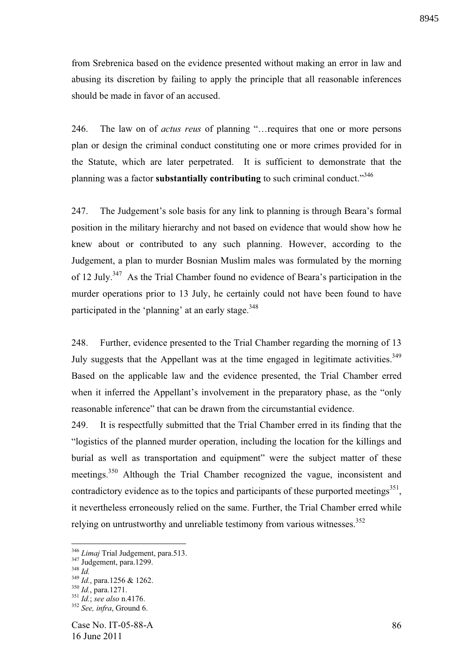from Srebrenica based on the evidence presented without making an error in law and abusing its discretion by failing to apply the principle that all reasonable inferences should be made in favor of an accused.

246. The law on of *actus reus* of planning "…requires that one or more persons plan or design the criminal conduct constituting one or more crimes provided for in the Statute, which are later perpetrated. It is sufficient to demonstrate that the planning was a factor **substantially contributing** to such criminal conduct."<sup>346</sup>

247. The Judgement's sole basis for any link to planning is through Beara's formal position in the military hierarchy and not based on evidence that would show how he knew about or contributed to any such planning. However, according to the Judgement, a plan to murder Bosnian Muslim males was formulated by the morning of 12 July.<sup>347</sup> As the Trial Chamber found no evidence of Beara's participation in the murder operations prior to 13 July, he certainly could not have been found to have participated in the 'planning' at an early stage.<sup>348</sup>

248. Further, evidence presented to the Trial Chamber regarding the morning of 13 July suggests that the Appellant was at the time engaged in legitimate activities.<sup>349</sup> Based on the applicable law and the evidence presented, the Trial Chamber erred when it inferred the Appellant's involvement in the preparatory phase, as the "only reasonable inference" that can be drawn from the circumstantial evidence.

249. It is respectfully submitted that the Trial Chamber erred in its finding that the "logistics of the planned murder operation, including the location for the killings and burial as well as transportation and equipment" were the subject matter of these meetings.<sup>350</sup> Although the Trial Chamber recognized the vague, inconsistent and contradictory evidence as to the topics and participants of these purported meetings<sup>351</sup>, it nevertheless erroneously relied on the same. Further, the Trial Chamber erred while relying on untrustworthy and unreliable testimony from various witnesses.<sup>352</sup>

<sup>346</sup> *Limaj* Trial Judgement, para.513.

<sup>&</sup>lt;sup>347</sup> Judgement, para.1299.

<sup>348</sup> *Id.*

<sup>349</sup> *Id.*, para.1256 & 1262.

<sup>350</sup> *Id.*, para.1271.

<sup>351</sup> *Id.*; *see also* n.4176.

<sup>352</sup> *See, infra*, Ground 6.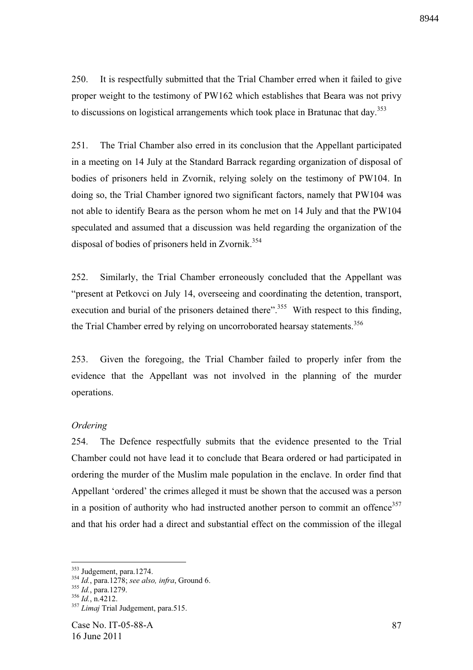250. It is respectfully submitted that the Trial Chamber erred when it failed to give proper weight to the testimony of PW162 which establishes that Beara was not privy to discussions on logistical arrangements which took place in Bratunac that day. $353$ 

251. The Trial Chamber also erred in its conclusion that the Appellant participated in a meeting on 14 July at the Standard Barrack regarding organization of disposal of bodies of prisoners held in Zvornik, relying solely on the testimony of PW104. In doing so, the Trial Chamber ignored two significant factors, namely that PW104 was not able to identify Beara as the person whom he met on 14 July and that the PW104 speculated and assumed that a discussion was held regarding the organization of the disposal of bodies of prisoners held in Zvornik.<sup>354</sup>

252. Similarly, the Trial Chamber erroneously concluded that the Appellant was "present at Petkovci on July 14, overseeing and coordinating the detention, transport, execution and burial of the prisoners detained there".<sup>355</sup> With respect to this finding, the Trial Chamber erred by relying on uncorroborated hearsay statements.<sup>356</sup>

253. Given the foregoing, the Trial Chamber failed to properly infer from the evidence that the Appellant was not involved in the planning of the murder operations.

## *Ordering*

254. The Defence respectfully submits that the evidence presented to the Trial Chamber could not have lead it to conclude that Beara ordered or had participated in ordering the murder of the Muslim male population in the enclave. In order find that Appellant 'ordered' the crimes alleged it must be shown that the accused was a person in a position of authority who had instructed another person to commit an offence<sup>357</sup> and that his order had a direct and substantial effect on the commission of the illegal

<sup>&</sup>lt;sup>353</sup> Judgement, para.1274.

<sup>354</sup> *Id.*, para.1278; *see also, infra*, Ground 6.

<sup>355</sup> *Id.*, para.1279.

 $^{356}$  *Id.*, n.4212.

<sup>357</sup> *Limaj* Trial Judgement, para.515.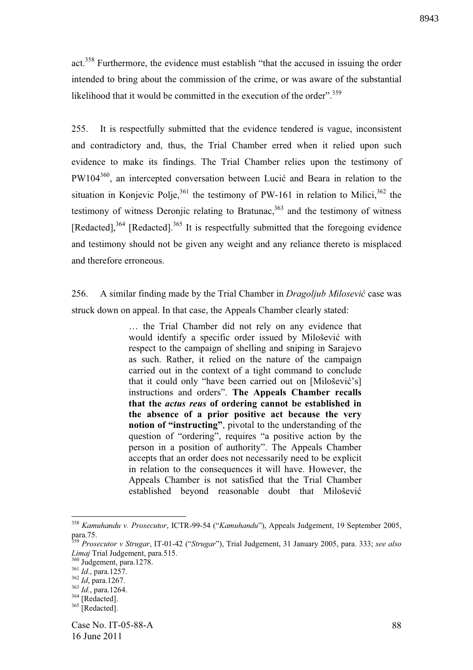act.<sup>358</sup> Furthermore, the evidence must establish "that the accused in issuing the order intended to bring about the commission of the crime, or was aware of the substantial likelihood that it would be committed in the execution of the order".<sup>359</sup>

255. It is respectfully submitted that the evidence tendered is vague, inconsistent and contradictory and, thus, the Trial Chamber erred when it relied upon such evidence to make its findings. The Trial Chamber relies upon the testimony of  $PW104^{360}$ , an intercepted conversation between Lucić and Beara in relation to the situation in Konjevic Polje,<sup>361</sup> the testimony of PW-161 in relation to Milici,<sup>362</sup> the testimony of witness Deronjic relating to Bratunac, $363$  and the testimony of witness  $[Redacted]$ ,<sup>364</sup>  $[Redacted]$ ,<sup>365</sup> It is respectfully submitted that the foregoing evidence and testimony should not be given any weight and any reliance thereto is misplaced and therefore erroneous.

256. A similar finding made by the Trial Chamber in *Dragoljub Milosevi* case was struck down on appeal. In that case, the Appeals Chamber clearly stated:

> … the Trial Chamber did not rely on any evidence that would identify a specific order issued by Milošević with respect to the campaign of shelling and sniping in Sarajevo as such. Rather, it relied on the nature of the campaign carried out in the context of a tight command to conclude that it could only "have been carried out on [Milošević's] instructions and orders". **The Appeals Chamber recalls that the** *actus reus* **of ordering cannot be established in the absence of a prior positive act because the very notion of "instructing"**, pivotal to the understanding of the question of "ordering", requires "a positive action by the person in a position of authority". The Appeals Chamber accepts that an order does not necessarily need to be explicit in relation to the consequences it will have. However, the Appeals Chamber is not satisfied that the Trial Chamber established beyond reasonable doubt that Milošević

<sup>358</sup> *Kamuhandu v. Prosecutor*, ICTR-99-54 ("*Kamuhandu*"), Appeals Judgement, 19 September 2005, para.75.

<sup>359</sup> *Prosecutor v Strugar*, IT-01-42 ("*Strugar*"), Trial Judgement, 31 January 2005, para. 333; *see also Limaj* Trial Judgement, para.515.

<sup>&</sup>lt;sup>360</sup> Judgement, para.1278.

<sup>361</sup> *Id.*, para.1257.

<sup>362</sup> *Id*, para.1267.

<sup>363</sup> *Id.*, para.1264.

 $364$  [Redacted].

 $365$  [Redacted].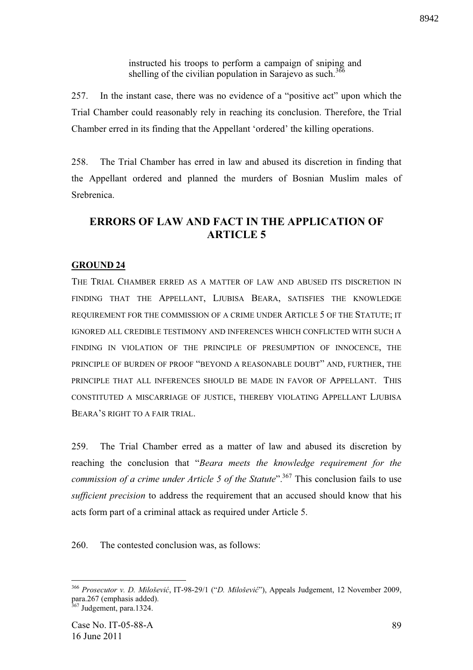instructed his troops to perform a campaign of sniping and shelling of the civilian population in Sarajevo as such.<sup>366</sup>

257. In the instant case, there was no evidence of a "positive act" upon which the Trial Chamber could reasonably rely in reaching its conclusion. Therefore, the Trial Chamber erred in its finding that the Appellant 'ordered' the killing operations.

258. The Trial Chamber has erred in law and abused its discretion in finding that the Appellant ordered and planned the murders of Bosnian Muslim males of Srebrenica.

# **ERRORS OF LAW AND FACT IN THE APPLICATION OF ARTICLE 5**

## **GROUND 24**

THE TRIAL CHAMBER ERRED AS A MATTER OF LAW AND ABUSED ITS DISCRETION IN FINDING THAT THE APPELLANT, LJUBISA BEARA, SATISFIES THE KNOWLEDGE REQUIREMENT FOR THE COMMISSION OF A CRIME UNDER ARTICLE 5 OF THE STATUTE; IT IGNORED ALL CREDIBLE TESTIMONY AND INFERENCES WHICH CONFLICTED WITH SUCH A FINDING IN VIOLATION OF THE PRINCIPLE OF PRESUMPTION OF INNOCENCE, THE PRINCIPLE OF BURDEN OF PROOF "BEYOND A REASONABLE DOUBT" AND, FURTHER, THE PRINCIPLE THAT ALL INFERENCES SHOULD BE MADE IN FAVOR OF APPELLANT. THIS CONSTITUTED A MISCARRIAGE OF JUSTICE, THEREBY VIOLATING APPELLANT LJUBISA BEARA'S RIGHT TO A FAIR TRIAL.

259. The Trial Chamber erred as a matter of law and abused its discretion by reaching the conclusion that "*Beara meets the knowledge requirement for the commission of a crime under Article 5 of the Statute*".<sup>367</sup> This conclusion fails to use *sufficient precision* to address the requirement that an accused should know that his acts form part of a criminal attack as required under Article 5.

260. The contested conclusion was, as follows:

<sup>&</sup>lt;sup>366</sup> Prosecutor v. D. Milošević, IT-98-29/1 ("D. Milošević"), Appeals Judgement, 12 November 2009, para.267 (emphasis added).

<sup>&</sup>lt;sup>367</sup> Judgement, para.1324.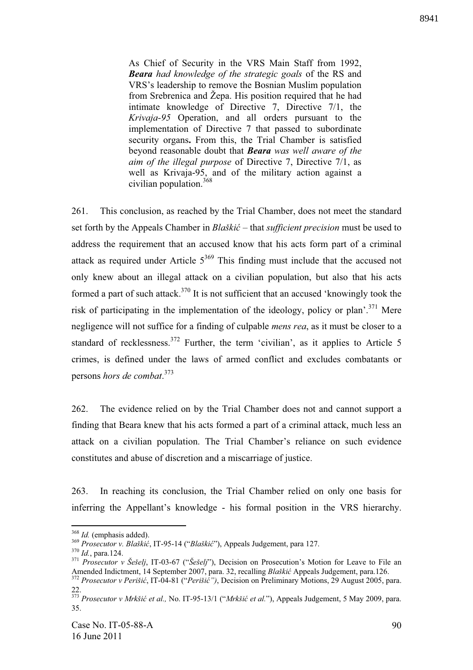As Chief of Security in the VRS Main Staff from 1992, *Beara had knowledge of the strategic goals* of the RS and VRS's leadership to remove the Bosnian Muslim population from Srebrenica and Žepa. His position required that he had intimate knowledge of Directive 7, Directive 7/1, the *Krivaja-95* Operation, and all orders pursuant to the implementation of Directive 7 that passed to subordinate security organs**.** From this, the Trial Chamber is satisfied beyond reasonable doubt that *Beara was well aware of the aim of the illegal purpose* of Directive 7, Directive 7/1, as well as Krivaja-95, and of the military action against a civilian population.<sup>368</sup>

261. This conclusion, as reached by the Trial Chamber, does not meet the standard set forth by the Appeals Chamber in *Blaški* – that *sufficient precision* must be used to address the requirement that an accused know that his acts form part of a criminal attack as required under Article  $5^{369}$  This finding must include that the accused not only knew about an illegal attack on a civilian population, but also that his acts formed a part of such attack.<sup>370</sup> It is not sufficient that an accused 'knowingly took the risk of participating in the implementation of the ideology, policy or plan'.<sup>371</sup> Mere negligence will not suffice for a finding of culpable *mens rea*, as it must be closer to a standard of recklessness.  $372$  Further, the term 'civilian', as it applies to Article 5 crimes, is defined under the laws of armed conflict and excludes combatants or persons *hors de combat*. 373

262. The evidence relied on by the Trial Chamber does not and cannot support a finding that Beara knew that his acts formed a part of a criminal attack, much less an attack on a civilian population. The Trial Chamber's reliance on such evidence constitutes and abuse of discretion and a miscarriage of justice.

263. In reaching its conclusion, the Trial Chamber relied on only one basis for inferring the Appellant's knowledge - his formal position in the VRS hierarchy.

<sup>&</sup>lt;u>.</u> <sup>368</sup> *Id.* (emphasis added).

<sup>&</sup>lt;sup>369</sup> Prosecutor v. Blaškić, IT-95-14 ("Blaškić"), Appeals Judgement, para 127.

<sup>370</sup> *Id.*, para.124.

<sup>371</sup> *Prosecutor v Šešelj*, IT-03-67 ("*Šešelj*"), Decision on Prosecution's Motion for Leave to File an Amended Indictment, 14 September 2007, para. 32, recalling *Blaški* Appeals Judgement, para.126. <sup>372</sup> *Prosecutor v Perišić*, IT-04-81 ("*Perišić"*), Decision on Preliminary Motions, 29 August 2005, para.

<sup>22.</sup> 

<sup>&</sup>lt;sup>373</sup> Prosecutor v Mrkšić et al., No. IT-95-13/1 ("Mrkšić et al."), Appeals Judgement, 5 May 2009, para. 35.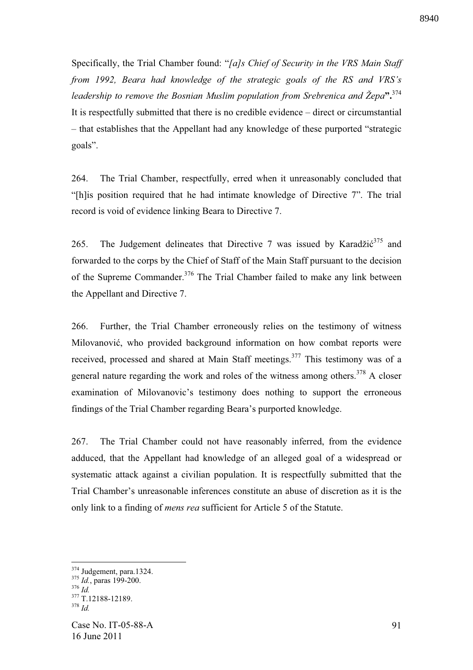Specifically, the Trial Chamber found: "*[a]s Chief of Security in the VRS Main Staff from 1992, Beara had knowledge of the strategic goals of the RS and VRS's leadership to remove the Bosnian Muslim population from Srebrenica and Žepa***".**<sup>374</sup> It is respectfully submitted that there is no credible evidence – direct or circumstantial – that establishes that the Appellant had any knowledge of these purported "strategic goals".

264. The Trial Chamber, respectfully, erred when it unreasonably concluded that "[h]is position required that he had intimate knowledge of Directive 7". The trial record is void of evidence linking Beara to Directive 7.

265. The Judgement delineates that Directive 7 was issued by Karadži $6^{375}$  and forwarded to the corps by the Chief of Staff of the Main Staff pursuant to the decision of the Supreme Commander.<sup>376</sup> The Trial Chamber failed to make any link between the Appellant and Directive 7.

266. Further, the Trial Chamber erroneously relies on the testimony of witness Milovanović, who provided background information on how combat reports were received, processed and shared at Main Staff meetings.<sup>377</sup> This testimony was of a general nature regarding the work and roles of the witness among others.<sup>378</sup> A closer examination of Milovanovic's testimony does nothing to support the erroneous findings of the Trial Chamber regarding Beara's purported knowledge.

267. The Trial Chamber could not have reasonably inferred, from the evidence adduced, that the Appellant had knowledge of an alleged goal of a widespread or systematic attack against a civilian population. It is respectfully submitted that the Trial Chamber's unreasonable inferences constitute an abuse of discretion as it is the only link to a finding of *mens rea* sufficient for Article 5 of the Statute.

<sup>&</sup>lt;sup>374</sup> Judgement, para.1324.

<sup>375</sup> *Id.*, paras 199-200.

<sup>376</sup> *Id.*

 $\frac{377}{1}$  T.12188-12189.  $378 \frac{1}{1}$ 

Case No. IT-05-88-A 16 June 2011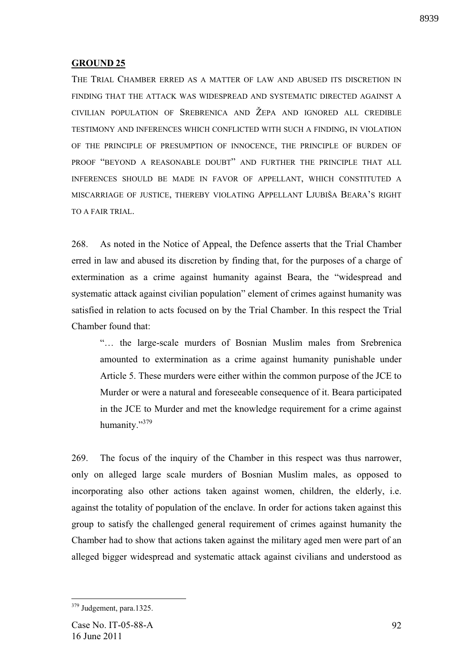## **GROUND 25**

THE TRIAL CHAMBER ERRED AS A MATTER OF LAW AND ABUSED ITS DISCRETION IN FINDING THAT THE ATTACK WAS WIDESPREAD AND SYSTEMATIC DIRECTED AGAINST A CIVILIAN POPULATION OF SREBRENICA AND ŽEPA AND IGNORED ALL CREDIBLE TESTIMONY AND INFERENCES WHICH CONFLICTED WITH SUCH A FINDING, IN VIOLATION OF THE PRINCIPLE OF PRESUMPTION OF INNOCENCE, THE PRINCIPLE OF BURDEN OF PROOF "BEYOND A REASONABLE DOUBT" AND FURTHER THE PRINCIPLE THAT ALL INFERENCES SHOULD BE MADE IN FAVOR OF APPELLANT, WHICH CONSTITUTED A MISCARRIAGE OF JUSTICE, THEREBY VIOLATING APPELLANT LJUBIŠA BEARA'S RIGHT TO A FAIR TRIAL.

268. As noted in the Notice of Appeal, the Defence asserts that the Trial Chamber erred in law and abused its discretion by finding that, for the purposes of a charge of extermination as a crime against humanity against Beara, the "widespread and systematic attack against civilian population" element of crimes against humanity was satisfied in relation to acts focused on by the Trial Chamber. In this respect the Trial Chamber found that:

"… the large-scale murders of Bosnian Muslim males from Srebrenica amounted to extermination as a crime against humanity punishable under Article 5. These murders were either within the common purpose of the JCE to Murder or were a natural and foreseeable consequence of it. Beara participated in the JCE to Murder and met the knowledge requirement for a crime against humanity."<sup>379</sup>

269. The focus of the inquiry of the Chamber in this respect was thus narrower, only on alleged large scale murders of Bosnian Muslim males, as opposed to incorporating also other actions taken against women, children, the elderly, i.e. against the totality of population of the enclave. In order for actions taken against this group to satisfy the challenged general requirement of crimes against humanity the Chamber had to show that actions taken against the military aged men were part of an alleged bigger widespread and systematic attack against civilians and understood as

<sup>&</sup>lt;sup>379</sup> Judgement, para.1325.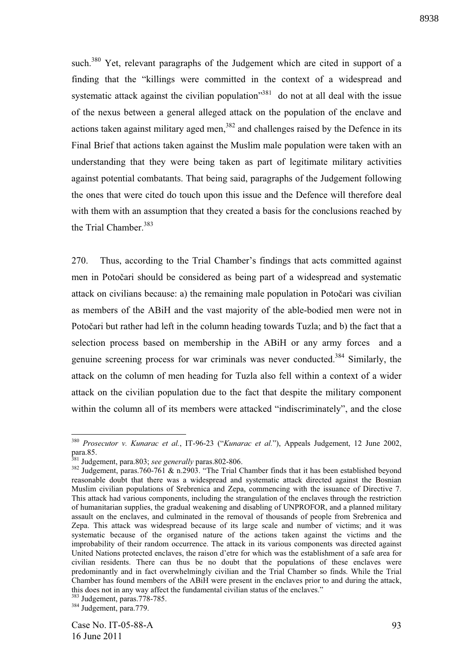such.<sup>380</sup> Yet, relevant paragraphs of the Judgement which are cited in support of a finding that the "killings were committed in the context of a widespread and systematic attack against the civilian population<sup>381</sup> do not at all deal with the issue of the nexus between a general alleged attack on the population of the enclave and actions taken against military aged men, $382$  and challenges raised by the Defence in its Final Brief that actions taken against the Muslim male population were taken with an understanding that they were being taken as part of legitimate military activities against potential combatants. That being said, paragraphs of the Judgement following the ones that were cited do touch upon this issue and the Defence will therefore deal with them with an assumption that they created a basis for the conclusions reached by the Trial Chamber.<sup>383</sup>

270. Thus, according to the Trial Chamber's findings that acts committed against men in Potočari should be considered as being part of a widespread and systematic attack on civilians because: a) the remaining male population in Potočari was civilian as members of the ABiH and the vast majority of the able-bodied men were not in Potočari but rather had left in the column heading towards Tuzla; and b) the fact that a selection process based on membership in the ABiH or any army forces and a genuine screening process for war criminals was never conducted.<sup>384</sup> Similarly, the attack on the column of men heading for Tuzla also fell within a context of a wider attack on the civilian population due to the fact that despite the military component within the column all of its members were attacked "indiscriminately", and the close

<sup>384</sup> Judgement, para.779.

<sup>380</sup> *Prosecutor v. Kunarac et al.*, IT-96-23 ("*Kunarac et al.*"), Appeals Judgement, 12 June 2002, para.85.

<sup>381</sup> Judgement, para.803; *see generally* paras.802-806.

<sup>&</sup>lt;sup>382</sup> Judgement, paras.760-761 & n.2903. "The Trial Chamber finds that it has been established beyond reasonable doubt that there was a widespread and systematic attack directed against the Bosnian Muslim civilian populations of Srebrenica and Zepa, commencing with the issuance of Directive 7. This attack had various components, including the strangulation of the enclaves through the restriction of humanitarian supplies, the gradual weakening and disabling of UNPROFOR, and a planned military assault on the enclaves, and culminated in the removal of thousands of people from Srebrenica and Zepa. This attack was widespread because of its large scale and number of victims; and it was systematic because of the organised nature of the actions taken against the victims and the improbability of their random occurrence. The attack in its various components was directed against United Nations protected enclaves, the raison d'etre for which was the establishment of a safe area for civilian residents. There can thus be no doubt that the populations of these enclaves were predominantly and in fact overwhelmingly civilian and the Trial Chamber so finds. While the Trial Chamber has found members of the ABiH were present in the enclaves prior to and during the attack, this does not in any way affect the fundamental civilian status of the enclaves."

<sup>383</sup> Judgement, paras.778-785.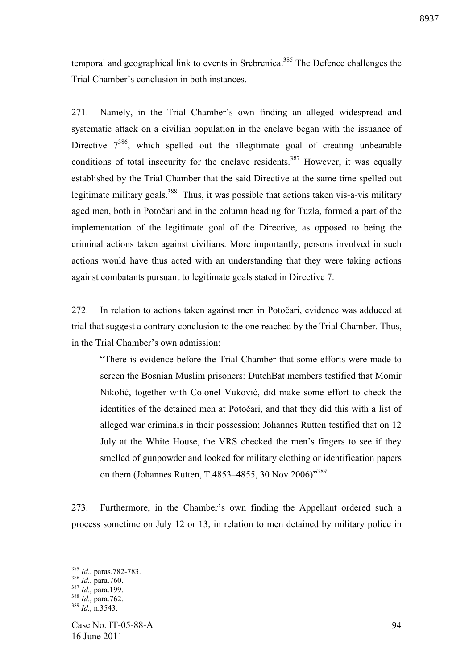temporal and geographical link to events in Srebrenica.<sup>385</sup> The Defence challenges the Trial Chamber's conclusion in both instances.

271. Namely, in the Trial Chamber's own finding an alleged widespread and systematic attack on a civilian population in the enclave began with the issuance of Directive  $7^{386}$ , which spelled out the illegitimate goal of creating unbearable conditions of total insecurity for the enclave residents.<sup>387</sup> However, it was equally established by the Trial Chamber that the said Directive at the same time spelled out legitimate military goals.<sup>388</sup> Thus, it was possible that actions taken vis-a-vis military aged men, both in Potočari and in the column heading for Tuzla, formed a part of the implementation of the legitimate goal of the Directive, as opposed to being the criminal actions taken against civilians. More importantly, persons involved in such actions would have thus acted with an understanding that they were taking actions against combatants pursuant to legitimate goals stated in Directive 7.

272. In relation to actions taken against men in Potočari, evidence was adduced at trial that suggest a contrary conclusion to the one reached by the Trial Chamber. Thus, in the Trial Chamber's own admission:

"There is evidence before the Trial Chamber that some efforts were made to screen the Bosnian Muslim prisoners: DutchBat members testified that Momir Nikolić, together with Colonel Vuković, did make some effort to check the identities of the detained men at Potočari, and that they did this with a list of alleged war criminals in their possession; Johannes Rutten testified that on 12 July at the White House, the VRS checked the men's fingers to see if they smelled of gunpowder and looked for military clothing or identification papers on them (Johannes Rutten, T.4853–4855, 30 Nov 2006)"<sup>389</sup>

273. Furthermore, in the Chamber's own finding the Appellant ordered such a process sometime on July 12 or 13, in relation to men detained by military police in

<sup>385</sup> *Id.*, paras.782-783.

<sup>386</sup> *Id.*, para.760.

<sup>387</sup> *Id.*, para.199.

<sup>388</sup> *Id.*, para.762. <sup>389</sup> *Id.*, n.3543.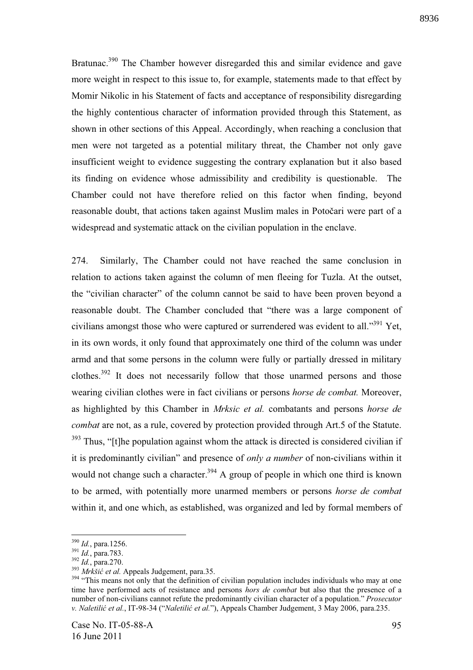Bratunac.<sup>390</sup> The Chamber however disregarded this and similar evidence and gave more weight in respect to this issue to, for example, statements made to that effect by Momir Nikolic in his Statement of facts and acceptance of responsibility disregarding

the highly contentious character of information provided through this Statement, as shown in other sections of this Appeal. Accordingly, when reaching a conclusion that men were not targeted as a potential military threat, the Chamber not only gave insufficient weight to evidence suggesting the contrary explanation but it also based its finding on evidence whose admissibility and credibility is questionable. The Chamber could not have therefore relied on this factor when finding, beyond reasonable doubt, that actions taken against Muslim males in Potočari were part of a widespread and systematic attack on the civilian population in the enclave.

274. Similarly, The Chamber could not have reached the same conclusion in relation to actions taken against the column of men fleeing for Tuzla. At the outset, the "civilian character" of the column cannot be said to have been proven beyond a reasonable doubt. The Chamber concluded that "there was a large component of civilians amongst those who were captured or surrendered was evident to all."<sup>391</sup> Yet, in its own words, it only found that approximately one third of the column was under armd and that some persons in the column were fully or partially dressed in military clothes.<sup>392</sup> It does not necessarily follow that those unarmed persons and those wearing civilian clothes were in fact civilians or persons *horse de combat.* Moreover, as highlighted by this Chamber in *Mrksic et al.* combatants and persons *horse de combat* are not, as a rule, covered by protection provided through Art.5 of the Statute.  $393$  Thus, "[t]he population against whom the attack is directed is considered civilian if it is predominantly civilian" and presence of *only a number* of non-civilians within it would not change such a character.<sup>394</sup> A group of people in which one third is known to be armed, with potentially more unarmed members or persons *horse de combat*  within it, and one which, as established, was organized and led by formal members of

<sup>390</sup> *Id.*, para.1256.

<sup>391</sup> *Id.*, para.783.

<sup>392</sup> *Id.*, para.270.

<sup>&</sup>lt;sup>393</sup> Mrkšić et al. Appeals Judgement, para.35.

<sup>&</sup>lt;sup>394</sup> "This means not only that the definition of civilian population includes individuals who may at one time have performed acts of resistance and persons *hors de combat* but also that the presence of a number of non-civilians cannot refute the predominantly civilian character of a population." *Prosecutor v. Naletili et al.*, IT-98-34 ("*Naletili et al.*"), Appeals Chamber Judgement, 3 May 2006, para.235.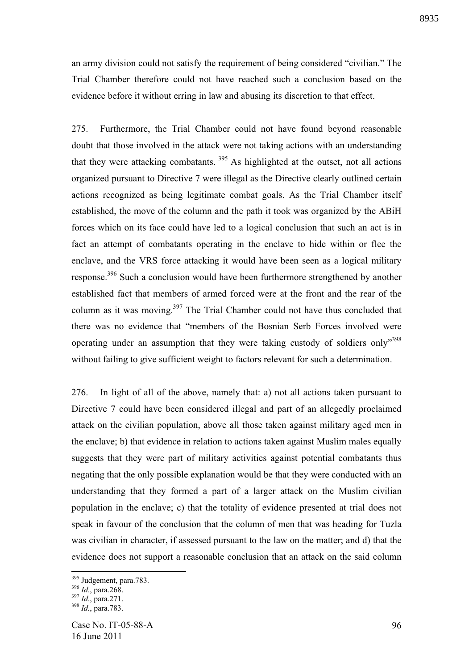an army division could not satisfy the requirement of being considered "civilian." The Trial Chamber therefore could not have reached such a conclusion based on the evidence before it without erring in law and abusing its discretion to that effect.

275. Furthermore, the Trial Chamber could not have found beyond reasonable doubt that those involved in the attack were not taking actions with an understanding that they were attacking combatants.<sup>395</sup> As highlighted at the outset, not all actions organized pursuant to Directive 7 were illegal as the Directive clearly outlined certain actions recognized as being legitimate combat goals. As the Trial Chamber itself established, the move of the column and the path it took was organized by the ABiH forces which on its face could have led to a logical conclusion that such an act is in fact an attempt of combatants operating in the enclave to hide within or flee the enclave, and the VRS force attacking it would have been seen as a logical military response.<sup>396</sup> Such a conclusion would have been furthermore strengthened by another established fact that members of armed forced were at the front and the rear of the column as it was moving.<sup>397</sup> The Trial Chamber could not have thus concluded that there was no evidence that "members of the Bosnian Serb Forces involved were operating under an assumption that they were taking custody of soldiers only"<sup>398</sup> without failing to give sufficient weight to factors relevant for such a determination.

276. In light of all of the above, namely that: a) not all actions taken pursuant to Directive 7 could have been considered illegal and part of an allegedly proclaimed attack on the civilian population, above all those taken against military aged men in the enclave; b) that evidence in relation to actions taken against Muslim males equally suggests that they were part of military activities against potential combatants thus negating that the only possible explanation would be that they were conducted with an understanding that they formed a part of a larger attack on the Muslim civilian population in the enclave; c) that the totality of evidence presented at trial does not speak in favour of the conclusion that the column of men that was heading for Tuzla was civilian in character, if assessed pursuant to the law on the matter; and d) that the evidence does not support a reasonable conclusion that an attack on the said column

<sup>&</sup>lt;sup>395</sup> Judgement, para.783.

<sup>396</sup> *Id.*, para.268.

<sup>397</sup> *Id.*, para.271.

<sup>398</sup> *Id.*, para.783.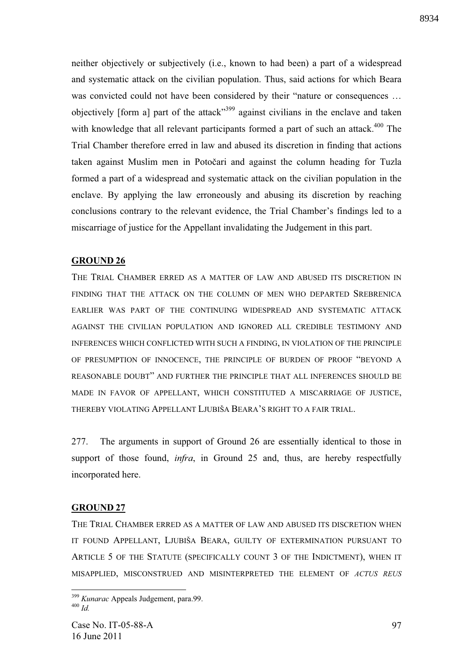neither objectively or subjectively (i.e., known to had been) a part of a widespread and systematic attack on the civilian population. Thus, said actions for which Beara was convicted could not have been considered by their "nature or consequences … objectively [form a] part of the attack<sup>399</sup> against civilians in the enclave and taken with knowledge that all relevant participants formed a part of such an attack.<sup>400</sup> The Trial Chamber therefore erred in law and abused its discretion in finding that actions taken against Muslim men in Potočari and against the column heading for Tuzla formed a part of a widespread and systematic attack on the civilian population in the enclave. By applying the law erroneously and abusing its discretion by reaching conclusions contrary to the relevant evidence, the Trial Chamber's findings led to a miscarriage of justice for the Appellant invalidating the Judgement in this part.

### **GROUND 26**

THE TRIAL CHAMBER ERRED AS A MATTER OF LAW AND ABUSED ITS DISCRETION IN FINDING THAT THE ATTACK ON THE COLUMN OF MEN WHO DEPARTED SREBRENICA EARLIER WAS PART OF THE CONTINUING WIDESPREAD AND SYSTEMATIC ATTACK AGAINST THE CIVILIAN POPULATION AND IGNORED ALL CREDIBLE TESTIMONY AND INFERENCES WHICH CONFLICTED WITH SUCH A FINDING, IN VIOLATION OF THE PRINCIPLE OF PRESUMPTION OF INNOCENCE, THE PRINCIPLE OF BURDEN OF PROOF "BEYOND A REASONABLE DOUBT" AND FURTHER THE PRINCIPLE THAT ALL INFERENCES SHOULD BE MADE IN FAVOR OF APPELLANT, WHICH CONSTITUTED A MISCARRIAGE OF JUSTICE, THEREBY VIOLATING APPELLANT LJUBIŠA BEARA'S RIGHT TO A FAIR TRIAL.

277. The arguments in support of Ground 26 are essentially identical to those in support of those found, *infra*, in Ground 25 and, thus, are hereby respectfully incorporated here.

#### **GROUND 27**

1

THE TRIAL CHAMBER ERRED AS A MATTER OF LAW AND ABUSED ITS DISCRETION WHEN IT FOUND APPELLANT, LJUBIŠA BEARA, GUILTY OF EXTERMINATION PURSUANT TO ARTICLE 5 OF THE STATUTE (SPECIFICALLY COUNT 3 OF THE INDICTMENT), WHEN IT MISAPPLIED, MISCONSTRUED AND MISINTERPRETED THE ELEMENT OF *ACTUS REUS*

<sup>399</sup> *Kunarac* Appeals Judgement, para.99.  $400$   $H_d$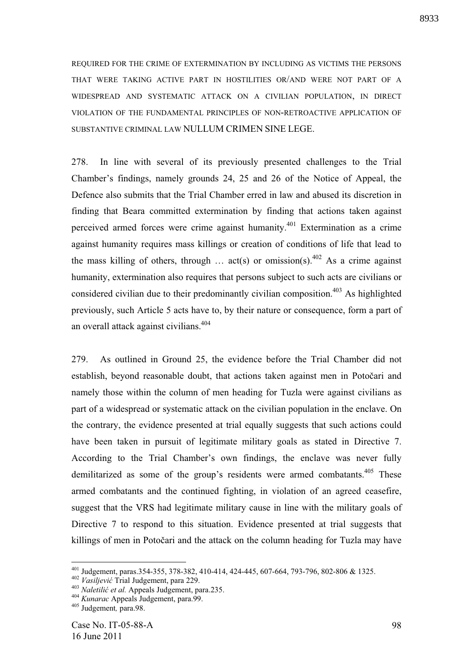REQUIRED FOR THE CRIME OF EXTERMINATION BY INCLUDING AS VICTIMS THE PERSONS THAT WERE TAKING ACTIVE PART IN HOSTILITIES OR/AND WERE NOT PART OF A WIDESPREAD AND SYSTEMATIC ATTACK ON A CIVILIAN POPULATION, IN DIRECT VIOLATION OF THE FUNDAMENTAL PRINCIPLES OF NON-RETROACTIVE APPLICATION OF SUBSTANTIVE CRIMINAL LAW NULLUM CRIMEN SINE LEGE.

278. In line with several of its previously presented challenges to the Trial Chamber's findings, namely grounds 24, 25 and 26 of the Notice of Appeal, the Defence also submits that the Trial Chamber erred in law and abused its discretion in finding that Beara committed extermination by finding that actions taken against perceived armed forces were crime against humanity.<sup>401</sup> Extermination as a crime against humanity requires mass killings or creation of conditions of life that lead to the mass killing of others, through ... act(s) or omission(s).<sup>402</sup> As a crime against humanity, extermination also requires that persons subject to such acts are civilians or considered civilian due to their predominantly civilian composition.<sup>403</sup> As highlighted previously, such Article 5 acts have to, by their nature or consequence, form a part of an overall attack against civilians.<sup>404</sup>

279. As outlined in Ground 25, the evidence before the Trial Chamber did not establish, beyond reasonable doubt, that actions taken against men in Potočari and namely those within the column of men heading for Tuzla were against civilians as part of a widespread or systematic attack on the civilian population in the enclave. On the contrary, the evidence presented at trial equally suggests that such actions could have been taken in pursuit of legitimate military goals as stated in Directive 7. According to the Trial Chamber's own findings, the enclave was never fully demilitarized as some of the group's residents were armed combatants.<sup>405</sup> These armed combatants and the continued fighting, in violation of an agreed ceasefire, suggest that the VRS had legitimate military cause in line with the military goals of Directive 7 to respond to this situation. Evidence presented at trial suggests that killings of men in Potočari and the attack on the column heading for Tuzla may have

<sup>401</sup> Judgement, paras.354-355, 378-382, 410-414, 424-445, 607-664, 793-796, 802-806 & 1325.

<sup>402</sup> *Vasiljevi* Trial Judgement, para 229.

<sup>&</sup>lt;sup>403</sup> Naletilić et al. Appeals Judgement, para.235.

<sup>404</sup> *Kunarac* Appeals Judgement, para.99.

<sup>405</sup> Judgement*,* para.98.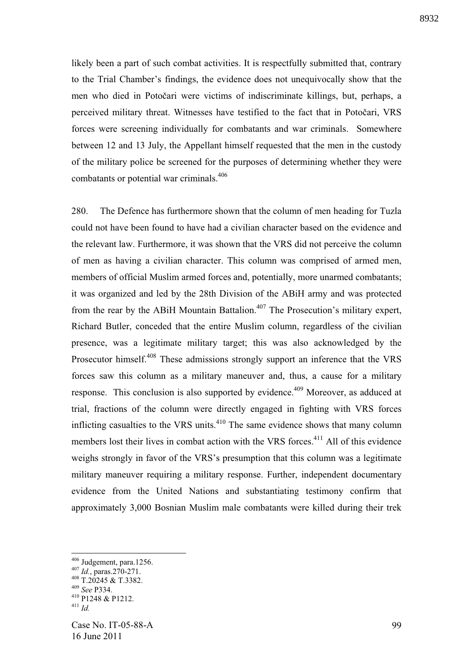likely been a part of such combat activities. It is respectfully submitted that, contrary to the Trial Chamber's findings, the evidence does not unequivocally show that the men who died in Potočari were victims of indiscriminate killings, but, perhaps, a perceived military threat. Witnesses have testified to the fact that in Potočari, VRS forces were screening individually for combatants and war criminals. Somewhere between 12 and 13 July, the Appellant himself requested that the men in the custody of the military police be screened for the purposes of determining whether they were combatants or potential war criminals.<sup>406</sup>

280. The Defence has furthermore shown that the column of men heading for Tuzla could not have been found to have had a civilian character based on the evidence and the relevant law. Furthermore, it was shown that the VRS did not perceive the column of men as having a civilian character. This column was comprised of armed men, members of official Muslim armed forces and, potentially, more unarmed combatants; it was organized and led by the 28th Division of the ABiH army and was protected from the rear by the ABiH Mountain Battalion.<sup>407</sup> The Prosecution's military expert, Richard Butler, conceded that the entire Muslim column, regardless of the civilian presence, was a legitimate military target; this was also acknowledged by the Prosecutor himself.<sup>408</sup> These admissions strongly support an inference that the VRS forces saw this column as a military maneuver and, thus, a cause for a military response. This conclusion is also supported by evidence.<sup>409</sup> Moreover, as adduced at trial, fractions of the column were directly engaged in fighting with VRS forces inflicting casualties to the VRS units.<sup> $410$ </sup> The same evidence shows that many column members lost their lives in combat action with the VRS forces.<sup>411</sup> All of this evidence weighs strongly in favor of the VRS's presumption that this column was a legitimate military maneuver requiring a military response. Further, independent documentary evidence from the United Nations and substantiating testimony confirm that approximately 3,000 Bosnian Muslim male combatants were killed during their trek

 $406$  Judgement, para.1256.

<sup>407</sup> *Id.*, paras.270-271. <sup>408</sup> T.20245 & T.3382.

<sup>409</sup> *See* P334.

<sup>410</sup> P1248 & P1212. <sup>411</sup> *Id.*

Case No. IT-05-88-A 16 June 2011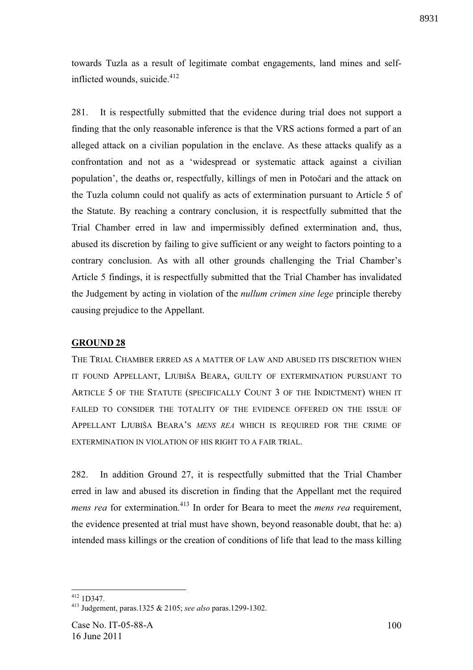towards Tuzla as a result of legitimate combat engagements, land mines and selfinflicted wounds, suicide. $412$ 

281. It is respectfully submitted that the evidence during trial does not support a finding that the only reasonable inference is that the VRS actions formed a part of an alleged attack on a civilian population in the enclave. As these attacks qualify as a confrontation and not as a 'widespread or systematic attack against a civilian population', the deaths or, respectfully, killings of men in Potočari and the attack on the Tuzla column could not qualify as acts of extermination pursuant to Article 5 of the Statute. By reaching a contrary conclusion, it is respectfully submitted that the Trial Chamber erred in law and impermissibly defined extermination and, thus, abused its discretion by failing to give sufficient or any weight to factors pointing to a contrary conclusion. As with all other grounds challenging the Trial Chamber's Article 5 findings, it is respectfully submitted that the Trial Chamber has invalidated the Judgement by acting in violation of the *nullum crimen sine lege* principle thereby causing prejudice to the Appellant.

### **GROUND 28**

THE TRIAL CHAMBER ERRED AS A MATTER OF LAW AND ABUSED ITS DISCRETION WHEN IT FOUND APPELLANT, LJUBIŠA BEARA, GUILTY OF EXTERMINATION PURSUANT TO ARTICLE 5 OF THE STATUTE (SPECIFICALLY COUNT 3 OF THE INDICTMENT) WHEN IT FAILED TO CONSIDER THE TOTALITY OF THE EVIDENCE OFFERED ON THE ISSUE OF APPELLANT LJUBIŠA BEARA'S *MENS REA* WHICH IS REQUIRED FOR THE CRIME OF EXTERMINATION IN VIOLATION OF HIS RIGHT TO A FAIR TRIAL.

282. In addition Ground 27, it is respectfully submitted that the Trial Chamber erred in law and abused its discretion in finding that the Appellant met the required *mens rea* for extermination.<sup>413</sup> In order for Beara to meet the *mens rea* requirement, the evidence presented at trial must have shown, beyond reasonable doubt, that he: a) intended mass killings or the creation of conditions of life that lead to the mass killing

<sup>1</sup>  $412$  1D347.

<sup>413</sup> Judgement, paras.1325 & 2105; *see also* paras.1299-1302.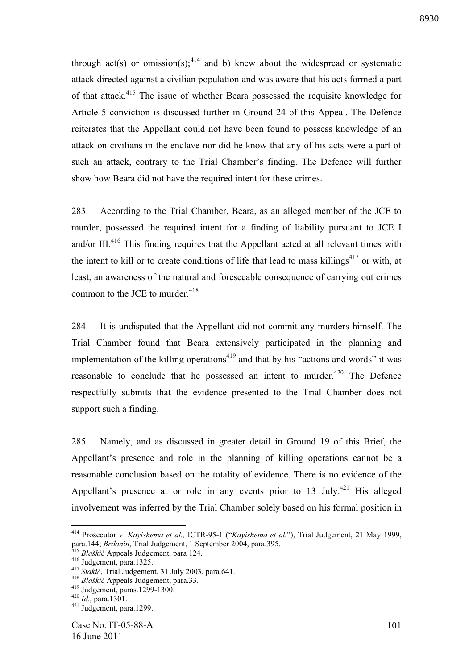through act(s) or omission(s);<sup>414</sup> and b) knew about the widespread or systematic attack directed against a civilian population and was aware that his acts formed a part of that attack.<sup>415</sup> The issue of whether Beara possessed the requisite knowledge for Article 5 conviction is discussed further in Ground 24 of this Appeal. The Defence reiterates that the Appellant could not have been found to possess knowledge of an attack on civilians in the enclave nor did he know that any of his acts were a part of such an attack, contrary to the Trial Chamber's finding. The Defence will further show how Beara did not have the required intent for these crimes.

283. According to the Trial Chamber, Beara, as an alleged member of the JCE to murder, possessed the required intent for a finding of liability pursuant to JCE I and/or III. $416$  This finding requires that the Appellant acted at all relevant times with the intent to kill or to create conditions of life that lead to mass killings<sup>417</sup> or with, at least, an awareness of the natural and foreseeable consequence of carrying out crimes common to the JCE to murder.  $418$ 

284. It is undisputed that the Appellant did not commit any murders himself. The Trial Chamber found that Beara extensively participated in the planning and implementation of the killing operations $419$  and that by his "actions and words" it was reasonable to conclude that he possessed an intent to murder.<sup>420</sup> The Defence respectfully submits that the evidence presented to the Trial Chamber does not support such a finding.

285. Namely, and as discussed in greater detail in Ground 19 of this Brief, the Appellant's presence and role in the planning of killing operations cannot be a reasonable conclusion based on the totality of evidence. There is no evidence of the Appellant's presence at or role in any events prior to 13 July.<sup>421</sup> His alleged involvement was inferred by the Trial Chamber solely based on his formal position in

<sup>414</sup> Prosecutor v. *Kayishema et al.,* ICTR-95-1 ("*Kayishema et al.*"), Trial Judgement, 21 May 1999, para.144; *Brđanin*, Trial Judgement, 1 September 2004, para.395.

<sup>415</sup> *Blaški* Appeals Judgement, para 124.

<sup>416</sup> Judgement, para.1325.

<sup>&</sup>lt;sup>417</sup> *Stakić*, Trial Judgement, 31 July 2003, para.641.

<sup>&</sup>lt;sup>418</sup> Blaškić Appeals Judgement, para.33.

<sup>419</sup> Judgement, paras.1299-1300.

<sup>420</sup> *Id.*, para.1301.

 $421$  Judgement, para.1299.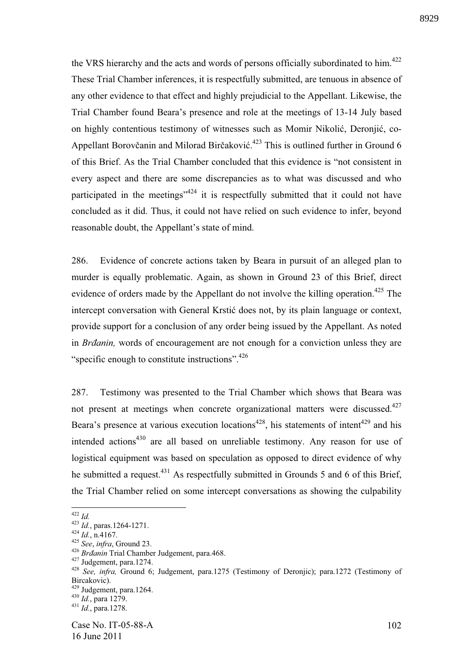the VRS hierarchy and the acts and words of persons officially subordinated to him.<sup>422</sup> These Trial Chamber inferences, it is respectfully submitted, are tenuous in absence of any other evidence to that effect and highly prejudicial to the Appellant. Likewise, the Trial Chamber found Beara's presence and role at the meetings of 13-14 July based on highly contentious testimony of witnesses such as Momir Nikolić, Deronjić, co-Appellant Borovčanin and Milorad Birčaković.<sup>423</sup> This is outlined further in Ground 6 of this Brief. As the Trial Chamber concluded that this evidence is "not consistent in every aspect and there are some discrepancies as to what was discussed and who participated in the meetings<sup> $124$ </sup> it is respectfully submitted that it could not have concluded as it did. Thus, it could not have relied on such evidence to infer, beyond reasonable doubt, the Appellant's state of mind.

286. Evidence of concrete actions taken by Beara in pursuit of an alleged plan to murder is equally problematic. Again, as shown in Ground 23 of this Brief, direct evidence of orders made by the Appellant do not involve the killing operation.<sup>425</sup> The intercept conversation with General Krstić does not, by its plain language or context, provide support for a conclusion of any order being issued by the Appellant. As noted in *Brdanin*, words of encouragement are not enough for a conviction unless they are "specific enough to constitute instructions". $426$ 

287. Testimony was presented to the Trial Chamber which shows that Beara was not present at meetings when concrete organizational matters were discussed.<sup>427</sup> Beara's presence at various execution locations<sup>428</sup>, his statements of intent<sup>429</sup> and his intended actions $430$  are all based on unreliable testimony. Any reason for use of logistical equipment was based on speculation as opposed to direct evidence of why he submitted a request.<sup>431</sup> As respectfully submitted in Grounds 5 and 6 of this Brief, the Trial Chamber relied on some intercept conversations as showing the culpability

<sup>422</sup> *Id.* 

<sup>423</sup> *Id.*, paras.1264-1271.

 $424$  *Id.*, n.4167.

<sup>425</sup> *See*, *infra*, Ground 23.

<sup>&</sup>lt;sup>426</sup> *Brdanin* Trial Chamber Judgement, para.468.

<sup>427</sup> Judgement, para.1274.

<sup>428</sup> *See, infra,* Ground 6; Judgement, para.1275 (Testimony of Deronjic); para.1272 (Testimony of Bircakovic).

<sup>429</sup> Judgement, para.1264.

<sup>&</sup>lt;sup>430</sup> *Id.*, para 1279.

<sup>431</sup> *Id.*, para.1278.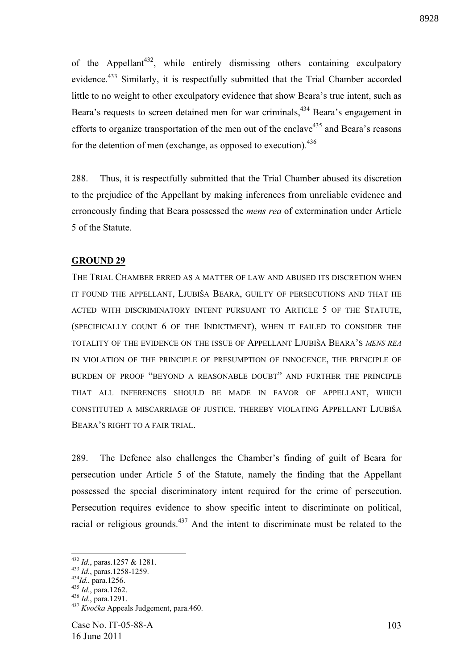of the Appellant<sup>432</sup>, while entirely dismissing others containing exculpatory evidence.<sup>433</sup> Similarly, it is respectfully submitted that the Trial Chamber accorded little to no weight to other exculpatory evidence that show Beara's true intent, such as Beara's requests to screen detained men for war criminals,<sup>434</sup> Beara's engagement in efforts to organize transportation of the men out of the enclave<sup>435</sup> and Beara's reasons for the detention of men (exchange, as opposed to execution). $436$ 

288. Thus, it is respectfully submitted that the Trial Chamber abused its discretion to the prejudice of the Appellant by making inferences from unreliable evidence and erroneously finding that Beara possessed the *mens rea* of extermination under Article 5 of the Statute.

### **GROUND 29**

THE TRIAL CHAMBER ERRED AS A MATTER OF LAW AND ABUSED ITS DISCRETION WHEN IT FOUND THE APPELLANT, LJUBIŠA BEARA, GUILTY OF PERSECUTIONS AND THAT HE ACTED WITH DISCRIMINATORY INTENT PURSUANT TO ARTICLE 5 OF THE STATUTE, (SPECIFICALLY COUNT 6 OF THE INDICTMENT), WHEN IT FAILED TO CONSIDER THE TOTALITY OF THE EVIDENCE ON THE ISSUE OF APPELLANT LJUBIŠA BEARA'S *MENS REA* IN VIOLATION OF THE PRINCIPLE OF PRESUMPTION OF INNOCENCE, THE PRINCIPLE OF BURDEN OF PROOF "BEYOND A REASONABLE DOUBT" AND FURTHER THE PRINCIPLE THAT ALL INFERENCES SHOULD BE MADE IN FAVOR OF APPELLANT, WHICH CONSTITUTED A MISCARRIAGE OF JUSTICE, THEREBY VIOLATING APPELLANT LJUBIŠA BEARA'S RIGHT TO A FAIR TRIAL.

289. The Defence also challenges the Chamber's finding of guilt of Beara for persecution under Article 5 of the Statute, namely the finding that the Appellant possessed the special discriminatory intent required for the crime of persecution. Persecution requires evidence to show specific intent to discriminate on political, racial or religious grounds.<sup>437</sup> And the intent to discriminate must be related to the

<sup>432</sup> *Id.*, paras.1257 & 1281.

<sup>433</sup> *Id.*, paras.1258-1259.

<sup>434</sup>*Id.*, para.1256.

<sup>435</sup> *Id.*, para.1262.

<sup>436</sup> *Id.*, para.1291.

<sup>&</sup>lt;sup>437</sup> *Kvočka* Appeals Judgement, para.460.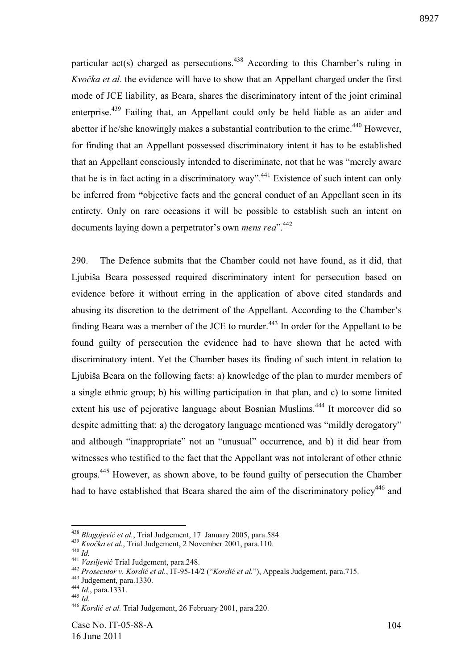particular act(s) charged as persecutions.<sup>438</sup> According to this Chamber's ruling in *Kvočka et al.* the evidence will have to show that an Appellant charged under the first mode of JCE liability, as Beara, shares the discriminatory intent of the joint criminal enterprise.<sup>439</sup> Failing that, an Appellant could only be held liable as an aider and abettor if he/she knowingly makes a substantial contribution to the crime.<sup>440</sup> However, for finding that an Appellant possessed discriminatory intent it has to be established that an Appellant consciously intended to discriminate, not that he was "merely aware that he is in fact acting in a discriminatory way".<sup>441</sup> Existence of such intent can only be inferred from **"**objective facts and the general conduct of an Appellant seen in its entirety. Only on rare occasions it will be possible to establish such an intent on documents laying down a perpetrator's own *mens rea*".<sup>442</sup>

290. The Defence submits that the Chamber could not have found, as it did, that Ljubiša Beara possessed required discriminatory intent for persecution based on evidence before it without erring in the application of above cited standards and abusing its discretion to the detriment of the Appellant. According to the Chamber's finding Beara was a member of the JCE to murder.<sup>443</sup> In order for the Appellant to be found guilty of persecution the evidence had to have shown that he acted with discriminatory intent. Yet the Chamber bases its finding of such intent in relation to Ljubiša Beara on the following facts: a) knowledge of the plan to murder members of a single ethnic group; b) his willing participation in that plan, and c) to some limited extent his use of pejorative language about Bosnian Muslims.<sup>444</sup> It moreover did so despite admitting that: a) the derogatory language mentioned was "mildly derogatory" and although "inappropriate" not an "unusual" occurrence, and b) it did hear from witnesses who testified to the fact that the Appellant was not intolerant of other ethnic groups.<sup>445</sup> However, as shown above, to be found guilty of persecution the Chamber had to have established that Beara shared the aim of the discriminatory policy<sup>446</sup> and

<sup>438</sup> *Blagojevi et al.*, Trial Judgement, 17 January 2005, para.584.

<sup>&</sup>lt;sup>439</sup> *Kvočka et al.*, Trial Judgement, 2 November 2001, para.110.

<sup>440</sup> *Id.*

<sup>441</sup> *Vasiljevi* Trial Judgement, para.248.

<sup>442</sup> *Prosecutor v. Kordi et al.*, IT-95-14/2 ("*Kordi et al.*"), Appeals Judgement, para.715.

<sup>443</sup> Judgement, para.1330.

<sup>444</sup> *Id.*, para.1331.

 $445$  *Id.* 

<sup>446</sup> *Kordi et al.* Trial Judgement, 26 February 2001, para.220.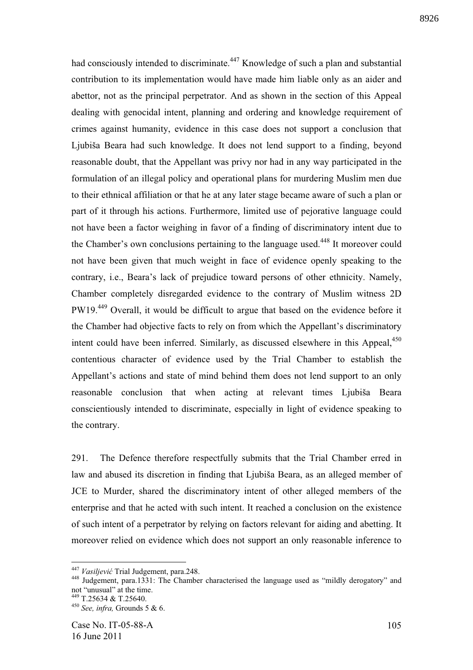had consciously intended to discriminate.<sup>447</sup> Knowledge of such a plan and substantial contribution to its implementation would have made him liable only as an aider and abettor, not as the principal perpetrator. And as shown in the section of this Appeal dealing with genocidal intent, planning and ordering and knowledge requirement of crimes against humanity, evidence in this case does not support a conclusion that Ljubiša Beara had such knowledge. It does not lend support to a finding, beyond reasonable doubt, that the Appellant was privy nor had in any way participated in the formulation of an illegal policy and operational plans for murdering Muslim men due to their ethnical affiliation or that he at any later stage became aware of such a plan or part of it through his actions. Furthermore, limited use of pejorative language could not have been a factor weighing in favor of a finding of discriminatory intent due to the Chamber's own conclusions pertaining to the language used.<sup>448</sup> It moreover could not have been given that much weight in face of evidence openly speaking to the contrary, i.e., Beara's lack of prejudice toward persons of other ethnicity. Namely, Chamber completely disregarded evidence to the contrary of Muslim witness 2D PW19.<sup>449</sup> Overall, it would be difficult to argue that based on the evidence before it the Chamber had objective facts to rely on from which the Appellant's discriminatory intent could have been inferred. Similarly, as discussed elsewhere in this Appeal, $450$ contentious character of evidence used by the Trial Chamber to establish the Appellant's actions and state of mind behind them does not lend support to an only reasonable conclusion that when acting at relevant times Ljubiša Beara conscientiously intended to discriminate, especially in light of evidence speaking to the contrary.

291. The Defence therefore respectfully submits that the Trial Chamber erred in law and abused its discretion in finding that Ljubiša Beara, as an alleged member of JCE to Murder, shared the discriminatory intent of other alleged members of the enterprise and that he acted with such intent. It reached a conclusion on the existence of such intent of a perpetrator by relying on factors relevant for aiding and abetting. It moreover relied on evidence which does not support an only reasonable inference to

<sup>447</sup> *Vasiljevi* Trial Judgement, para.248.

<sup>448</sup> Judgement, para.1331: The Chamber characterised the language used as "mildly derogatory" and not "unusual" at the time. <sup>449</sup> T.25634 & T.25640.

<sup>450</sup> *See, infra,* Grounds 5 & 6.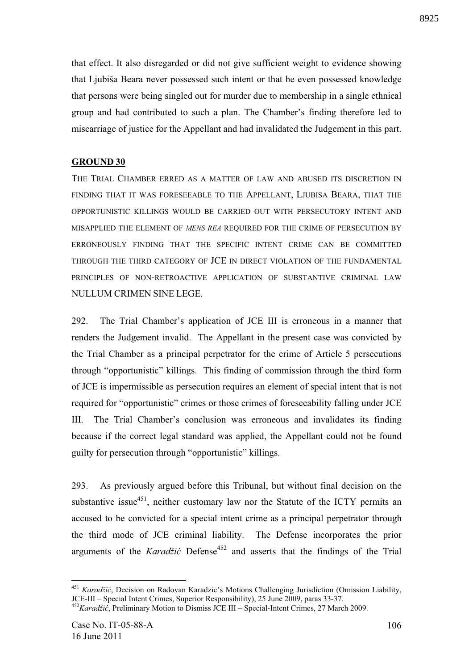that effect. It also disregarded or did not give sufficient weight to evidence showing that Ljubiša Beara never possessed such intent or that he even possessed knowledge that persons were being singled out for murder due to membership in a single ethnical group and had contributed to such a plan. The Chamber's finding therefore led to miscarriage of justice for the Appellant and had invalidated the Judgement in this part.

## **GROUND 30**

THE TRIAL CHAMBER ERRED AS A MATTER OF LAW AND ABUSED ITS DISCRETION IN FINDING THAT IT WAS FORESEEABLE TO THE APPELLANT, LJUBISA BEARA, THAT THE OPPORTUNISTIC KILLINGS WOULD BE CARRIED OUT WITH PERSECUTORY INTENT AND MISAPPLIED THE ELEMENT OF *MENS REA* REQUIRED FOR THE CRIME OF PERSECUTION BY ERRONEOUSLY FINDING THAT THE SPECIFIC INTENT CRIME CAN BE COMMITTED THROUGH THE THIRD CATEGORY OF JCE IN DIRECT VIOLATION OF THE FUNDAMENTAL PRINCIPLES OF NON-RETROACTIVE APPLICATION OF SUBSTANTIVE CRIMINAL LAW NULLUM CRIMEN SINE LEGE.

292. The Trial Chamber's application of JCE III is erroneous in a manner that renders the Judgement invalid. The Appellant in the present case was convicted by the Trial Chamber as a principal perpetrator for the crime of Article 5 persecutions through "opportunistic" killings. This finding of commission through the third form of JCE is impermissible as persecution requires an element of special intent that is not required for "opportunistic" crimes or those crimes of foreseeability falling under JCE III. The Trial Chamber's conclusion was erroneous and invalidates its finding because if the correct legal standard was applied, the Appellant could not be found guilty for persecution through "opportunistic" killings.

293. As previously argued before this Tribunal, but without final decision on the substantive issue $451$ , neither customary law nor the Statute of the ICTY permits an accused to be convicted for a special intent crime as a principal perpetrator through the third mode of JCE criminal liability. The Defense incorporates the prior arguments of the *Karadžić* Defense<sup>452</sup> and asserts that the findings of the Trial

<u>.</u>

<sup>&</sup>lt;sup>451</sup> *Karadžić*, Decision on Radovan Karadzic's Motions Challenging Jurisdiction (Omission Liability, JCE-III – Special Intent Crimes, Superior Responsibility), 25 June 2009, paras 33-37.

<sup>&</sup>lt;sup>452</sup>*Karadžić*. Preliminary Motion to Dismiss JCE III – Special-Intent Crimes, 27 March 2009.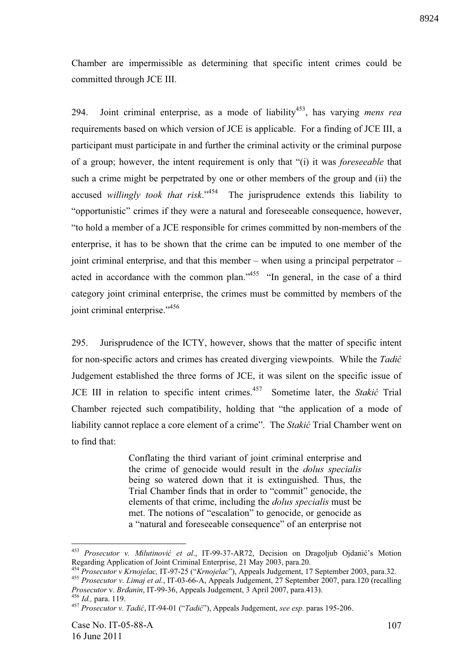Chamber are impermissible as determining that specific intent crimes could be committed through JCE III.

294. Joint criminal enterprise, as a mode of liability<sup>453</sup>, has varying *mens rea* requirements based on which version of JCE is applicable. For a finding of JCE III, a participant must participate in and further the criminal activity or the criminal purpose of a group; however, the intent requirement is only that "(i) it was *foreseeable* that such a crime might be perpetrated by one or other members of the group and (ii) the accused *willingly took that risk*."<sup>454</sup> The jurisprudence extends this liability to "opportunistic" crimes if they were a natural and foreseeable consequence, however, "to hold a member of a JCE responsible for crimes committed by non-members of the enterprise, it has to be shown that the crime can be imputed to one member of the joint criminal enterprise, and that this member – when using a principal perpetrator – acted in accordance with the common plan."<sup>455</sup> "In general, in the case of a third category joint criminal enterprise, the crimes must be committed by members of the joint criminal enterprise."<sup>456</sup>

295. Jurisprudence of the ICTY, however, shows that the matter of specific intent for non-specific actors and crimes has created diverging viewpoints. While the *Tadi*  Judgement established the three forms of JCE, it was silent on the specific issue of JCE III in relation to specific intent crimes.<sup>457</sup> Sometime later, the *Stakić* Trial Chamber rejected such compatibility, holding that "the application of a mode of liability cannot replace a core element of a crime". The *Stakić* Trial Chamber went on to find that:

> Conflating the third variant of joint criminal enterprise and the crime of genocide would result in the *dolus specialis*  being so watered down that it is extinguished. Thus, the Trial Chamber finds that in order to "commit" genocide, the elements of that crime, including the *dolus specialis* must be met. The notions of "escalation" to genocide, or genocide as a "natural and foreseeable consequence" of an enterprise not

<sup>&</sup>lt;sup>453</sup> Prosecutor v. Milutinović et al., IT-99-37-AR72, Decision on Dragoljub Ojdanić's Motion Regarding Application of Joint Criminal Enterprise, 21 May 2003, para.20.

<sup>454</sup> *Prosecutor v Krnojelac,* IT-97-25 ("*Krnojelac*"), Appeals Judgement, 17 September 2003, para.32.

<sup>455</sup> *Prosecutor v. Limaj et al.*, IT-03-66-A, Appeals Judgement, 27 September 2007, para.120 (recalling *Prosecutor* v. *Brāanin*, IT-99-36, Appeals Judgement, 3 April 2007, para.413).

<sup>456</sup> *Id.,* para. 119.

<sup>457</sup> *Prosecutor v. Tadi* , IT-94-01 ("*Tadi* "), Appeals Judgement, *see esp.* paras 195-206.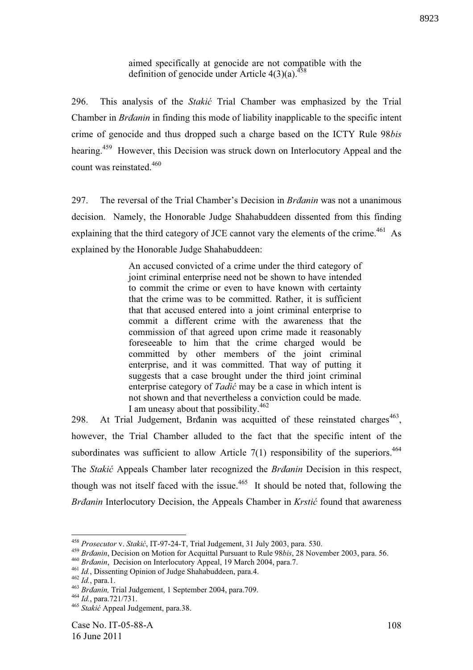aimed specifically at genocide are not compatible with the definition of genocide under Article  $4(3)(a)$ .<sup>458</sup>

296. This analysis of the *Staki* Trial Chamber was emphasized by the Trial Chamber in *Br!anin* in finding this mode of liability inapplicable to the specific intent crime of genocide and thus dropped such a charge based on the ICTY Rule 98*bis* hearing.<sup>459</sup> However, this Decision was struck down on Interlocutory Appeal and the count was reinstated.<sup>460</sup>

297. The reversal of the Trial Chamber's Decision in *Brdanin* was not a unanimous decision. Namely, the Honorable Judge Shahabuddeen dissented from this finding explaining that the third category of JCE cannot vary the elements of the crime.<sup> $461$ </sup> As explained by the Honorable Judge Shahabuddeen:

> An accused convicted of a crime under the third category of joint criminal enterprise need not be shown to have intended to commit the crime or even to have known with certainty that the crime was to be committed. Rather, it is sufficient that that accused entered into a joint criminal enterprise to commit a different crime with the awareness that the commission of that agreed upon crime made it reasonably foreseeable to him that the crime charged would be committed by other members of the joint criminal enterprise, and it was committed. That way of putting it suggests that a case brought under the third joint criminal enterprise category of *Tadić* may be a case in which intent is not shown and that nevertheless a conviction could be made. I am uneasy about that possibility.<sup>462</sup>

298. At Trial Judgement, Brđanin was acquitted of these reinstated charges<sup>463</sup>, however, the Trial Chamber alluded to the fact that the specific intent of the subordinates was sufficient to allow Article  $7(1)$  responsibility of the superiors.<sup>464</sup> The *Stakić* Appeals Chamber later recognized the *Brdanin* Decision in this respect, though was not itself faced with the issue.<sup>465</sup> It should be noted that, following the *Brāanin* Interlocutory Decision, the Appeals Chamber in *Krstić* found that awareness

<sup>&</sup>lt;sup>458</sup> *Prosecutor* v. *Stakić*, IT-97-24-T, Trial Judgement, 31 July 2003, para. 530.

<sup>&</sup>lt;sup>459</sup> *Brāanin*, Decision on Motion for Acquittal Pursuant to Rule 98*bis*, 28 November 2003, para. 56.

<sup>&</sup>lt;sup>460</sup> *Brdanin*, Decision on Interlocutory Appeal, 19 March 2004, para.7.

<sup>461</sup> *Id.*, Dissenting Opinion of Judge Shahabuddeen, para.4.

<sup>462</sup> *Id.*, para.1.

<sup>&</sup>lt;sup>463</sup> Br<sub>danin</sub>, Trial Judgement, 1 September 2004, para.709.

<sup>464</sup> *Id.*, para.721/731.

<sup>465</sup> *Staki* Appeal Judgement, para.38.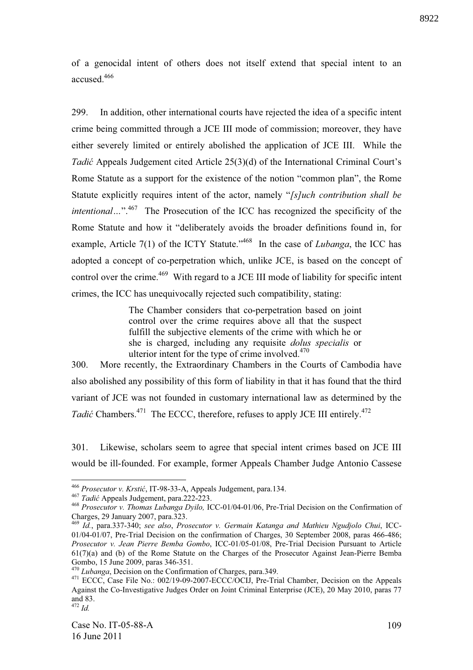of a genocidal intent of others does not itself extend that special intent to an accused<sup>466</sup>

299. In addition, other international courts have rejected the idea of a specific intent crime being committed through a JCE III mode of commission; moreover, they have either severely limited or entirely abolished the application of JCE III. While the *Tadić* Appeals Judgement cited Article 25(3)(d) of the International Criminal Court's Rome Statute as a support for the existence of the notion "common plan", the Rome Statute explicitly requires intent of the actor, namely "*[s]uch contribution shall be intentional...*".<sup>467</sup> The Prosecution of the ICC has recognized the specificity of the Rome Statute and how it "deliberately avoids the broader definitions found in, for example, Article 7(1) of the ICTY Statute."<sup>468</sup> In the case of *Lubanga*, the ICC has adopted a concept of co-perpetration which, unlike JCE, is based on the concept of control over the crime.<sup>469</sup> With regard to a JCE III mode of liability for specific intent crimes, the ICC has unequivocally rejected such compatibility, stating:

> The Chamber considers that co-perpetration based on joint control over the crime requires above all that the suspect fulfill the subjective elements of the crime with which he or she is charged, including any requisite *dolus specialis* or ulterior intent for the type of crime involved.<sup>470</sup>

300. More recently, the Extraordinary Chambers in the Courts of Cambodia have also abolished any possibility of this form of liability in that it has found that the third variant of JCE was not founded in customary international law as determined by the *Tadić* Chambers.<sup>471</sup> The ECCC, therefore, refuses to apply JCE III entirely.<sup>472</sup>

301. Likewise, scholars seem to agree that special intent crimes based on JCE III would be ill-founded. For example, former Appeals Chamber Judge Antonio Cassese

<sup>&</sup>lt;sup>466</sup> Prosecutor v. Krstić, IT-98-33-A, Appeals Judgement, para.134.

<sup>&</sup>lt;sup>467</sup> *Tadić* Appeals Judgement, para.222-223.

<sup>468</sup> *Prosecutor v. Thomas Lubanga Dyilo,* ICC-01/04-01/06, Pre-Trial Decision on the Confirmation of Charges, 29 January 2007, para.323.

<sup>469</sup> *Id.*, para.337-340; *see also*, *Prosecutor v. Germain Katanga and Mathieu Ngudjolo Chui*, ICC-01/04-01/07, Pre-Trial Decision on the confirmation of Charges, 30 September 2008, paras 466-486; *Prosecutor v. Jean Pierre Bemba Gombo*, ICC-01/05-01/08, Pre-Trial Decision Pursuant to Article 61(7)(a) and (b) of the Rome Statute on the Charges of the Prosecutor Against Jean-Pierre Bemba Gombo, 15 June 2009, paras 346-351.

<sup>470</sup> *Lubanga*, Decision on the Confirmation of Charges, para.349.

<sup>&</sup>lt;sup>471</sup> ECCC, Case File No.: 002/19-09-2007-ECCC/OCIJ, Pre-Trial Chamber, Decision on the Appeals Against the Co-Investigative Judges Order on Joint Criminal Enterprise (JCE), 20 May 2010, paras 77 and 83.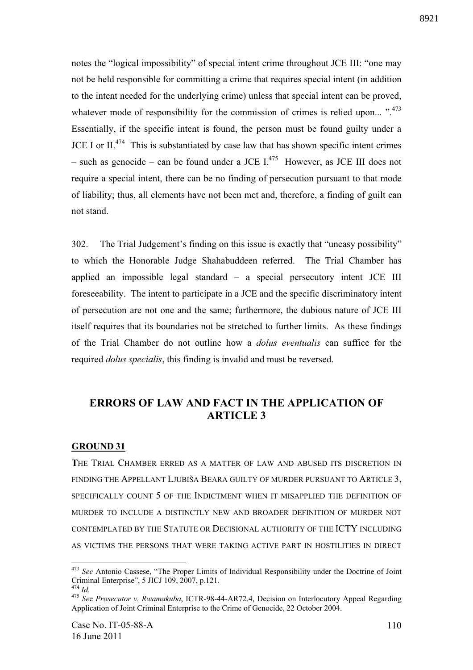notes the "logical impossibility" of special intent crime throughout JCE III: "one may not be held responsible for committing a crime that requires special intent (in addition to the intent needed for the underlying crime) unless that special intent can be proved, whatever mode of responsibility for the commission of crimes is relied upon... " $.473$ " Essentially, if the specific intent is found, the person must be found guilty under a JCE I or  $II^{474}$  This is substantiated by case law that has shown specific intent crimes – such as genocide – can be found under a JCE  $I^{475}$  However, as JCE III does not require a special intent, there can be no finding of persecution pursuant to that mode of liability; thus, all elements have not been met and, therefore, a finding of guilt can not stand.

302. The Trial Judgement's finding on this issue is exactly that "uneasy possibility" to which the Honorable Judge Shahabuddeen referred. The Trial Chamber has applied an impossible legal standard – a special persecutory intent JCE III foreseeability. The intent to participate in a JCE and the specific discriminatory intent of persecution are not one and the same; furthermore, the dubious nature of JCE III itself requires that its boundaries not be stretched to further limits. As these findings of the Trial Chamber do not outline how a *dolus eventualis* can suffice for the required *dolus specialis*, this finding is invalid and must be reversed.

## **ERRORS OF LAW AND FACT IN THE APPLICATION OF ARTICLE 3**

## **GROUND 31**

**T**HE TRIAL CHAMBER ERRED AS A MATTER OF LAW AND ABUSED ITS DISCRETION IN FINDING THE APPELLANT LJUBIŠA BEARA GUILTY OF MURDER PURSUANT TO ARTICLE 3, SPECIFICALLY COUNT 5 OF THE INDICTMENT WHEN IT MISAPPLIED THE DEFINITION OF MURDER TO INCLUDE A DISTINCTLY NEW AND BROADER DEFINITION OF MURDER NOT CONTEMPLATED BY THE STATUTE OR DECISIONAL AUTHORITY OF THE ICTY INCLUDING AS VICTIMS THE PERSONS THAT WERE TAKING ACTIVE PART IN HOSTILITIES IN DIRECT

<sup>473</sup> *See* Antonio Cassese, "The Proper Limits of Individual Responsibility under the Doctrine of Joint Criminal Enterprise", 5 JICJ 109, 2007, p.121.

<sup>474</sup> *Id.*

<sup>475</sup> *Se*e *Prosecutor v. Rwamakuba*, ICTR-98-44-AR72.4, Decision on Interlocutory Appeal Regarding Application of Joint Criminal Enterprise to the Crime of Genocide, 22 October 2004.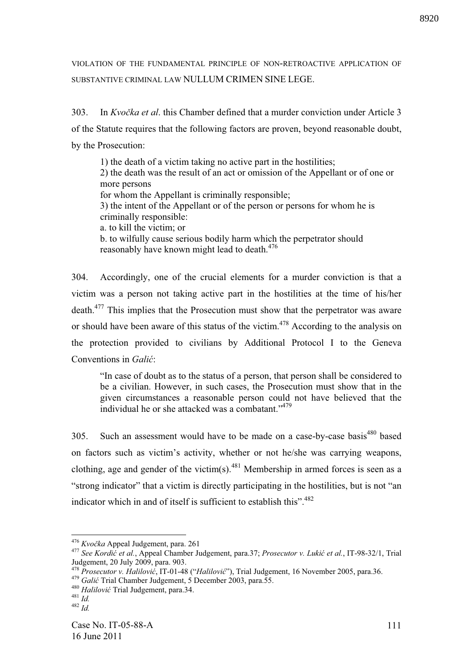VIOLATION OF THE FUNDAMENTAL PRINCIPLE OF NON-RETROACTIVE APPLICATION OF SUBSTANTIVE CRIMINAL LAW NULLUM CRIMEN SINE LEGE.

303. In *Kvočka et al.* this Chamber defined that a murder conviction under Article 3 of the Statute requires that the following factors are proven, beyond reasonable doubt, by the Prosecution:

1) the death of a victim taking no active part in the hostilities; 2) the death was the result of an act or omission of the Appellant or of one or more persons for whom the Appellant is criminally responsible; 3) the intent of the Appellant or of the person or persons for whom he is criminally responsible: a. to kill the victim; or b. to wilfully cause serious bodily harm which the perpetrator should reasonably have known might lead to death.<sup>476</sup>

304. Accordingly, one of the crucial elements for a murder conviction is that a victim was a person not taking active part in the hostilities at the time of his/her death.<sup>477</sup> This implies that the Prosecution must show that the perpetrator was aware or should have been aware of this status of the victim.<sup>478</sup> According to the analysis on the protection provided to civilians by Additional Protocol I to the Geneva Conventions in *Galić*:

"In case of doubt as to the status of a person, that person shall be considered to be a civilian. However, in such cases, the Prosecution must show that in the given circumstances a reasonable person could not have believed that the individual he or she attacked was a combatant."<sup>479</sup>

305. Such an assessment would have to be made on a case-by-case basis<sup>480</sup> based on factors such as victim's activity, whether or not he/she was carrying weapons, clothing, age and gender of the victim(s).<sup>481</sup> Membership in armed forces is seen as a "strong indicator" that a victim is directly participating in the hostilities, but is not "an indicator which in and of itself is sufficient to establish this".<sup>482</sup>

<sup>&</sup>lt;sup>476</sup> *Kvočka* Appeal Judgement, para. 261

<sup>477</sup> *See Kordi et al.*, Appeal Chamber Judgement, para.37; *Prosecutor v. Luki et al.*, IT-98-32/1, Trial Judgement, 20 July 2009, para. 903.<br> $\frac{478 \text{ Pucas}}{2000 \text{ Pucas}}$ 

<sup>478</sup> *Prosecutor v. Halilovi* , IT-01-48 ("*Halilovi* "), Trial Judgement, 16 November 2005, para.36. <sup>479</sup> *Gali* Trial Chamber Judgement, 5 December 2003, para.55.

<sup>&</sup>lt;sup>480</sup> Halilović Trial Judgement, para.34.

<sup>481</sup> *Id.*

 $482 \frac{100}{1}$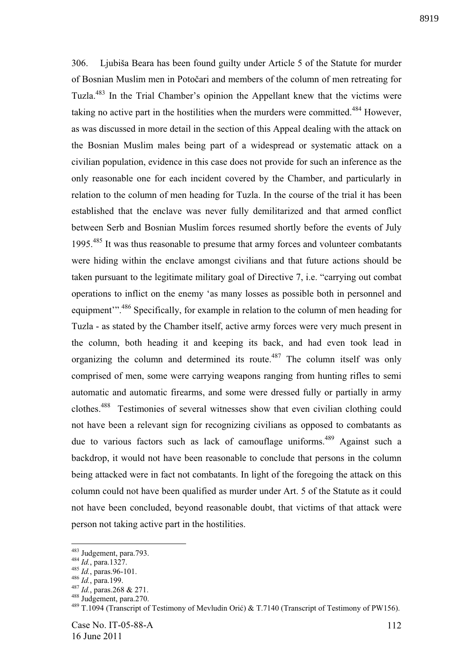306. Ljubiša Beara has been found guilty under Article 5 of the Statute for murder of Bosnian Muslim men in Potočari and members of the column of men retreating for Tuzla.<sup>483</sup> In the Trial Chamber's opinion the Appellant knew that the victims were taking no active part in the hostilities when the murders were committed.<sup>484</sup> However, as was discussed in more detail in the section of this Appeal dealing with the attack on the Bosnian Muslim males being part of a widespread or systematic attack on a civilian population, evidence in this case does not provide for such an inference as the only reasonable one for each incident covered by the Chamber, and particularly in relation to the column of men heading for Tuzla. In the course of the trial it has been established that the enclave was never fully demilitarized and that armed conflict between Serb and Bosnian Muslim forces resumed shortly before the events of July 1995.<sup>485</sup> It was thus reasonable to presume that army forces and volunteer combatants were hiding within the enclave amongst civilians and that future actions should be taken pursuant to the legitimate military goal of Directive 7, i.e. "carrying out combat operations to inflict on the enemy 'as many losses as possible both in personnel and equipment".<sup>486</sup> Specifically, for example in relation to the column of men heading for Tuzla - as stated by the Chamber itself, active army forces were very much present in the column, both heading it and keeping its back, and had even took lead in organizing the column and determined its route.<sup>487</sup> The column itself was only comprised of men, some were carrying weapons ranging from hunting rifles to semi automatic and automatic firearms, and some were dressed fully or partially in army clothes.<sup>488</sup> Testimonies of several witnesses show that even civilian clothing could not have been a relevant sign for recognizing civilians as opposed to combatants as due to various factors such as lack of camouflage uniforms.<sup>489</sup> Against such a backdrop, it would not have been reasonable to conclude that persons in the column being attacked were in fact not combatants. In light of the foregoing the attack on this column could not have been qualified as murder under Art. 5 of the Statute as it could not have been concluded, beyond reasonable doubt, that victims of that attack were person not taking active part in the hostilities.

<sup>&</sup>lt;sup>483</sup> Judgement, para.793.

<sup>484</sup> *Id.*, para.1327.

<sup>485</sup> *Id.*, paras.96-101.

<sup>486</sup> *Id.*, para.199.

<sup>487</sup> *Id.*, paras.268 & 271.

 $488$  Judgement, para.270.

<sup>489</sup> T.1094 (Transcript of Testimony of Mevludin Orić) & T.7140 (Transcript of Testimony of PW156).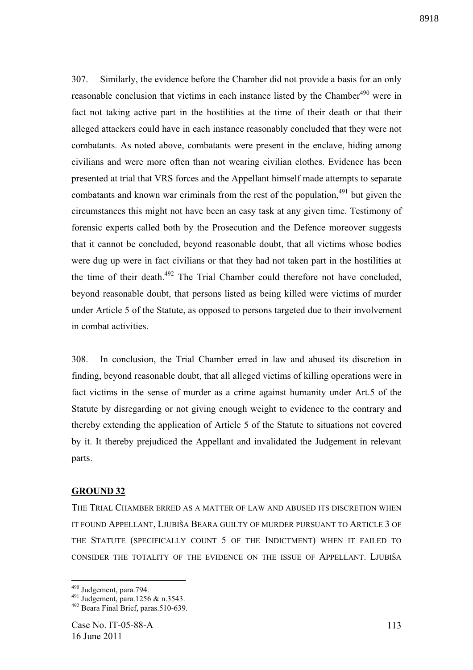307. Similarly, the evidence before the Chamber did not provide a basis for an only reasonable conclusion that victims in each instance listed by the Chamber<sup>490</sup> were in fact not taking active part in the hostilities at the time of their death or that their alleged attackers could have in each instance reasonably concluded that they were not combatants. As noted above, combatants were present in the enclave, hiding among civilians and were more often than not wearing civilian clothes. Evidence has been presented at trial that VRS forces and the Appellant himself made attempts to separate combatants and known war criminals from the rest of the population, $491$  but given the circumstances this might not have been an easy task at any given time. Testimony of forensic experts called both by the Prosecution and the Defence moreover suggests that it cannot be concluded, beyond reasonable doubt, that all victims whose bodies were dug up were in fact civilians or that they had not taken part in the hostilities at the time of their death.<sup>492</sup> The Trial Chamber could therefore not have concluded, beyond reasonable doubt, that persons listed as being killed were victims of murder under Article 5 of the Statute, as opposed to persons targeted due to their involvement in combat activities.

308. In conclusion, the Trial Chamber erred in law and abused its discretion in finding, beyond reasonable doubt, that all alleged victims of killing operations were in fact victims in the sense of murder as a crime against humanity under Art.5 of the Statute by disregarding or not giving enough weight to evidence to the contrary and thereby extending the application of Article 5 of the Statute to situations not covered by it. It thereby prejudiced the Appellant and invalidated the Judgement in relevant parts.

## **GROUND 32**

THE TRIAL CHAMBER ERRED AS A MATTER OF LAW AND ABUSED ITS DISCRETION WHEN IT FOUND APPELLANT, LJUBIŠA BEARA GUILTY OF MURDER PURSUANT TO ARTICLE 3 OF THE STATUTE (SPECIFICALLY COUNT 5 OF THE INDICTMENT) WHEN IT FAILED TO CONSIDER THE TOTALITY OF THE EVIDENCE ON THE ISSUE OF APPELLANT. LJUBIŠA

<u>.</u>

<sup>&</sup>lt;sup>490</sup> Judgement, para.794.

<sup>491</sup> Judgement, para.1256 & n.3543.

<sup>&</sup>lt;sup>492</sup> Beara Final Brief, paras.510-639.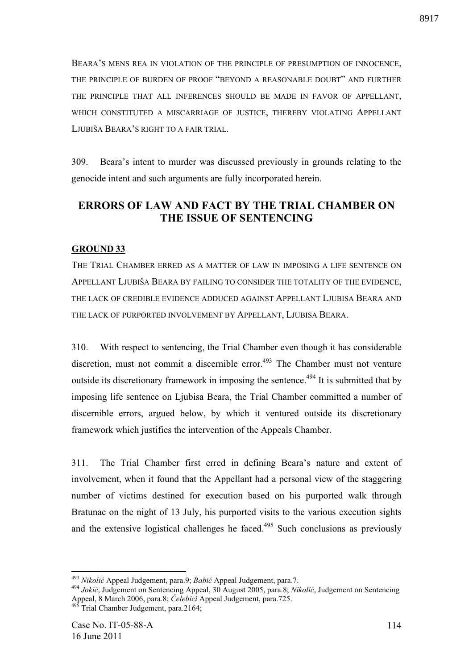BEARA'S MENS REA IN VIOLATION OF THE PRINCIPLE OF PRESUMPTION OF INNOCENCE, THE PRINCIPLE OF BURDEN OF PROOF "BEYOND A REASONABLE DOUBT" AND FURTHER THE PRINCIPLE THAT ALL INFERENCES SHOULD BE MADE IN FAVOR OF APPELLANT, WHICH CONSTITUTED A MISCARRIAGE OF JUSTICE, THEREBY VIOLATING APPELLANT LJUBIŠA BEARA'S RIGHT TO A FAIR TRIAL.

309. Beara's intent to murder was discussed previously in grounds relating to the genocide intent and such arguments are fully incorporated herein.

# **ERRORS OF LAW AND FACT BY THE TRIAL CHAMBER ON THE ISSUE OF SENTENCING**

## **GROUND 33**

THE TRIAL CHAMBER ERRED AS A MATTER OF LAW IN IMPOSING A LIFE SENTENCE ON APPELLANT LJUBIŠA BEARA BY FAILING TO CONSIDER THE TOTALITY OF THE EVIDENCE, THE LACK OF CREDIBLE EVIDENCE ADDUCED AGAINST APPELLANT LJUBISA BEARA AND THE LACK OF PURPORTED INVOLVEMENT BY APPELLANT, LJUBISA BEARA.

310. With respect to sentencing, the Trial Chamber even though it has considerable discretion, must not commit a discernible error.<sup> $493$ </sup> The Chamber must not venture outside its discretionary framework in imposing the sentence.<sup>494</sup> It is submitted that by imposing life sentence on Ljubisa Beara, the Trial Chamber committed a number of discernible errors, argued below, by which it ventured outside its discretionary framework which justifies the intervention of the Appeals Chamber.

311. The Trial Chamber first erred in defining Beara's nature and extent of involvement, when it found that the Appellant had a personal view of the staggering number of victims destined for execution based on his purported walk through Bratunac on the night of 13 July, his purported visits to the various execution sights and the extensive logistical challenges he faced.<sup>495</sup> Such conclusions as previously

<sup>493</sup> *Nikoli* Appeal Judgement, para.9; *Babi* Appeal Judgement, para.7.

<sup>&</sup>lt;sup>494</sup> Jokić, Judgement on Sentencing Appeal, 30 August 2005, para.8; *Nikolić*, Judgement on Sentencing Appeal, 8 March 2006, para.8; *Čelebici* Appeal Judgement, para.725.

 $\overline{\text{3}}$  Trial Chamber Judgement, para.2164;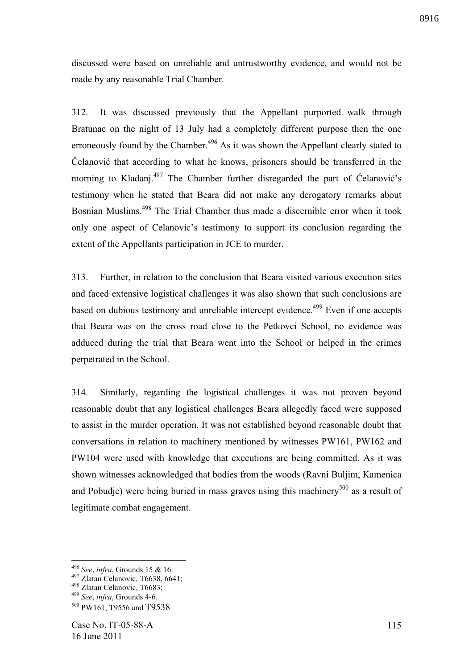discussed were based on unreliable and untrustworthy evidence, and would not be made by any reasonable Trial Chamber.

312. It was discussed previously that the Appellant purported walk through Bratunac on the night of 13 July had a completely different purpose then the one erroneously found by the Chamber.<sup>496</sup> As it was shown the Appellant clearly stated to Čelanović that according to what he knows, prisoners should be transferred in the morning to Kladanj. $497$  The Chamber further disregarded the part of Celanović's testimony when he stated that Beara did not make any derogatory remarks about Bosnian Muslims.<sup>498</sup> The Trial Chamber thus made a discernible error when it took only one aspect of Celanovic's testimony to support its conclusion regarding the extent of the Appellants participation in JCE to murder.

313. Further, in relation to the conclusion that Beara visited various execution sites and faced extensive logistical challenges it was also shown that such conclusions are based on dubious testimony and unreliable intercept evidence.<sup>499</sup> Even if one accepts that Beara was on the cross road close to the Petkovci School, no evidence was adduced during the trial that Beara went into the School or helped in the crimes perpetrated in the School.

314. Similarly, regarding the logistical challenges it was not proven beyond reasonable doubt that any logistical challenges Beara allegedly faced were supposed to assist in the murder operation. It was not established beyond reasonable doubt that conversations in relation to machinery mentioned by witnesses PW161, PW162 and PW104 were used with knowledge that executions are being committed. As it was shown witnesses acknowledged that bodies from the woods (Ravni Buljim, Kamenica and Pobudje) were being buried in mass graves using this machinery<sup>500</sup> as a result of legitimate combat engagement.

<sup>496</sup> *See*, *infra*, Grounds 15 & 16.

<sup>497</sup> Zlatan Celanovic, T6638, 6641;

<sup>498</sup> Zlatan Celanovic, T6683;

<sup>499</sup> *See*, *infra*, Grounds 4-6.

<sup>500</sup> PW161, T9556 and T9538.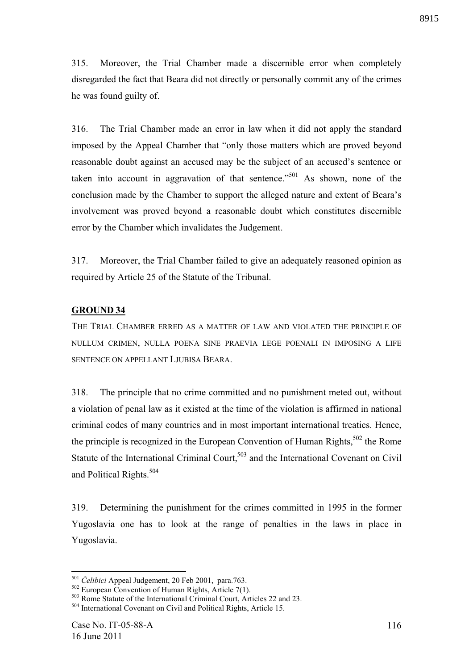315. Moreover, the Trial Chamber made a discernible error when completely disregarded the fact that Beara did not directly or personally commit any of the crimes he was found guilty of.

316. The Trial Chamber made an error in law when it did not apply the standard imposed by the Appeal Chamber that "only those matters which are proved beyond reasonable doubt against an accused may be the subject of an accused's sentence or taken into account in aggravation of that sentence."<sup>501</sup> As shown, none of the conclusion made by the Chamber to support the alleged nature and extent of Beara's involvement was proved beyond a reasonable doubt which constitutes discernible error by the Chamber which invalidates the Judgement.

317. Moreover, the Trial Chamber failed to give an adequately reasoned opinion as required by Article 25 of the Statute of the Tribunal.

## **GROUND 34**

THE TRIAL CHAMBER ERRED AS A MATTER OF LAW AND VIOLATED THE PRINCIPLE OF NULLUM CRIMEN, NULLA POENA SINE PRAEVIA LEGE POENALI IN IMPOSING A LIFE SENTENCE ON APPELLANT LJUBISA BEARA.

318. The principle that no crime committed and no punishment meted out, without a violation of penal law as it existed at the time of the violation is affirmed in national criminal codes of many countries and in most important international treaties. Hence, the principle is recognized in the European Convention of Human Rights,<sup>502</sup> the Rome Statute of the International Criminal Court,<sup>503</sup> and the International Covenant on Civil and Political Rights.<sup>504</sup>

319. Determining the punishment for the crimes committed in 1995 in the former Yugoslavia one has to look at the range of penalties in the laws in place in Yugoslavia.

<sup>&</sup>lt;sup>501</sup> *Čelibici* Appeal Judgement, 20 Feb 2001, para.763.

<sup>502</sup> European Convention of Human Rights, Article 7(1).

<sup>&</sup>lt;sup>503</sup> Rome Statute of the International Criminal Court, Articles 22 and 23.

<sup>504</sup> International Covenant on Civil and Political Rights, Article 15.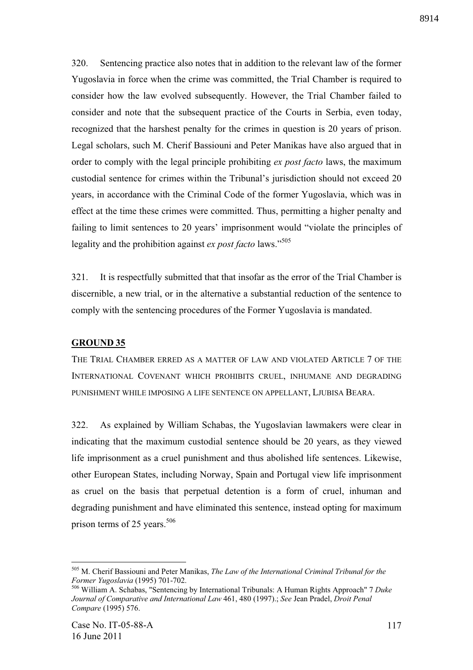320. Sentencing practice also notes that in addition to the relevant law of the former Yugoslavia in force when the crime was committed, the Trial Chamber is required to consider how the law evolved subsequently. However, the Trial Chamber failed to consider and note that the subsequent practice of the Courts in Serbia, even today, recognized that the harshest penalty for the crimes in question is 20 years of prison. Legal scholars, such M. Cherif Bassiouni and Peter Manikas have also argued that in order to comply with the legal principle prohibiting *ex post facto* laws, the maximum custodial sentence for crimes within the Tribunal's jurisdiction should not exceed 20 years, in accordance with the Criminal Code of the former Yugoslavia, which was in effect at the time these crimes were committed. Thus, permitting a higher penalty and

failing to limit sentences to 20 years' imprisonment would "violate the principles of legality and the prohibition against *ex post facto* laws."<sup>505</sup>

321. It is respectfully submitted that that insofar as the error of the Trial Chamber is discernible, a new trial, or in the alternative a substantial reduction of the sentence to comply with the sentencing procedures of the Former Yugoslavia is mandated.

## **GROUND 35**

THE TRIAL CHAMBER ERRED AS A MATTER OF LAW AND VIOLATED ARTICLE 7 OF THE INTERNATIONAL COVENANT WHICH PROHIBITS CRUEL, INHUMANE AND DEGRADING PUNISHMENT WHILE IMPOSING A LIFE SENTENCE ON APPELLANT, LJUBISA BEARA.

322. As explained by William Schabas, the Yugoslavian lawmakers were clear in indicating that the maximum custodial sentence should be 20 years, as they viewed life imprisonment as a cruel punishment and thus abolished life sentences. Likewise, other European States, including Norway, Spain and Portugal view life imprisonment as cruel on the basis that perpetual detention is a form of cruel, inhuman and degrading punishment and have eliminated this sentence, instead opting for maximum prison terms of 25 years. $506$ 

<sup>505</sup> M. Cherif Bassiouni and Peter Manikas, *The Law of the International Criminal Tribunal for the Former Yugoslavia* (1995) 701-702.

<sup>506</sup> William A. Schabas, "Sentencing by International Tribunals: A Human Rights Approach" 7 *Duke Journal of Comparative and International Law* 461, 480 (1997).; *See* Jean Pradel, *Droit Penal Compare* (1995) 576.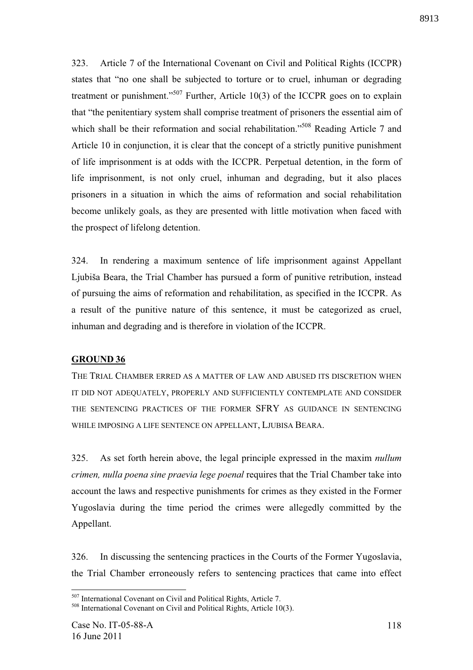323. Article 7 of the International Covenant on Civil and Political Rights (ICCPR) states that "no one shall be subjected to torture or to cruel, inhuman or degrading treatment or punishment."<sup>507</sup> Further, Article 10(3) of the ICCPR goes on to explain that "the penitentiary system shall comprise treatment of prisoners the essential aim of which shall be their reformation and social rehabilitation."<sup>508</sup> Reading Article 7 and Article 10 in conjunction, it is clear that the concept of a strictly punitive punishment of life imprisonment is at odds with the ICCPR. Perpetual detention, in the form of life imprisonment, is not only cruel, inhuman and degrading, but it also places prisoners in a situation in which the aims of reformation and social rehabilitation become unlikely goals, as they are presented with little motivation when faced with the prospect of lifelong detention.

324. In rendering a maximum sentence of life imprisonment against Appellant Ljubiša Beara, the Trial Chamber has pursued a form of punitive retribution, instead of pursuing the aims of reformation and rehabilitation, as specified in the ICCPR. As a result of the punitive nature of this sentence, it must be categorized as cruel, inhuman and degrading and is therefore in violation of the ICCPR.

## **GROUND 36**

THE TRIAL CHAMBER ERRED AS A MATTER OF LAW AND ABUSED ITS DISCRETION WHEN IT DID NOT ADEQUATELY, PROPERLY AND SUFFICIENTLY CONTEMPLATE AND CONSIDER THE SENTENCING PRACTICES OF THE FORMER SFRY AS GUIDANCE IN SENTENCING WHILE IMPOSING A LIFE SENTENCE ON APPELLANT, LJUBISA BEARA.

325. As set forth herein above, the legal principle expressed in the maxim *nullum crimen, nulla poena sine praevia lege poenal* requires that the Trial Chamber take into account the laws and respective punishments for crimes as they existed in the Former Yugoslavia during the time period the crimes were allegedly committed by the Appellant.

326. In discussing the sentencing practices in the Courts of the Former Yugoslavia, the Trial Chamber erroneously refers to sentencing practices that came into effect

<sup>1</sup> <sup>507</sup> International Covenant on Civil and Political Rights, Article 7.

<sup>508</sup> International Covenant on Civil and Political Rights, Article 10(3).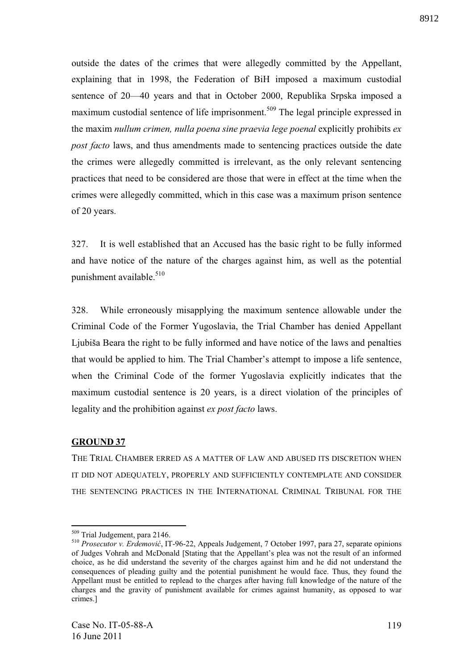outside the dates of the crimes that were allegedly committed by the Appellant, explaining that in 1998, the Federation of BiH imposed a maximum custodial sentence of 20—40 years and that in October 2000, Republika Srpska imposed a maximum custodial sentence of life imprisonment.<sup>509</sup> The legal principle expressed in the maxim *nullum crimen, nulla poena sine praevia lege poenal* explicitly prohibits *ex post facto* laws, and thus amendments made to sentencing practices outside the date the crimes were allegedly committed is irrelevant, as the only relevant sentencing practices that need to be considered are those that were in effect at the time when the crimes were allegedly committed, which in this case was a maximum prison sentence of 20 years.

327. It is well established that an Accused has the basic right to be fully informed and have notice of the nature of the charges against him, as well as the potential punishment available.<sup>510</sup>

328. While erroneously misapplying the maximum sentence allowable under the Criminal Code of the Former Yugoslavia, the Trial Chamber has denied Appellant Ljubiša Beara the right to be fully informed and have notice of the laws and penalties that would be applied to him. The Trial Chamber's attempt to impose a life sentence, when the Criminal Code of the former Yugoslavia explicitly indicates that the maximum custodial sentence is 20 years, is a direct violation of the principles of legality and the prohibition against *ex post facto* laws.

#### **GROUND 37**

<u>.</u>

THE TRIAL CHAMBER ERRED AS A MATTER OF LAW AND ABUSED ITS DISCRETION WHEN IT DID NOT ADEQUATELY, PROPERLY AND SUFFICIENTLY CONTEMPLATE AND CONSIDER THE SENTENCING PRACTICES IN THE INTERNATIONAL CRIMINAL TRIBUNAL FOR THE

<sup>509</sup> Trial Judgement, para 2146.

<sup>&</sup>lt;sup>510</sup> *Prosecutor v. Erdemović*, IT-96-22, Appeals Judgement, 7 October 1997, para 27, separate opinions of Judges Vohrah and McDonald [Stating that the Appellant's plea was not the result of an informed choice, as he did understand the severity of the charges against him and he did not understand the consequences of pleading guilty and the potential punishment he would face. Thus, they found the Appellant must be entitled to replead to the charges after having full knowledge of the nature of the charges and the gravity of punishment available for crimes against humanity, as opposed to war crimes.]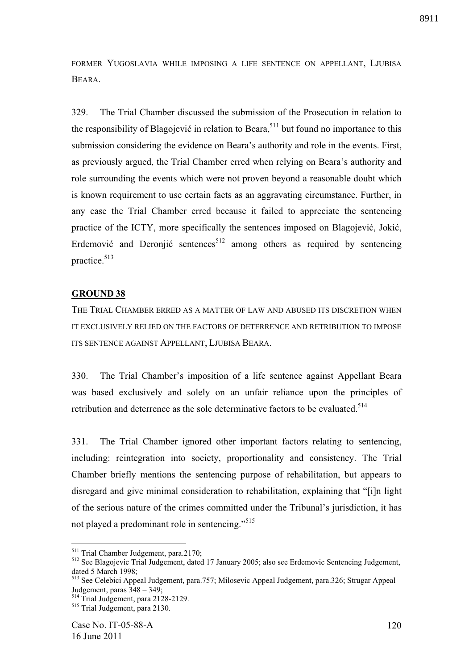FORMER YUGOSLAVIA WHILE IMPOSING A LIFE SENTENCE ON APPELLANT, LJUBISA BEARA.

329. The Trial Chamber discussed the submission of the Prosecution in relation to the responsibility of Blagojević in relation to Beara,  $511$  but found no importance to this submission considering the evidence on Beara's authority and role in the events. First, as previously argued, the Trial Chamber erred when relying on Beara's authority and role surrounding the events which were not proven beyond a reasonable doubt which is known requirement to use certain facts as an aggravating circumstance. Further, in any case the Trial Chamber erred because it failed to appreciate the sentencing practice of the ICTY, more specifically the sentences imposed on Blagojević, Jokić, Erdemović and Deronjić sentences<sup>512</sup> among others as required by sentencing practice.<sup>513</sup>

## **GROUND 38**

THE TRIAL CHAMBER ERRED AS A MATTER OF LAW AND ABUSED ITS DISCRETION WHEN IT EXCLUSIVELY RELIED ON THE FACTORS OF DETERRENCE AND RETRIBUTION TO IMPOSE ITS SENTENCE AGAINST APPELLANT, LJUBISA BEARA.

330. The Trial Chamber's imposition of a life sentence against Appellant Beara was based exclusively and solely on an unfair reliance upon the principles of retribution and deterrence as the sole determinative factors to be evaluated.<sup>514</sup>

331. The Trial Chamber ignored other important factors relating to sentencing, including: reintegration into society, proportionality and consistency. The Trial Chamber briefly mentions the sentencing purpose of rehabilitation, but appears to disregard and give minimal consideration to rehabilitation, explaining that "[i]n light of the serious nature of the crimes committed under the Tribunal's jurisdiction, it has not played a predominant role in sentencing."<sup>515</sup>

<sup>&</sup>lt;sup>511</sup> Trial Chamber Judgement, para.2170;

<sup>512</sup> See Blagojevic Trial Judgement, dated 17 January 2005; also see Erdemovic Sentencing Judgement, dated 5 March 1998;

<sup>513</sup> See Celebici Appeal Judgement, para.757; Milosevic Appeal Judgement, para.326; Strugar Appeal Judgement, paras  $348 - 349$ ;

<sup>&</sup>lt;sup>514</sup> Trial Judgement, para 2128-2129.

<sup>515</sup> Trial Judgement, para 2130.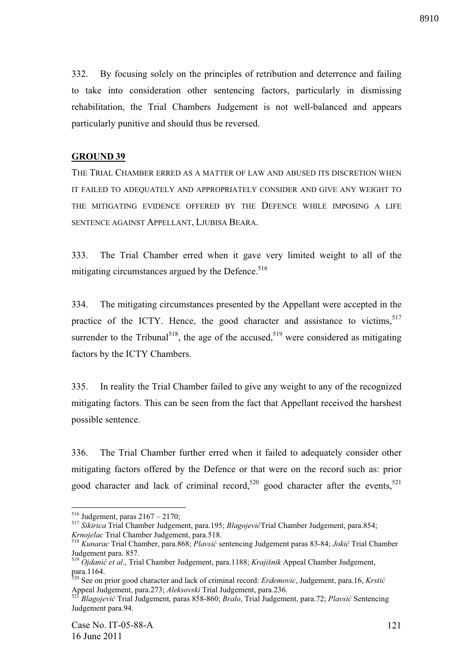332. By focusing solely on the principles of retribution and deterrence and failing to take into consideration other sentencing factors, particularly in dismissing rehabilitation, the Trial Chambers Judgement is not well-balanced and appears particularly punitive and should thus be reversed.

## **GROUND 39**

THE TRIAL CHAMBER ERRED AS A MATTER OF LAW AND ABUSED ITS DISCRETION WHEN IT FAILED TO ADEQUATELY AND APPROPRIATELY CONSIDER AND GIVE ANY WEIGHT TO THE MITIGATING EVIDENCE OFFERED BY THE DEFENCE WHILE IMPOSING A LIFE SENTENCE AGAINST APPELLANT, LJUBISA BEARA.

333. The Trial Chamber erred when it gave very limited weight to all of the mitigating circumstances argued by the Defence. $516$ 

334. The mitigating circumstances presented by the Appellant were accepted in the practice of the ICTY. Hence, the good character and assistance to victims,  $517$ surrender to the Tribunal<sup>518</sup>, the age of the accused,<sup>519</sup> were considered as mitigating factors by the ICTY Chambers.

335. In reality the Trial Chamber failed to give any weight to any of the recognized mitigating factors. This can be seen from the fact that Appellant received the harshest possible sentence.

336. The Trial Chamber further erred when it failed to adequately consider other mitigating factors offered by the Defence or that were on the record such as: prior good character and lack of criminal record,<sup>520</sup> good character after the events,<sup>521</sup>

 $516$  Judgement, paras  $2167 - 2170$ ;

<sup>517</sup> *Sikirica* Trial Chamber Judgement, para.195; *Blagojevi* Trial Chamber Judgement, para.854; *Krnojelac* Trial Chamber Judgement, para.518.

<sup>518</sup> *Kunarac* Trial Chamber, para.868; *Plavsi* sentencing Judgement paras 83-84; *Joki* Trial Chamber Judgement para. 857.

<sup>519</sup> *Ojdani et al*., Trial Chamber Judgement, para.1188; *Krajišnik* Appeal Chamber Judgement, para.1164.

<sup>520</sup> See on prior good character and lack of criminal record: *Erdemovic*, Judgement, para.16, *Krsti*  Appeal Judgement, para.273; *Aleksovski* Trial Judgement, para.236.

<sup>521</sup> *Blagojevi* Trial Judgement, paras 858-860; *Bralo*, Trial Judgement, para.72; *Plavsi* Sentencing Judgement para.94.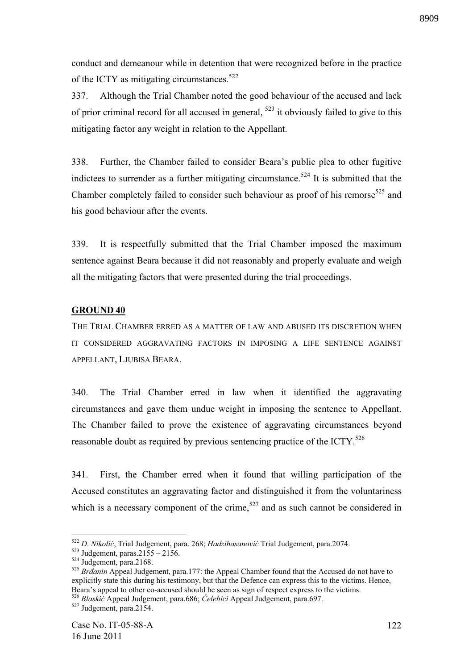conduct and demeanour while in detention that were recognized before in the practice of the ICTY as mitigating circumstances. $522$ 

337. Although the Trial Chamber noted the good behaviour of the accused and lack of prior criminal record for all accused in general,  $523$  it obviously failed to give to this mitigating factor any weight in relation to the Appellant.

338. Further, the Chamber failed to consider Beara's public plea to other fugitive indictees to surrender as a further mitigating circumstance.<sup>524</sup> It is submitted that the Chamber completely failed to consider such behaviour as proof of his remorse $525$  and his good behaviour after the events.

339. It is respectfully submitted that the Trial Chamber imposed the maximum sentence against Beara because it did not reasonably and properly evaluate and weigh all the mitigating factors that were presented during the trial proceedings.

## **GROUND 40**

THE TRIAL CHAMBER ERRED AS A MATTER OF LAW AND ABUSED ITS DISCRETION WHEN IT CONSIDERED AGGRAVATING FACTORS IN IMPOSING A LIFE SENTENCE AGAINST APPELLANT, LJUBISA BEARA.

340. The Trial Chamber erred in law when it identified the aggravating circumstances and gave them undue weight in imposing the sentence to Appellant. The Chamber failed to prove the existence of aggravating circumstances beyond reasonable doubt as required by previous sentencing practice of the ICTY.<sup>526</sup>

341. First, the Chamber erred when it found that willing participation of the Accused constitutes an aggravating factor and distinguished it from the voluntariness which is a necessary component of the crime,<sup>527</sup> and as such cannot be considered in

<sup>522</sup> *D. Nikoli* , Trial Judgement, para. 268; *Hadzihasanovi* Trial Judgement, para.2074.

 $523$  Judgement, paras.  $2155 - 2156$ .

 $524$  Judgement, para.2168.

<sup>525</sup> *Bratanin* Appeal Judgement, para.177: the Appeal Chamber found that the Accused do not have to explicitly state this during his testimony, but that the Defence can express this to the victims. Hence, Beara's appeal to other co-accused should be seen as sign of respect express to the victims.

<sup>526</sup> *Blaski* Appeal Judgement, para.686; *#elebici* Appeal Judgement, para.697.

 $527 \text{Judgement}$ , para.2154.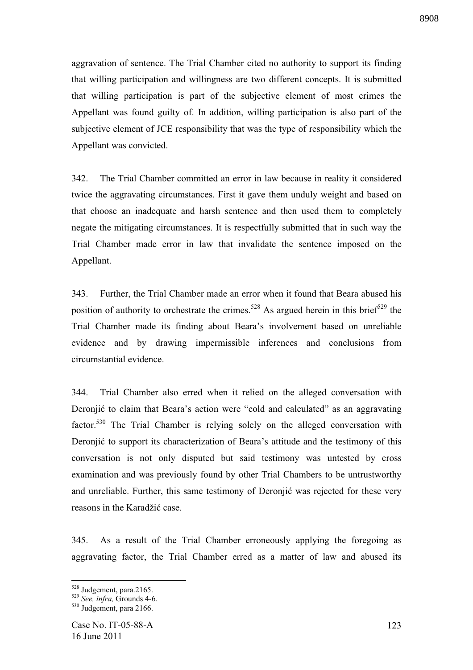aggravation of sentence. The Trial Chamber cited no authority to support its finding that willing participation and willingness are two different concepts. It is submitted that willing participation is part of the subjective element of most crimes the Appellant was found guilty of. In addition, willing participation is also part of the subjective element of JCE responsibility that was the type of responsibility which the Appellant was convicted.

342. The Trial Chamber committed an error in law because in reality it considered twice the aggravating circumstances. First it gave them unduly weight and based on that choose an inadequate and harsh sentence and then used them to completely negate the mitigating circumstances. It is respectfully submitted that in such way the Trial Chamber made error in law that invalidate the sentence imposed on the Appellant.

343. Further, the Trial Chamber made an error when it found that Beara abused his position of authority to orchestrate the crimes.<sup>528</sup> As argued herein in this brief<sup>529</sup> the Trial Chamber made its finding about Beara's involvement based on unreliable evidence and by drawing impermissible inferences and conclusions from circumstantial evidence.

344. Trial Chamber also erred when it relied on the alleged conversation with Deronjić to claim that Beara's action were "cold and calculated" as an aggravating factor.<sup>530</sup> The Trial Chamber is relying solely on the alleged conversation with Deronjić to support its characterization of Beara's attitude and the testimony of this conversation is not only disputed but said testimony was untested by cross examination and was previously found by other Trial Chambers to be untrustworthy and unreliable. Further, this same testimony of Deronjić was rejected for these very reasons in the Karadžić case.

345. As a result of the Trial Chamber erroneously applying the foregoing as aggravating factor, the Trial Chamber erred as a matter of law and abused its

<u>.</u>

<sup>&</sup>lt;sup>528</sup> Judgement, para.2165.

<sup>529</sup> *See, infra,* Grounds 4-6.

<sup>&</sup>lt;sup>530</sup> Judgement, para 2166.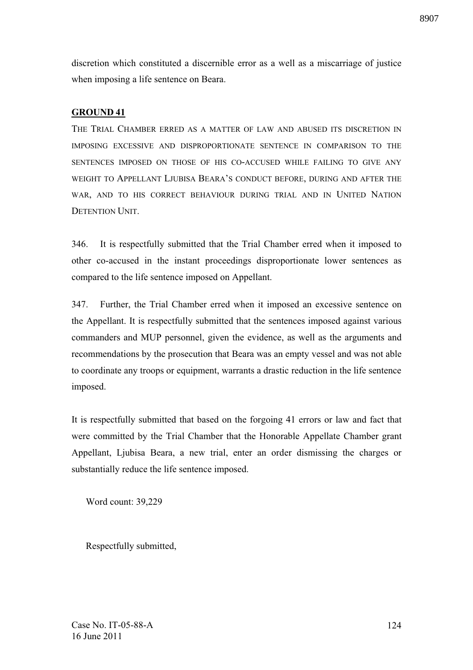discretion which constituted a discernible error as a well as a miscarriage of justice when imposing a life sentence on Beara.

## **GROUND 41**

THE TRIAL CHAMBER ERRED AS A MATTER OF LAW AND ABUSED ITS DISCRETION IN IMPOSING EXCESSIVE AND DISPROPORTIONATE SENTENCE IN COMPARISON TO THE SENTENCES IMPOSED ON THOSE OF HIS CO-ACCUSED WHILE FAILING TO GIVE ANY WEIGHT TO APPELLANT LJUBISA BEARA'S CONDUCT BEFORE, DURING AND AFTER THE WAR, AND TO HIS CORRECT BEHAVIOUR DURING TRIAL AND IN UNITED NATION DETENTION UNIT.

346. It is respectfully submitted that the Trial Chamber erred when it imposed to other co-accused in the instant proceedings disproportionate lower sentences as compared to the life sentence imposed on Appellant.

347. Further, the Trial Chamber erred when it imposed an excessive sentence on the Appellant. It is respectfully submitted that the sentences imposed against various commanders and MUP personnel, given the evidence, as well as the arguments and recommendations by the prosecution that Beara was an empty vessel and was not able to coordinate any troops or equipment, warrants a drastic reduction in the life sentence imposed.

It is respectfully submitted that based on the forgoing 41 errors or law and fact that were committed by the Trial Chamber that the Honorable Appellate Chamber grant Appellant, Ljubisa Beara, a new trial, enter an order dismissing the charges or substantially reduce the life sentence imposed.

Word count: 39,229

Respectfully submitted,

Case No. IT-05-88-A 16 June 2011